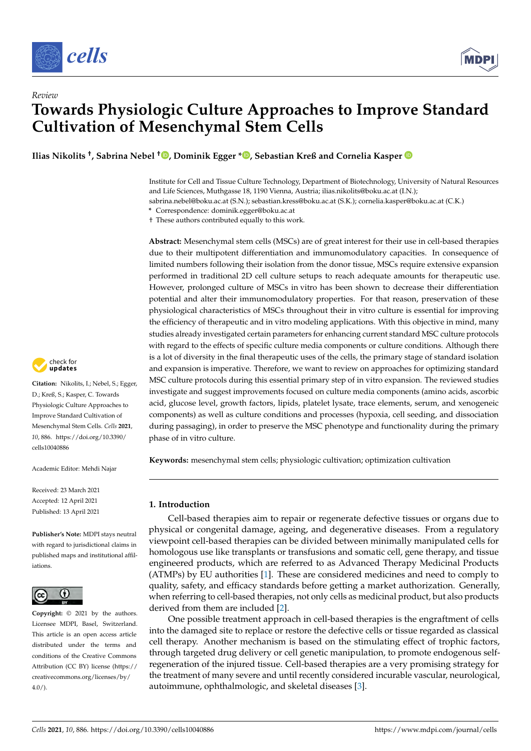

*Review*



# **Towards Physiologic Culture Approaches to Improve Standard Cultivation of Mesenchymal Stem Cells**

**Ilias Nikolits † , Sabrina Nebel † [,](https://orcid.org/0000-0002-3090-7637) Dominik Egger [\\*](https://orcid.org/0000-0002-9925-3344) , Sebastian Kreß and Cornelia Kasper**

Institute for Cell and Tissue Culture Technology, Department of Biotechnology, University of Natural Resources and Life Sciences, Muthgasse 18, 1190 Vienna, Austria; ilias.nikolits@boku.ac.at (I.N.);

sabrina.nebel@boku.ac.at (S.N.); sebastian.kress@boku.ac.at (S.K.); cornelia.kasper@boku.ac.at (C.K.)

**\*** Correspondence: dominik.egger@boku.ac.at

† These authors contributed equally to this work.

**Abstract:** Mesenchymal stem cells (MSCs) are of great interest for their use in cell-based therapies due to their multipotent differentiation and immunomodulatory capacities. In consequence of limited numbers following their isolation from the donor tissue, MSCs require extensive expansion performed in traditional 2D cell culture setups to reach adequate amounts for therapeutic use. However, prolonged culture of MSCs in vitro has been shown to decrease their differentiation potential and alter their immunomodulatory properties. For that reason, preservation of these physiological characteristics of MSCs throughout their in vitro culture is essential for improving the efficiency of therapeutic and in vitro modeling applications. With this objective in mind, many studies already investigated certain parameters for enhancing current standard MSC culture protocols with regard to the effects of specific culture media components or culture conditions. Although there is a lot of diversity in the final therapeutic uses of the cells, the primary stage of standard isolation and expansion is imperative. Therefore, we want to review on approaches for optimizing standard MSC culture protocols during this essential primary step of in vitro expansion. The reviewed studies investigate and suggest improvements focused on culture media components (amino acids, ascorbic acid, glucose level, growth factors, lipids, platelet lysate, trace elements, serum, and xenogeneic components) as well as culture conditions and processes (hypoxia, cell seeding, and dissociation during passaging), in order to preserve the MSC phenotype and functionality during the primary phase of in vitro culture.

**Keywords:** mesenchymal stem cells; physiologic cultivation; optimization cultivation

#### **1. Introduction**

Cell-based therapies aim to repair or regenerate defective tissues or organs due to physical or congenital damage, ageing, and degenerative diseases. From a regulatory viewpoint cell-based therapies can be divided between minimally manipulated cells for homologous use like transplants or transfusions and somatic cell, gene therapy, and tissue engineered products, which are referred to as Advanced Therapy Medicinal Products (ATMPs) by EU authorities [\[1\]](#page-23-0). These are considered medicines and need to comply to quality, safety, and efficacy standards before getting a market authorization. Generally, when referring to cell-based therapies, not only cells as medicinal product, but also products derived from them are included [\[2\]](#page-23-1).

One possible treatment approach in cell-based therapies is the engraftment of cells into the damaged site to replace or restore the defective cells or tissue regarded as classical cell therapy. Another mechanism is based on the stimulating effect of trophic factors, through targeted drug delivery or cell genetic manipulation, to promote endogenous selfregeneration of the injured tissue. Cell-based therapies are a very promising strategy for the treatment of many severe and until recently considered incurable vascular, neurological, autoimmune, ophthalmologic, and skeletal diseases [\[3\]](#page-23-2).



**Citation:** Nikolits, I.; Nebel, S.; Egger, D.; Kreß, S.; Kasper, C. Towards Physiologic Culture Approaches to Improve Standard Cultivation of Mesenchymal Stem Cells. *Cells* **2021**, *10*, 886. [https://doi.org/10.3390/](https://doi.org/10.3390/cells10040886) [cells10040886](https://doi.org/10.3390/cells10040886)

Academic Editor: Mehdi Najar

Received: 23 March 2021 Accepted: 12 April 2021 Published: 13 April 2021

**Publisher's Note:** MDPI stays neutral with regard to jurisdictional claims in published maps and institutional affiliations.



**Copyright:** © 2021 by the authors. Licensee MDPI, Basel, Switzerland. This article is an open access article distributed under the terms and conditions of the Creative Commons Attribution (CC BY) license (https:/[/](https://creativecommons.org/licenses/by/4.0/) [creativecommons.org/licenses/by/](https://creativecommons.org/licenses/by/4.0/)  $4.0/$ ).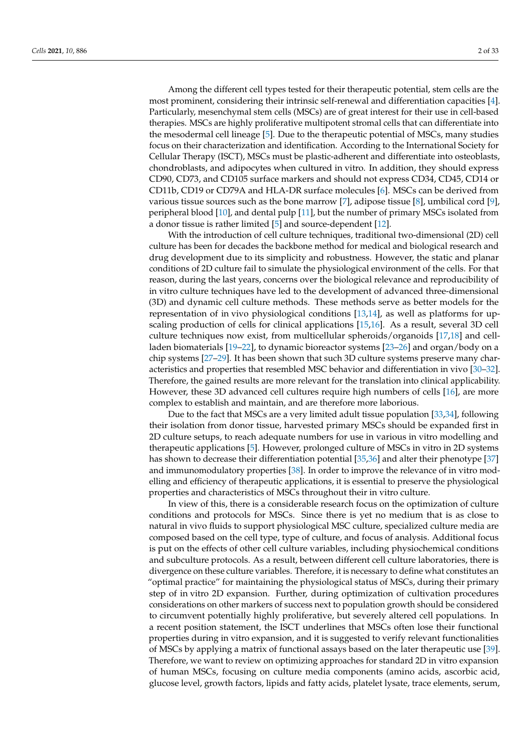Among the different cell types tested for their therapeutic potential, stem cells are the most prominent, considering their intrinsic self-renewal and differentiation capacities [\[4\]](#page-23-3). Particularly, mesenchymal stem cells (MSCs) are of great interest for their use in cell-based therapies. MSCs are highly proliferative multipotent stromal cells that can differentiate into the mesodermal cell lineage [\[5\]](#page-23-4). Due to the therapeutic potential of MSCs, many studies focus on their characterization and identification. According to the International Society for Cellular Therapy (ISCT), MSCs must be plastic-adherent and differentiate into osteoblasts, chondroblasts, and adipocytes when cultured in vitro. In addition, they should express CD90, CD73, and CD105 surface markers and should not express CD34, CD45, CD14 or CD11b, CD19 or CD79A and HLA-DR surface molecules [\[6\]](#page-23-5). MSCs can be derived from various tissue sources such as the bone marrow [\[7\]](#page-23-6), adipose tissue [\[8\]](#page-23-7), umbilical cord [\[9\]](#page-24-0), peripheral blood [\[10\]](#page-24-1), and dental pulp [\[11\]](#page-24-2), but the number of primary MSCs isolated from a donor tissue is rather limited [\[5\]](#page-23-4) and source-dependent [\[12\]](#page-24-3).

With the introduction of cell culture techniques, traditional two-dimensional (2D) cell culture has been for decades the backbone method for medical and biological research and drug development due to its simplicity and robustness. However, the static and planar conditions of 2D culture fail to simulate the physiological environment of the cells. For that reason, during the last years, concerns over the biological relevance and reproducibility of in vitro culture techniques have led to the development of advanced three-dimensional (3D) and dynamic cell culture methods. These methods serve as better models for the representation of in vivo physiological conditions [\[13](#page-24-4)[,14\]](#page-24-5), as well as platforms for upscaling production of cells for clinical applications [\[15](#page-24-6)[,16\]](#page-24-7). As a result, several 3D cell culture techniques now exist, from multicellular spheroids/organoids [\[17](#page-24-8)[,18\]](#page-24-9) and cellladen biomaterials [\[19](#page-24-10)[–22\]](#page-24-11), to dynamic bioreactor systems [\[23](#page-24-12)[–26\]](#page-24-13) and organ/body on a chip systems [\[27–](#page-24-14)[29\]](#page-24-15). It has been shown that such 3D culture systems preserve many characteristics and properties that resembled MSC behavior and differentiation in vivo [\[30](#page-24-16)[–32\]](#page-24-17). Therefore, the gained results are more relevant for the translation into clinical applicability. However, these 3D advanced cell cultures require high numbers of cells [\[16\]](#page-24-7), are more complex to establish and maintain, and are therefore more laborious.

Due to the fact that MSCs are a very limited adult tissue population [\[33](#page-24-18)[,34\]](#page-24-19), following their isolation from donor tissue, harvested primary MSCs should be expanded first in 2D culture setups, to reach adequate numbers for use in various in vitro modelling and therapeutic applications [\[5\]](#page-23-4). However, prolonged culture of MSCs in vitro in 2D systems has shown to decrease their differentiation potential [\[35,](#page-24-20)[36\]](#page-25-0) and alter their phenotype [\[37\]](#page-25-1) and immunomodulatory properties [\[38\]](#page-25-2). In order to improve the relevance of in vitro modelling and efficiency of therapeutic applications, it is essential to preserve the physiological properties and characteristics of MSCs throughout their in vitro culture.

In view of this, there is a considerable research focus on the optimization of culture conditions and protocols for MSCs. Since there is yet no medium that is as close to natural in vivo fluids to support physiological MSC culture, specialized culture media are composed based on the cell type, type of culture, and focus of analysis. Additional focus is put on the effects of other cell culture variables, including physiochemical conditions and subculture protocols. As a result, between different cell culture laboratories, there is divergence on these culture variables. Therefore, it is necessary to define what constitutes an "optimal practice" for maintaining the physiological status of MSCs, during their primary step of in vitro 2D expansion. Further, during optimization of cultivation procedures considerations on other markers of success next to population growth should be considered to circumvent potentially highly proliferative, but severely altered cell populations. In a recent position statement, the ISCT underlines that MSCs often lose their functional properties during in vitro expansion, and it is suggested to verify relevant functionalities of MSCs by applying a matrix of functional assays based on the later therapeutic use [\[39\]](#page-25-3). Therefore, we want to review on optimizing approaches for standard 2D in vitro expansion of human MSCs, focusing on culture media components (amino acids, ascorbic acid, glucose level, growth factors, lipids and fatty acids, platelet lysate, trace elements, serum,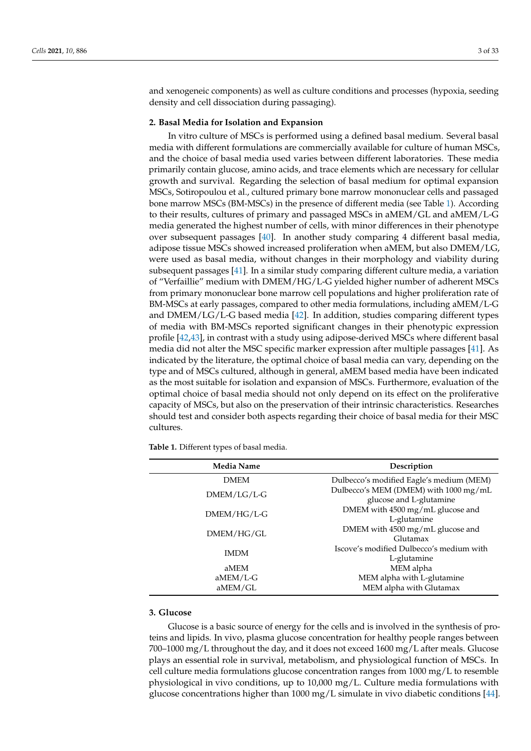and xenogeneic components) as well as culture conditions and processes (hypoxia, seeding density and cell dissociation during passaging).

# **2. Basal Media for Isolation and Expansion**

In vitro culture of MSCs is performed using a defined basal medium. Several basal media with different formulations are commercially available for culture of human MSCs, and the choice of basal media used varies between different laboratories. These media primarily contain glucose, amino acids, and trace elements which are necessary for cellular growth and survival. Regarding the selection of basal medium for optimal expansion MSCs, Sotiropoulou et al., cultured primary bone marrow mononuclear cells and passaged bone marrow MSCs (BM-MSCs) in the presence of different media (see Table [1\)](#page-2-0). According to their results, cultures of primary and passaged MSCs in aMEM/GL and aMEM/L-G media generated the highest number of cells, with minor differences in their phenotype over subsequent passages [\[40\]](#page-25-4). In another study comparing 4 different basal media, adipose tissue MSCs showed increased proliferation when aMEM, but also DMEM/LG, were used as basal media, without changes in their morphology and viability during subsequent passages [\[41\]](#page-25-5). In a similar study comparing different culture media, a variation of "Verfaillie" medium with DMEM/HG/L-G yielded higher number of adherent MSCs from primary mononuclear bone marrow cell populations and higher proliferation rate of BM-MSCs at early passages, compared to other media formulations, including aMEM/L-G and DMEM/LG/L-G based media [\[42\]](#page-25-6). In addition, studies comparing different types of media with BM-MSCs reported significant changes in their phenotypic expression profile [\[42](#page-25-6)[,43\]](#page-25-7), in contrast with a study using adipose-derived MSCs where different basal media did not alter the MSC specific marker expression after multiple passages [\[41\]](#page-25-5). As indicated by the literature, the optimal choice of basal media can vary, depending on the type and of MSCs cultured, although in general, aMEM based media have been indicated as the most suitable for isolation and expansion of MSCs. Furthermore, evaluation of the optimal choice of basal media should not only depend on its effect on the proliferative capacity of MSCs, but also on the preservation of their intrinsic characteristics. Researches should test and consider both aspects regarding their choice of basal media for their MSC cultures.

<span id="page-2-0"></span>**Table 1.** Different types of basal media.

| <b>Media Name</b> | Description                                                      |  |  |  |  |
|-------------------|------------------------------------------------------------------|--|--|--|--|
| <b>DMEM</b>       | Dulbecco's modified Eagle's medium (MEM)                         |  |  |  |  |
| $DMEM/LG/L-G$     | Dulbecco's MEM (DMEM) with 1000 mg/mL<br>glucose and L-glutamine |  |  |  |  |
| $DMEM/HG/L-G$     | DMEM with 4500 mg/mL glucose and<br>L-glutamine                  |  |  |  |  |
| DMEM/HG/GL        | DMEM with 4500 mg/mL glucose and<br>Glutamax                     |  |  |  |  |
| <b>IMDM</b>       | Iscove's modified Dulbecco's medium with<br>L-glutamine          |  |  |  |  |
| aMEM              | MEM alpha                                                        |  |  |  |  |
| $aMEM/L-G$        | MEM alpha with L-glutamine                                       |  |  |  |  |
| aMEM/GL           | MEM alpha with Glutamax                                          |  |  |  |  |

#### **3. Glucose**

Glucose is a basic source of energy for the cells and is involved in the synthesis of proteins and lipids. In vivo, plasma glucose concentration for healthy people ranges between 700–1000 mg/L throughout the day, and it does not exceed 1600 mg/L after meals. Glucose plays an essential role in survival, metabolism, and physiological function of MSCs. In cell culture media formulations glucose concentration ranges from 1000 mg/L to resemble physiological in vivo conditions, up to 10,000 mg/L. Culture media formulations with glucose concentrations higher than 1000 mg/L simulate in vivo diabetic conditions [\[44\]](#page-25-8).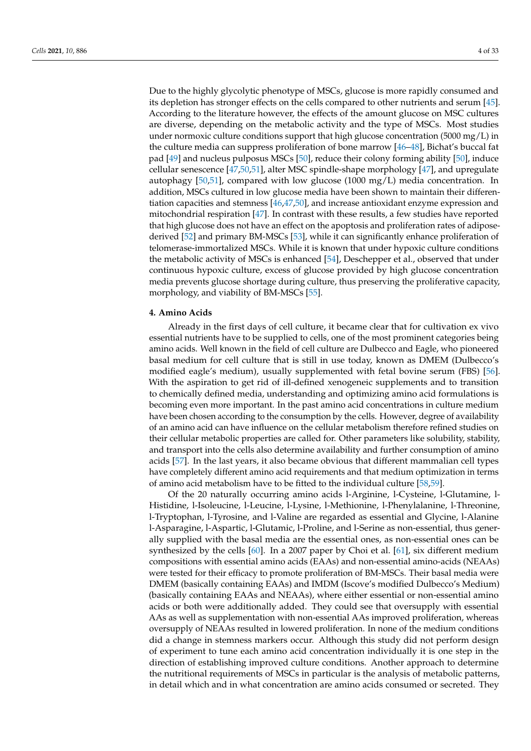Due to the highly glycolytic phenotype of MSCs, glucose is more rapidly consumed and its depletion has stronger effects on the cells compared to other nutrients and serum [\[45\]](#page-25-9). According to the literature however, the effects of the amount glucose on MSC cultures are diverse, depending on the metabolic activity and the type of MSCs. Most studies under normoxic culture conditions support that high glucose concentration  $(5000 \text{ mg/L})$  in the culture media can suppress proliferation of bone marrow [\[46](#page-25-10)[–48\]](#page-25-11), Bichat's buccal fat pad [\[49\]](#page-25-12) and nucleus pulposus MSCs [\[50\]](#page-25-13), reduce their colony forming ability [\[50\]](#page-25-13), induce cellular senescence [\[47,](#page-25-14)[50](#page-25-13)[,51\]](#page-25-15), alter MSC spindle-shape morphology [\[47\]](#page-25-14), and upregulate autophagy [\[50,](#page-25-13)[51\]](#page-25-15), compared with low glucose (1000 mg/L) media concentration. In addition, MSCs cultured in low glucose media have been shown to maintain their differentiation capacities and stemness [\[46,](#page-25-10)[47,](#page-25-14)[50\]](#page-25-13), and increase antioxidant enzyme expression and mitochondrial respiration [\[47\]](#page-25-14). In contrast with these results, a few studies have reported that high glucose does not have an effect on the apoptosis and proliferation rates of adiposederived [\[52\]](#page-25-16) and primary BM-MSCs [\[53\]](#page-25-17), while it can significantly enhance proliferation of telomerase-immortalized MSCs. While it is known that under hypoxic culture conditions the metabolic activity of MSCs is enhanced [\[54\]](#page-25-18), Deschepper et al., observed that under continuous hypoxic culture, excess of glucose provided by high glucose concentration media prevents glucose shortage during culture, thus preserving the proliferative capacity, morphology, and viability of BM-MSCs [\[55\]](#page-25-19).

# **4. Amino Acids**

Already in the first days of cell culture, it became clear that for cultivation ex vivo essential nutrients have to be supplied to cells, one of the most prominent categories being amino acids. Well known in the field of cell culture are Dulbecco and Eagle, who pioneered basal medium for cell culture that is still in use today, known as DMEM (Dulbecco's modified eagle's medium), usually supplemented with fetal bovine serum (FBS) [\[56\]](#page-25-20). With the aspiration to get rid of ill-defined xenogeneic supplements and to transition to chemically defined media, understanding and optimizing amino acid formulations is becoming even more important. In the past amino acid concentrations in culture medium have been chosen according to the consumption by the cells. However, degree of availability of an amino acid can have influence on the cellular metabolism therefore refined studies on their cellular metabolic properties are called for. Other parameters like solubility, stability, and transport into the cells also determine availability and further consumption of amino acids [\[57\]](#page-25-21). In the last years, it also became obvious that different mammalian cell types have completely different amino acid requirements and that medium optimization in terms of amino acid metabolism have to be fitted to the individual culture [\[58](#page-25-22)[,59\]](#page-25-23).

Of the 20 naturally occurring amino acids l-Arginine, l-Cysteine, l-Glutamine, l-Histidine, l-Isoleucine, l-Leucine, l-Lysine, l-Methionine, l-Phenylalanine, l-Threonine, l-Tryptophan, l-Tyrosine, and l-Valine are regarded as essential and Glycine, l-Alanine l-Asparagine, l-Aspartic, l-Glutamic, l-Proline, and l-Serine as non-essential, thus generally supplied with the basal media are the essential ones, as non-essential ones can be synthesized by the cells [\[60\]](#page-25-24). In a 2007 paper by Choi et al. [\[61\]](#page-25-25), six different medium compositions with essential amino acids (EAAs) and non-essential amino-acids (NEAAs) were tested for their efficacy to promote proliferation of BM-MSCs. Their basal media were DMEM (basically containing EAAs) and IMDM (Iscove's modified Dulbecco's Medium) (basically containing EAAs and NEAAs), where either essential or non-essential amino acids or both were additionally added. They could see that oversupply with essential AAs as well as supplementation with non-essential AAs improved proliferation, whereas oversupply of NEAAs resulted in lowered proliferation. In none of the medium conditions did a change in stemness markers occur. Although this study did not perform design of experiment to tune each amino acid concentration individually it is one step in the direction of establishing improved culture conditions. Another approach to determine the nutritional requirements of MSCs in particular is the analysis of metabolic patterns, in detail which and in what concentration are amino acids consumed or secreted. They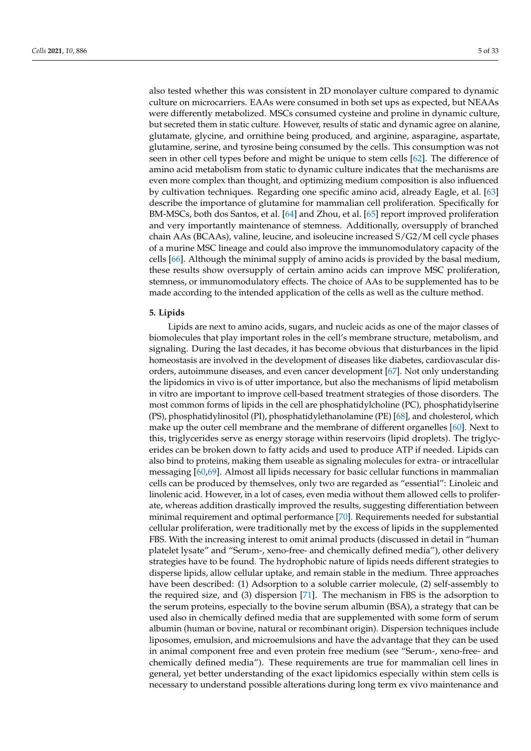also tested whether this was consistent in 2D monolayer culture compared to dynamic culture on microcarriers. EAAs were consumed in both set ups as expected, but NEAAs were differently metabolized. MSCs consumed cysteine and proline in dynamic culture, but secreted them in static culture. However, results of static and dynamic agree on alanine, glutamate, glycine, and ornithine being produced, and arginine, asparagine, aspartate, glutamine, serine, and tyrosine being consumed by the cells. This consumption was not seen in other cell types before and might be unique to stem cells [\[62\]](#page-26-0). The difference of amino acid metabolism from static to dynamic culture indicates that the mechanisms are even more complex than thought, and optimizing medium composition is also influenced by cultivation techniques. Regarding one specific amino acid, already Eagle, et al. [\[63\]](#page-26-1) describe the importance of glutamine for mammalian cell proliferation. Specifically for BM-MSCs, both dos Santos, et al. [\[64\]](#page-26-2) and Zhou, et al. [\[65\]](#page-26-3) report improved proliferation and very importantly maintenance of stemness. Additionally, oversupply of branched chain AAs (BCAAs), valine, leucine, and isoleucine increased S/G2/M cell cycle phases of a murine MSC lineage and could also improve the immunomodulatory capacity of the cells [\[66\]](#page-26-4). Although the minimal supply of amino acids is provided by the basal medium, these results show oversupply of certain amino acids can improve MSC proliferation, stemness, or immunomodulatory effects. The choice of AAs to be supplemented has to be made according to the intended application of the cells as well as the culture method.

#### **5. Lipids**

Lipids are next to amino acids, sugars, and nucleic acids as one of the major classes of biomolecules that play important roles in the cell's membrane structure, metabolism, and signaling. During the last decades, it has become obvious that disturbances in the lipid homeostasis are involved in the development of diseases like diabetes, cardiovascular disorders, autoimmune diseases, and even cancer development [\[67\]](#page-26-5). Not only understanding the lipidomics in vivo is of utter importance, but also the mechanisms of lipid metabolism in vitro are important to improve cell-based treatment strategies of those disorders. The most common forms of lipids in the cell are phosphatidylcholine (PC), phosphatidylserine (PS), phosphatidylinositol (PI), phosphatidylethanolamine (PE) [\[68\]](#page-26-6), and cholesterol, which make up the outer cell membrane and the membrane of different organelles [\[60\]](#page-25-24). Next to this, triglycerides serve as energy storage within reservoirs (lipid droplets). The triglycerides can be broken down to fatty acids and used to produce ATP if needed. Lipids can also bind to proteins, making them useable as signaling molecules for extra- or intracellular messaging [\[60](#page-25-24)[,69\]](#page-26-7). Almost all lipids necessary for basic cellular functions in mammalian cells can be produced by themselves, only two are regarded as "essential": Linoleic and linolenic acid. However, in a lot of cases, even media without them allowed cells to proliferate, whereas addition drastically improved the results, suggesting differentiation between minimal requirement and optimal performance [\[70\]](#page-26-8). Requirements needed for substantial cellular proliferation, were traditionally met by the excess of lipids in the supplemented FBS. With the increasing interest to omit animal products (discussed in detail in "human platelet lysate" and "Serum-, xeno-free- and chemically defined media"), other delivery strategies have to be found. The hydrophobic nature of lipids needs different strategies to disperse lipids, allow cellular uptake, and remain stable in the medium. Three approaches have been described: (1) Adsorption to a soluble carrier molecule, (2) self-assembly to the required size, and (3) dispersion [\[71\]](#page-26-9). The mechanism in FBS is the adsorption to the serum proteins, especially to the bovine serum albumin (BSA), a strategy that can be used also in chemically defined media that are supplemented with some form of serum albumin (human or bovine, natural or recombinant origin). Dispersion techniques include liposomes, emulsion, and microemulsions and have the advantage that they can be used in animal component free and even protein free medium (see "Serum-, xeno-free- and chemically defined media"). These requirements are true for mammalian cell lines in general, yet better understanding of the exact lipidomics especially within stem cells is necessary to understand possible alterations during long term ex vivo maintenance and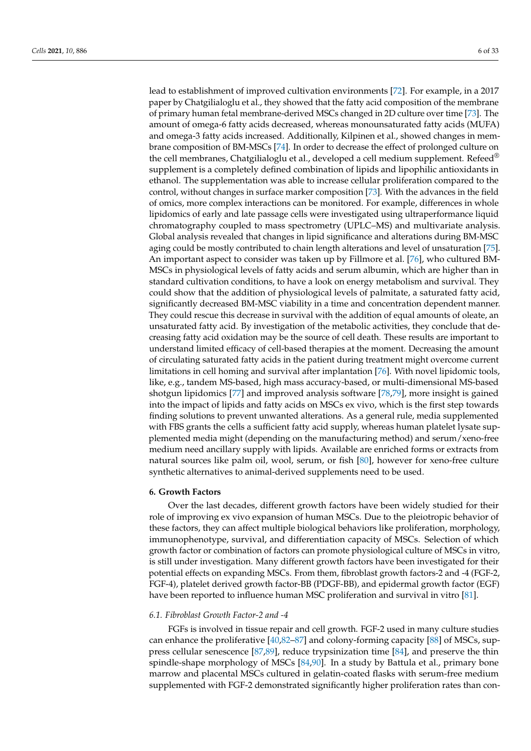lead to establishment of improved cultivation environments [\[72\]](#page-26-10). For example, in a 2017 paper by Chatgilialoglu et al., they showed that the fatty acid composition of the membrane of primary human fetal membrane-derived MSCs changed in 2D culture over time [\[73\]](#page-26-11). The amount of omega-6 fatty acids decreased, whereas monounsaturated fatty acids (MUFA) and omega-3 fatty acids increased. Additionally, Kilpinen et al., showed changes in membrane composition of BM-MSCs [\[74\]](#page-26-12). In order to decrease the effect of prolonged culture on the cell membranes, Chatgilialoglu et al., developed a cell medium supplement. Refeed<sup>®</sup> supplement is a completely defined combination of lipids and lipophilic antioxidants in ethanol. The supplementation was able to increase cellular proliferation compared to the control, without changes in surface marker composition [\[73\]](#page-26-11). With the advances in the field of omics, more complex interactions can be monitored. For example, differences in whole lipidomics of early and late passage cells were investigated using ultraperformance liquid chromatography coupled to mass spectrometry (UPLC–MS) and multivariate analysis. Global analysis revealed that changes in lipid significance and alterations during BM-MSC aging could be mostly contributed to chain length alterations and level of unsaturation [\[75\]](#page-26-13). An important aspect to consider was taken up by Fillmore et al. [\[76\]](#page-26-14), who cultured BM-MSCs in physiological levels of fatty acids and serum albumin, which are higher than in standard cultivation conditions, to have a look on energy metabolism and survival. They could show that the addition of physiological levels of palmitate, a saturated fatty acid, significantly decreased BM-MSC viability in a time and concentration dependent manner. They could rescue this decrease in survival with the addition of equal amounts of oleate, an unsaturated fatty acid. By investigation of the metabolic activities, they conclude that decreasing fatty acid oxidation may be the source of cell death. These results are important to understand limited efficacy of cell-based therapies at the moment. Decreasing the amount of circulating saturated fatty acids in the patient during treatment might overcome current limitations in cell homing and survival after implantation [\[76\]](#page-26-14). With novel lipidomic tools, like, e.g., tandem MS-based, high mass accuracy-based, or multi-dimensional MS-based shotgun lipidomics [\[77\]](#page-26-15) and improved analysis software [\[78,](#page-26-16)[79\]](#page-26-17), more insight is gained into the impact of lipids and fatty acids on MSCs ex vivo, which is the first step towards finding solutions to prevent unwanted alterations. As a general rule, media supplemented with FBS grants the cells a sufficient fatty acid supply, whereas human platelet lysate supplemented media might (depending on the manufacturing method) and serum/xeno-free medium need ancillary supply with lipids. Available are enriched forms or extracts from natural sources like palm oil, wool, serum, or fish [\[80\]](#page-26-18), however for xeno-free culture synthetic alternatives to animal-derived supplements need to be used.

#### **6. Growth Factors**

Over the last decades, different growth factors have been widely studied for their role of improving ex vivo expansion of human MSCs. Due to the pleiotropic behavior of these factors, they can affect multiple biological behaviors like proliferation, morphology, immunophenotype, survival, and differentiation capacity of MSCs. Selection of which growth factor or combination of factors can promote physiological culture of MSCs in vitro, is still under investigation. Many different growth factors have been investigated for their potential effects on expanding MSCs. From them, fibroblast growth factors-2 and -4 (FGF-2, FGF-4), platelet derived growth factor-BB (PDGF-BB), and epidermal growth factor (EGF) have been reported to influence human MSC proliferation and survival in vitro [\[81\]](#page-26-19).

#### *6.1. Fibroblast Growth Factor-2 and -4*

FGFs is involved in tissue repair and cell growth. FGF-2 used in many culture studies can enhance the proliferative [\[40,](#page-25-4)[82–](#page-26-20)[87\]](#page-26-21) and colony-forming capacity [\[88\]](#page-27-0) of MSCs, suppress cellular senescence [\[87](#page-26-21)[,89\]](#page-27-1), reduce trypsinization time [\[84\]](#page-26-22), and preserve the thin spindle-shape morphology of MSCs [\[84](#page-26-22)[,90\]](#page-27-2). In a study by Battula et al., primary bone marrow and placental MSCs cultured in gelatin-coated flasks with serum-free medium supplemented with FGF-2 demonstrated significantly higher proliferation rates than con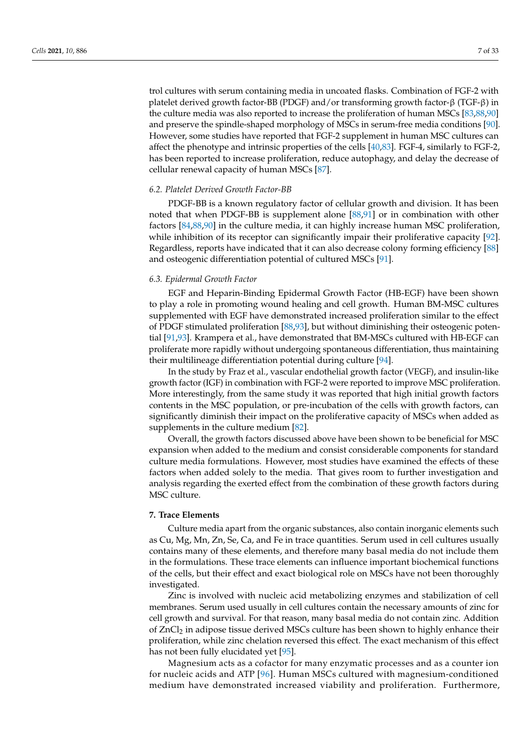trol cultures with serum containing media in uncoated flasks. Combination of FGF-2 with platelet derived growth factor-BB (PDGF) and/or transforming growth factor-β (TGF-β) in the culture media was also reported to increase the proliferation of human MSCs [\[83,](#page-26-23)[88,](#page-27-0)[90\]](#page-27-2) and preserve the spindle-shaped morphology of MSCs in serum-free media conditions [\[90\]](#page-27-2). However, some studies have reported that FGF-2 supplement in human MSC cultures can affect the phenotype and intrinsic properties of the cells [\[40](#page-25-4)[,83\]](#page-26-23). FGF-4, similarly to FGF-2, has been reported to increase proliferation, reduce autophagy, and delay the decrease of cellular renewal capacity of human MSCs [\[87\]](#page-26-21).

#### *6.2. Platelet Derived Growth Factor-BB*

PDGF-BB is a known regulatory factor of cellular growth and division. It has been noted that when PDGF-BB is supplement alone [\[88,](#page-27-0)[91\]](#page-27-3) or in combination with other factors [\[84](#page-26-22)[,88](#page-27-0)[,90\]](#page-27-2) in the culture media, it can highly increase human MSC proliferation, while inhibition of its receptor can significantly impair their proliferative capacity [\[92\]](#page-27-4). Regardless, reports have indicated that it can also decrease colony forming efficiency [\[88\]](#page-27-0) and osteogenic differentiation potential of cultured MSCs [\[91\]](#page-27-3).

#### *6.3. Epidermal Growth Factor*

EGF and Heparin-Binding Epidermal Growth Factor (HB-EGF) have been shown to play a role in promoting wound healing and cell growth. Human BM-MSC cultures supplemented with EGF have demonstrated increased proliferation similar to the effect of PDGF stimulated proliferation [\[88,](#page-27-0)[93\]](#page-27-5), but without diminishing their osteogenic potential [\[91](#page-27-3)[,93\]](#page-27-5). Krampera et al., have demonstrated that BM-MSCs cultured with HB-EGF can proliferate more rapidly without undergoing spontaneous differentiation, thus maintaining their multilineage differentiation potential during culture [\[94\]](#page-27-6).

In the study by Fraz et al., vascular endothelial growth factor (VEGF), and insulin-like growth factor (IGF) in combination with FGF-2 were reported to improve MSC proliferation. More interestingly, from the same study it was reported that high initial growth factors contents in the MSC population, or pre-incubation of the cells with growth factors, can significantly diminish their impact on the proliferative capacity of MSCs when added as supplements in the culture medium [\[82\]](#page-26-20).

Overall, the growth factors discussed above have been shown to be beneficial for MSC expansion when added to the medium and consist considerable components for standard culture media formulations. However, most studies have examined the effects of these factors when added solely to the media. That gives room to further investigation and analysis regarding the exerted effect from the combination of these growth factors during MSC culture.

# **7. Trace Elements**

Culture media apart from the organic substances, also contain inorganic elements such as Cu, Mg, Mn, Zn, Se, Ca, and Fe in trace quantities. Serum used in cell cultures usually contains many of these elements, and therefore many basal media do not include them in the formulations. These trace elements can influence important biochemical functions of the cells, but their effect and exact biological role on MSCs have not been thoroughly investigated.

Zinc is involved with nucleic acid metabolizing enzymes and stabilization of cell membranes. Serum used usually in cell cultures contain the necessary amounts of zinc for cell growth and survival. For that reason, many basal media do not contain zinc. Addition of ZnCl<sub>2</sub> in adipose tissue derived MSCs culture has been shown to highly enhance their proliferation, while zinc chelation reversed this effect. The exact mechanism of this effect has not been fully elucidated yet [\[95\]](#page-27-7).

Magnesium acts as a cofactor for many enzymatic processes and as a counter ion for nucleic acids and ATP [\[96\]](#page-27-8). Human MSCs cultured with magnesium-conditioned medium have demonstrated increased viability and proliferation. Furthermore,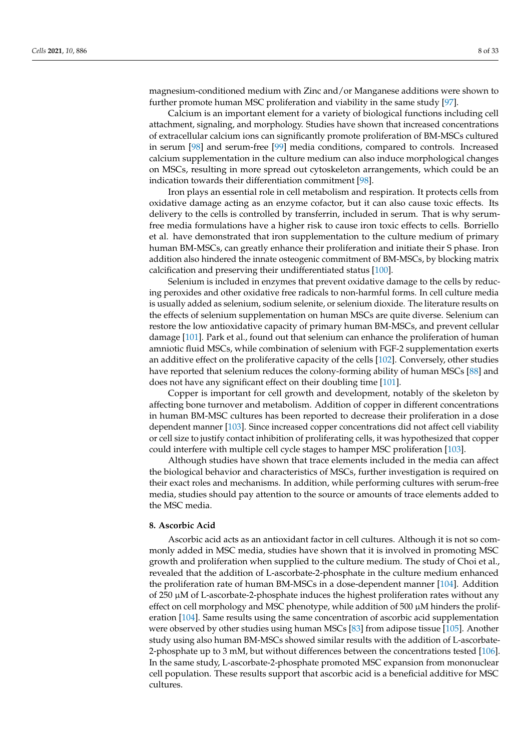magnesium-conditioned medium with Zinc and/or Manganese additions were shown to further promote human MSC proliferation and viability in the same study [\[97\]](#page-27-9).

Calcium is an important element for a variety of biological functions including cell attachment, signaling, and morphology. Studies have shown that increased concentrations of extracellular calcium ions can significantly promote proliferation of BM-MSCs cultured in serum [\[98\]](#page-27-10) and serum-free [\[99\]](#page-27-11) media conditions, compared to controls. Increased calcium supplementation in the culture medium can also induce morphological changes on MSCs, resulting in more spread out cytoskeleton arrangements, which could be an indication towards their differentiation commitment [\[98\]](#page-27-10).

Iron plays an essential role in cell metabolism and respiration. It protects cells from oxidative damage acting as an enzyme cofactor, but it can also cause toxic effects. Its delivery to the cells is controlled by transferrin, included in serum. That is why serumfree media formulations have a higher risk to cause iron toxic effects to cells. Borriello et al. have demonstrated that iron supplementation to the culture medium of primary human BM-MSCs, can greatly enhance their proliferation and initiate their S phase. Iron addition also hindered the innate osteogenic commitment of BM-MSCs, by blocking matrix calcification and preserving their undifferentiated status [\[100\]](#page-27-12).

Selenium is included in enzymes that prevent oxidative damage to the cells by reducing peroxides and other oxidative free radicals to non-harmful forms. In cell culture media is usually added as selenium, sodium selenite, or selenium dioxide. The literature results on the effects of selenium supplementation on human MSCs are quite diverse. Selenium can restore the low antioxidative capacity of primary human BM-MSCs, and prevent cellular damage [\[101\]](#page-27-13). Park et al., found out that selenium can enhance the proliferation of human amniotic fluid MSCs, while combination of selenium with FGF-2 supplementation exerts an additive effect on the proliferative capacity of the cells [\[102\]](#page-27-14). Conversely, other studies have reported that selenium reduces the colony-forming ability of human MSCs [\[88\]](#page-27-0) and does not have any significant effect on their doubling time [\[101\]](#page-27-13).

Copper is important for cell growth and development, notably of the skeleton by affecting bone turnover and metabolism. Addition of copper in different concentrations in human BM-MSC cultures has been reported to decrease their proliferation in a dose dependent manner [\[103\]](#page-27-15). Since increased copper concentrations did not affect cell viability or cell size to justify contact inhibition of proliferating cells, it was hypothesized that copper could interfere with multiple cell cycle stages to hamper MSC proliferation [\[103\]](#page-27-15).

Although studies have shown that trace elements included in the media can affect the biological behavior and characteristics of MSCs, further investigation is required on their exact roles and mechanisms. In addition, while performing cultures with serum-free media, studies should pay attention to the source or amounts of trace elements added to the MSC media.

# **8. Ascorbic Acid**

Ascorbic acid acts as an antioxidant factor in cell cultures. Although it is not so commonly added in MSC media, studies have shown that it is involved in promoting MSC growth and proliferation when supplied to the culture medium. The study of Choi et al., revealed that the addition of L-ascorbate-2-phosphate in the culture medium enhanced the proliferation rate of human BM-MSCs in a dose-dependent manner [\[104\]](#page-27-16). Addition of  $250 \mu$ M of L-ascorbate-2-phosphate induces the highest proliferation rates without any effect on cell morphology and MSC phenotype, while addition of  $500 \mu$ M hinders the proliferation [\[104\]](#page-27-16). Same results using the same concentration of ascorbic acid supplementation were observed by other studies using human MSCs [\[83\]](#page-26-23) from adipose tissue [\[105\]](#page-27-17). Another study using also human BM-MSCs showed similar results with the addition of L-ascorbate-2-phosphate up to 3 mM, but without differences between the concentrations tested [\[106\]](#page-27-18). In the same study, L-ascorbate-2-phosphate promoted MSC expansion from mononuclear cell population. These results support that ascorbic acid is a beneficial additive for MSC cultures.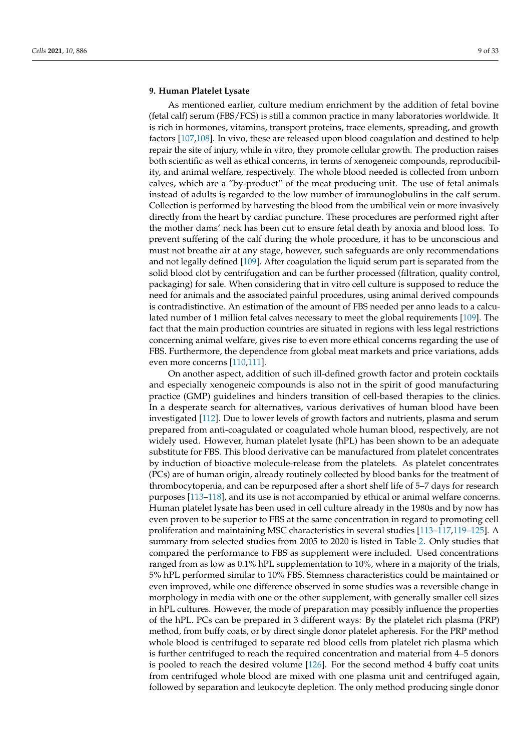# **9. Human Platelet Lysate**

As mentioned earlier, culture medium enrichment by the addition of fetal bovine (fetal calf) serum (FBS/FCS) is still a common practice in many laboratories worldwide. It is rich in hormones, vitamins, transport proteins, trace elements, spreading, and growth factors [\[107,](#page-27-19)[108\]](#page-27-20). In vivo, these are released upon blood coagulation and destined to help repair the site of injury, while in vitro, they promote cellular growth. The production raises both scientific as well as ethical concerns, in terms of xenogeneic compounds, reproducibility, and animal welfare, respectively. The whole blood needed is collected from unborn calves, which are a "by-product" of the meat producing unit. The use of fetal animals instead of adults is regarded to the low number of immunoglobulins in the calf serum. Collection is performed by harvesting the blood from the umbilical vein or more invasively directly from the heart by cardiac puncture. These procedures are performed right after the mother dams' neck has been cut to ensure fetal death by anoxia and blood loss. To prevent suffering of the calf during the whole procedure, it has to be unconscious and must not breathe air at any stage, however, such safeguards are only recommendations and not legally defined [\[109\]](#page-27-21). After coagulation the liquid serum part is separated from the solid blood clot by centrifugation and can be further processed (filtration, quality control, packaging) for sale. When considering that in vitro cell culture is supposed to reduce the need for animals and the associated painful procedures, using animal derived compounds is contradistinctive. An estimation of the amount of FBS needed per anno leads to a calculated number of 1 million fetal calves necessary to meet the global requirements [\[109\]](#page-27-21). The fact that the main production countries are situated in regions with less legal restrictions concerning animal welfare, gives rise to even more ethical concerns regarding the use of FBS. Furthermore, the dependence from global meat markets and price variations, adds even more concerns [\[110,](#page-27-22)[111\]](#page-27-23).

On another aspect, addition of such ill-defined growth factor and protein cocktails and especially xenogeneic compounds is also not in the spirit of good manufacturing practice (GMP) guidelines and hinders transition of cell-based therapies to the clinics. In a desperate search for alternatives, various derivatives of human blood have been investigated [\[112\]](#page-27-24). Due to lower levels of growth factors and nutrients, plasma and serum prepared from anti-coagulated or coagulated whole human blood, respectively, are not widely used. However, human platelet lysate (hPL) has been shown to be an adequate substitute for FBS. This blood derivative can be manufactured from platelet concentrates by induction of bioactive molecule-release from the platelets. As platelet concentrates (PCs) are of human origin, already routinely collected by blood banks for the treatment of thrombocytopenia, and can be repurposed after a short shelf life of 5–7 days for research purposes [\[113](#page-28-0)[–118\]](#page-28-1), and its use is not accompanied by ethical or animal welfare concerns. Human platelet lysate has been used in cell culture already in the 1980s and by now has even proven to be superior to FBS at the same concentration in regard to promoting cell proliferation and maintaining MSC characteristics in several studies [\[113–](#page-28-0)[117,](#page-28-2)[119](#page-28-3)[–125\]](#page-28-4). A summary from selected studies from 2005 to 2020 is listed in Table [2.](#page-11-0) Only studies that compared the performance to FBS as supplement were included. Used concentrations ranged from as low as 0.1% hPL supplementation to 10%, where in a majority of the trials, 5% hPL performed similar to 10% FBS. Stemness characteristics could be maintained or even improved, while one difference observed in some studies was a reversible change in morphology in media with one or the other supplement, with generally smaller cell sizes in hPL cultures. However, the mode of preparation may possibly influence the properties of the hPL. PCs can be prepared in 3 different ways: By the platelet rich plasma (PRP) method, from buffy coats, or by direct single donor platelet apheresis. For the PRP method whole blood is centrifuged to separate red blood cells from platelet rich plasma which is further centrifuged to reach the required concentration and material from 4–5 donors is pooled to reach the desired volume [\[126\]](#page-28-5). For the second method 4 buffy coat units from centrifuged whole blood are mixed with one plasma unit and centrifuged again, followed by separation and leukocyte depletion. The only method producing single donor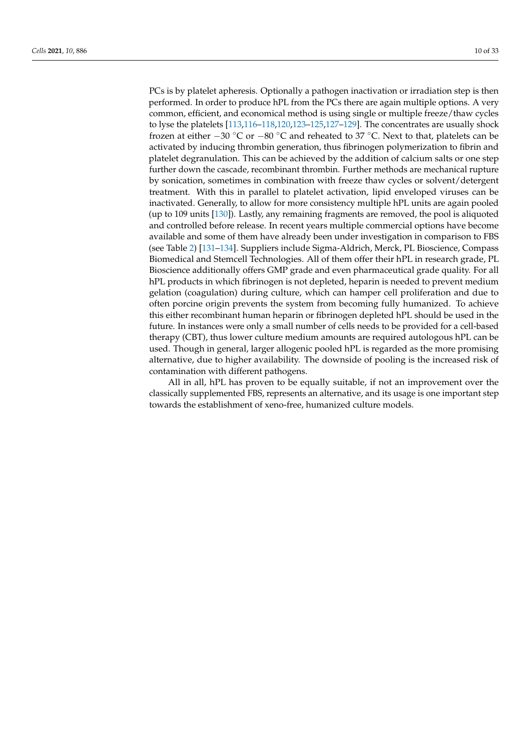PCs is by platelet apheresis. Optionally a pathogen inactivation or irradiation step is then performed. In order to produce hPL from the PCs there are again multiple options. A very common, efficient, and economical method is using single or multiple freeze/thaw cycles to lyse the platelets [\[113](#page-28-0)[,116](#page-28-6)[–118,](#page-28-1)[120,](#page-28-7)[123–](#page-28-8)[125](#page-28-4)[,127](#page-28-9)[–129\]](#page-28-10). The concentrates are usually shock frozen at either  $-30$  °C or  $-80$  °C and reheated to 37 °C. Next to that, platelets can be activated by inducing thrombin generation, thus fibrinogen polymerization to fibrin and platelet degranulation. This can be achieved by the addition of calcium salts or one step further down the cascade, recombinant thrombin. Further methods are mechanical rupture by sonication, sometimes in combination with freeze thaw cycles or solvent/detergent treatment. With this in parallel to platelet activation, lipid enveloped viruses can be inactivated. Generally, to allow for more consistency multiple hPL units are again pooled (up to 109 units [\[130\]](#page-28-11)). Lastly, any remaining fragments are removed, the pool is aliquoted and controlled before release. In recent years multiple commercial options have become available and some of them have already been under investigation in comparison to FBS (see Table [2\)](#page-11-0) [\[131–](#page-28-12)[134\]](#page-28-13). Suppliers include Sigma-Aldrich, Merck, PL Bioscience, Compass Biomedical and Stemcell Technologies. All of them offer their hPL in research grade, PL Bioscience additionally offers GMP grade and even pharmaceutical grade quality. For all hPL products in which fibrinogen is not depleted, heparin is needed to prevent medium gelation (coagulation) during culture, which can hamper cell proliferation and due to often porcine origin prevents the system from becoming fully humanized. To achieve this either recombinant human heparin or fibrinogen depleted hPL should be used in the future. In instances were only a small number of cells needs to be provided for a cell-based therapy (CBT), thus lower culture medium amounts are required autologous hPL can be used. Though in general, larger allogenic pooled hPL is regarded as the more promising alternative, due to higher availability. The downside of pooling is the increased risk of contamination with different pathogens.

All in all, hPL has proven to be equally suitable, if not an improvement over the classically supplemented FBS, represents an alternative, and its usage is one important step towards the establishment of xeno-free, humanized culture models.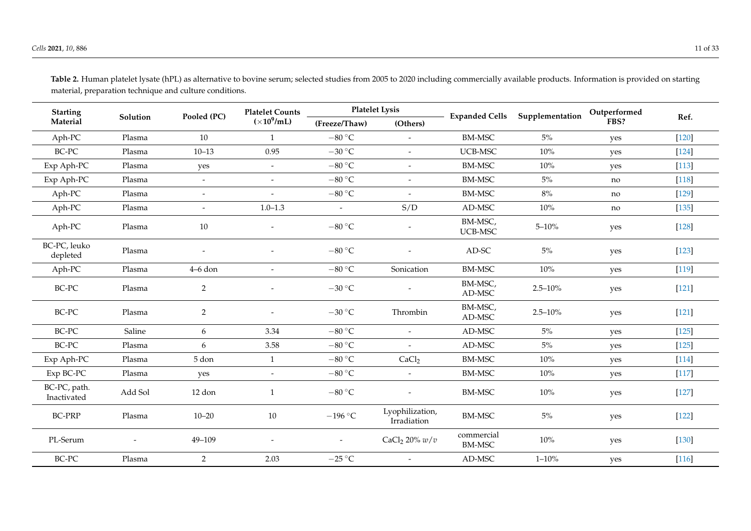| <b>Starting</b>             |          |                | <b>Platelet Counts</b>                           |                           | <b>Platelet Lysis</b>          | <b>Expanded Cells</b>       | Supplementation | Outperformed |         |
|-----------------------------|----------|----------------|--------------------------------------------------|---------------------------|--------------------------------|-----------------------------|-----------------|--------------|---------|
| Material                    | Solution | Pooled (PC)    | $(\times 10^9$ /mL)<br>(Others)<br>(Freeze/Thaw) |                           |                                |                             | FBS?            | Ref.         |         |
| Aph-PC                      | Plasma   | 10             | $\mathbf{1}$                                     | $-80 °C$                  | $\overline{\phantom{a}}$       | <b>BM-MSC</b>               | 5%              | yes          | $[120]$ |
| BC-PC                       | Plasma   | $10 - 13$      | 0.95                                             | $-30\text{ °C}$           | $\overline{\phantom{a}}$       | UCB-MSC                     | $10\%$          | yes          | $[124]$ |
| Exp Aph-PC                  | Plasma   | yes            | $\sim$                                           | $-80 °C$                  | $\overline{\phantom{a}}$       | <b>BM-MSC</b>               | 10%             | yes          | $[113]$ |
| Exp Aph-PC                  | Plasma   | $\blacksquare$ | $\sim$                                           | $-80 °C$                  | $\overline{\phantom{a}}$       | <b>BM-MSC</b>               | 5%              | no           | $[118]$ |
| Aph-PC                      | Plasma   | $\blacksquare$ |                                                  | $-80 °C$                  |                                | <b>BM-MSC</b>               | $8\%$           | no           | $[129]$ |
| Aph-PC                      | Plasma   | $\blacksquare$ | $1.0 - 1.3$                                      | $\overline{\phantom{a}}$  | S/D                            | AD-MSC                      | $10\%$          | no           | $[135]$ |
| Aph-PC                      | Plasma   | 10             | $\overline{\phantom{a}}$                         | $-80 °C$                  |                                | BM-MSC,<br>UCB-MSC          | $5 - 10\%$      | yes          | $[128]$ |
| BC-PC, leuko<br>depleted    | Plasma   |                |                                                  | $-80 °C$                  |                                | $AD-SC$                     | $5\%$           | yes          | $[123]$ |
| Aph-PC                      | Plasma   | $4-6$ don      | $\overline{\phantom{a}}$                         | $-80 °C$                  | Sonication                     | <b>BM-MSC</b>               | $10\%$          | yes          | $[119]$ |
| $BC-PC$                     | Plasma   | $\overline{2}$ |                                                  | $-30\text{ °C}$           |                                | BM-MSC,<br>AD-MSC           | $2.5 - 10%$     | yes          | $[121]$ |
| $BC-PC$                     | Plasma   | $\overline{2}$ |                                                  | $-30$ °C                  | Thrombin                       | BM-MSC,<br>AD-MSC           | $2.5 - 10%$     | yes          | $[121]$ |
| BC-PC                       | Saline   | 6              | 3.34                                             | $-80 °C$                  | $\overline{a}$                 | AD-MSC                      | $5\%$           | yes          | $[125]$ |
| BC-PC                       | Plasma   | 6              | 3.58                                             | $-80 °C$                  | $\overline{\phantom{a}}$       | AD-MSC                      | $5\%$           | yes          | $[125]$ |
| Exp Aph-PC                  | Plasma   | 5 don          | $\mathbf{1}$                                     | $-80 °C$                  | CaCl <sub>2</sub>              | <b>BM-MSC</b>               | $10\%$          | yes          | $[114]$ |
| Exp BC-PC                   | Plasma   | yes            | $\blacksquare$                                   | $-80\,^{\circ}\textrm{C}$ | $\overline{\phantom{a}}$       | <b>BM-MSC</b>               | 10%             | yes          | $[117]$ |
| BC-PC, path.<br>Inactivated | Add Sol  | 12 don         | $\mathbf{1}$                                     | $-80 °C$                  | $\overline{\phantom{a}}$       | <b>BM-MSC</b>               | 10%             | yes          | $[127]$ |
| <b>BC-PRP</b>               | Plasma   | $10 - 20$      | 10                                               | $-196$ °C                 | Lyophilization,<br>Irradiation | <b>BM-MSC</b>               | $5\%$           | yes          | $[122]$ |
| PL-Serum                    |          | 49-109         |                                                  |                           | CaCl <sub>2</sub> 20% $w/v$    | commercial<br><b>BM-MSC</b> | $10\%$          | yes          | $[130]$ |
| BC-PC                       | Plasma   | $\overline{2}$ | 2.03                                             | $-25\text{ °C}$           | $\overline{\phantom{a}}$       | AD-MSC                      | $1 - 10\%$      | yes          | $[116]$ |

**Table 2.** Human platelet lysate (hPL) as alternative to bovine serum; selected studies from 2005 to 2020 including commercially available products. Information is provided on starting material, preparation technique and culture conditions.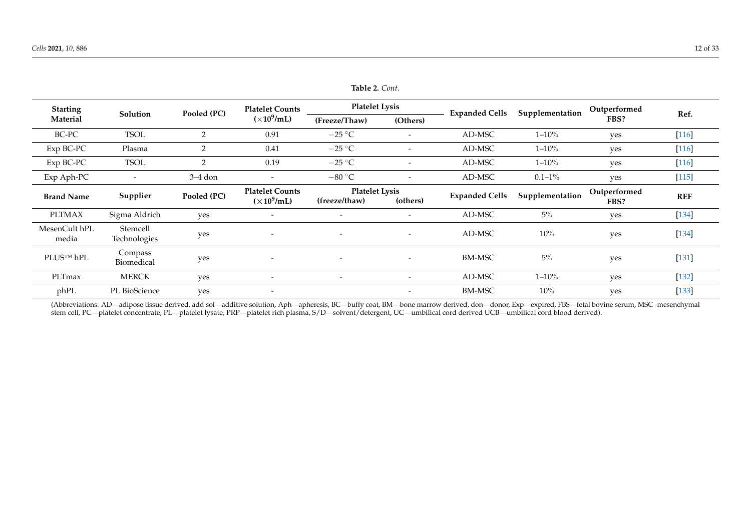| <b>Starting</b>        |                          |                | <b>Platelet Counts</b>                        | <b>Platelet Lysis</b>                  |                          | <b>Expanded Cells</b> | Supplementation | Outperformed         |            |
|------------------------|--------------------------|----------------|-----------------------------------------------|----------------------------------------|--------------------------|-----------------------|-----------------|----------------------|------------|
| Material               | Pooled (PC)<br>Solution  |                | $(\times 10^9$ /mL)                           | (Freeze/Thaw)<br>(Others)              |                          |                       |                 | FBS?                 | Ref.       |
| BC-PC                  | <b>TSOL</b>              | $\overline{2}$ | 0.91                                          | $-25\text{ °C}$                        |                          | AD-MSC                | $1 - 10\%$      | yes                  | $[116]$    |
| Exp BC-PC              | Plasma                   | 2              | 0.41                                          | $-25\text{ °C}$                        | $\overline{\phantom{0}}$ | AD-MSC                | $1 - 10\%$      | yes                  | $[116]$    |
| Exp BC-PC              | <b>TSOL</b>              | $\overline{2}$ | 0.19                                          | $-25\text{ °C}$                        |                          | AD-MSC                | $1 - 10\%$      | yes                  | $[116]$    |
| Exp Aph-PC             |                          | 3–4 don        | $\overline{\phantom{a}}$                      | $-80\degree$ C                         |                          | AD-MSC                | $0.1 - 1\%$     | yes                  | $[115]$    |
| <b>Brand Name</b>      | Supplier                 | Pooled (PC)    | <b>Platelet Counts</b><br>$(\times 10^9$ /mL) | <b>Platelet Lysis</b><br>(freeze/thaw) | (others)                 | <b>Expanded Cells</b> | Supplementation | Outperformed<br>FBS? | <b>REF</b> |
| <b>PLTMAX</b>          | Sigma Aldrich            | yes            |                                               |                                        |                          | AD-MSC                | 5%              | yes                  | $[134]$    |
| MesenCult hPL<br>media | Stemcell<br>Technologies | yes            | $\overline{\phantom{a}}$                      |                                        |                          | AD-MSC                | $10\%$          | yes                  | $[134]$    |
| PLUS™ hPL              | Compass<br>Biomedical    | yes            | $\overline{\phantom{a}}$                      | $\overline{\phantom{a}}$               | $\overline{\phantom{a}}$ | BM-MSC                | 5%              | yes                  | $[131]$    |
| PLTmax                 | <b>MERCK</b>             | yes            | $\overline{\phantom{0}}$                      |                                        |                          | AD-MSC                | $1 - 10\%$      | yes                  | $[132]$    |
| phPL                   | PL BioScience            | yes            |                                               |                                        |                          | <b>BM-MSC</b>         | $10\%$          | yes                  | $[133]$    |

**Table 2.** *Cont*.

<span id="page-11-0"></span>(Abbreviations: AD—adipose tissue derived, add sol—additive solution, Aph—apheresis, BC—buffy coat, BM—bone marrow derived, don—donor, Exp—expired, FBS—fetal bovine serum, MSC -mesenchymal stem cell, PC—platelet concentrate, PL—platelet lysate, PRP—platelet rich plasma, S/D—solvent/detergent, UC—umbilical cord derived UCB—umbilical cord blood derived).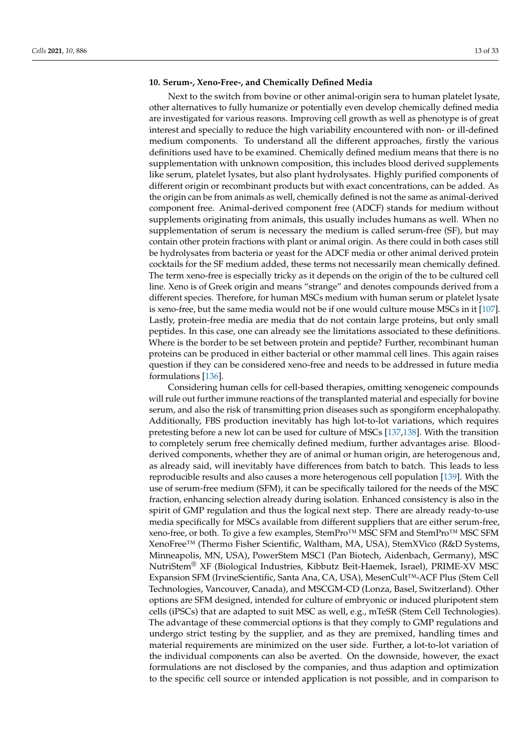# **10. Serum-, Xeno-Free-, and Chemically Defined Media**

Next to the switch from bovine or other animal-origin sera to human platelet lysate, other alternatives to fully humanize or potentially even develop chemically defined media are investigated for various reasons. Improving cell growth as well as phenotype is of great interest and specially to reduce the high variability encountered with non- or ill-defined medium components. To understand all the different approaches, firstly the various definitions used have to be examined. Chemically defined medium means that there is no supplementation with unknown composition, this includes blood derived supplements like serum, platelet lysates, but also plant hydrolysates. Highly purified components of different origin or recombinant products but with exact concentrations, can be added. As the origin can be from animals as well, chemically defined is not the same as animal-derived component free. Animal-derived component free (ADCF) stands for medium without supplements originating from animals, this usually includes humans as well. When no supplementation of serum is necessary the medium is called serum-free (SF), but may contain other protein fractions with plant or animal origin. As there could in both cases still be hydrolysates from bacteria or yeast for the ADCF media or other animal derived protein cocktails for the SF medium added, these terms not necessarily mean chemically defined. The term xeno-free is especially tricky as it depends on the origin of the to be cultured cell line. Xeno is of Greek origin and means "strange" and denotes compounds derived from a different species. Therefore, for human MSCs medium with human serum or platelet lysate is xeno-free, but the same media would not be if one would culture mouse MSCs in it [\[107\]](#page-27-19). Lastly, protein-free media are media that do not contain large proteins, but only small peptides. In this case, one can already see the limitations associated to these definitions. Where is the border to be set between protein and peptide? Further, recombinant human proteins can be produced in either bacterial or other mammal cell lines. This again raises question if they can be considered xeno-free and needs to be addressed in future media formulations [\[136\]](#page-28-36).

Considering human cells for cell-based therapies, omitting xenogeneic compounds will rule out further immune reactions of the transplanted material and especially for bovine serum, and also the risk of transmitting prion diseases such as spongiform encephalopathy. Additionally, FBS production inevitably has high lot-to-lot variations, which requires pretesting before a new lot can be used for culture of MSCs [\[137,](#page-29-0)[138\]](#page-29-1). With the transition to completely serum free chemically defined medium, further advantages arise. Bloodderived components, whether they are of animal or human origin, are heterogenous and, as already said, will inevitably have differences from batch to batch. This leads to less reproducible results and also causes a more heterogenous cell population [\[139\]](#page-29-2). With the use of serum-free medium (SFM), it can be specifically tailored for the needs of the MSC fraction, enhancing selection already during isolation. Enhanced consistency is also in the spirit of GMP regulation and thus the logical next step. There are already ready-to-use media specifically for MSCs available from different suppliers that are either serum-free, xeno-free, or both. To give a few examples, StemPro™ MSC SFM and StemPro™ MSC SFM XenoFree™ (Thermo Fisher Scientific, Waltham, MA, USA), StemXVico (R&D Systems, Minneapolis, MN, USA), PowerStem MSC1 (Pan Biotech, Aidenbach, Germany), MSC NutriStem® XF (Biological Industries, Kibbutz Beit-Haemek, Israel), PRIME-XV MSC Expansion SFM (IrvineScientific, Santa Ana, CA, USA), MesenCult™-ACF Plus (Stem Cell Technologies, Vancouver, Canada), and MSCGM-CD (Lonza, Basel, Switzerland). Other options are SFM designed, intended for culture of embryonic or induced pluripotent stem cells (iPSCs) that are adapted to suit MSC as well, e.g., mTeSR (Stem Cell Technologies). The advantage of these commercial options is that they comply to GMP regulations and undergo strict testing by the supplier, and as they are premixed, handling times and material requirements are minimized on the user side. Further, a lot-to-lot variation of the individual components can also be averted. On the downside, however, the exact formulations are not disclosed by the companies, and thus adaption and optimization to the specific cell source or intended application is not possible, and in comparison to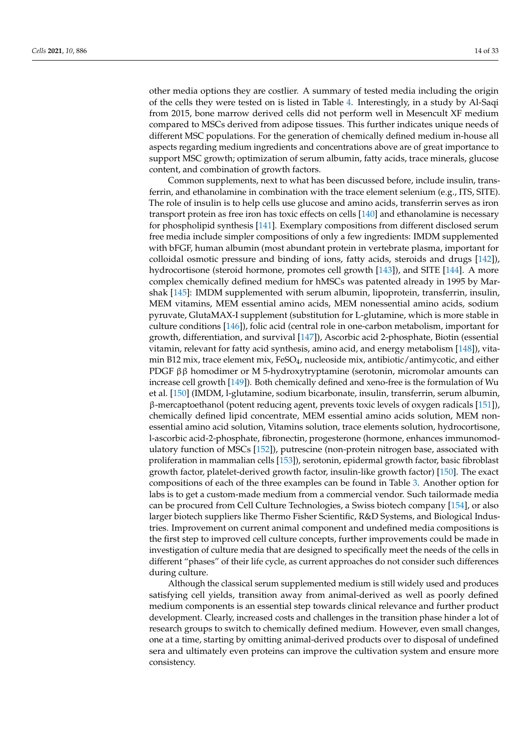other media options they are costlier. A summary of tested media including the origin of the cells they were tested on is listed in Table [4.](#page-16-0) Interestingly, in a study by Al-Saqi from 2015, bone marrow derived cells did not perform well in Mesencult XF medium compared to MSCs derived from adipose tissues. This further indicates unique needs of different MSC populations. For the generation of chemically defined medium in-house all aspects regarding medium ingredients and concentrations above are of great importance to support MSC growth; optimization of serum albumin, fatty acids, trace minerals, glucose content, and combination of growth factors.

Common supplements, next to what has been discussed before, include insulin, transferrin, and ethanolamine in combination with the trace element selenium (e.g., ITS, SITE). The role of insulin is to help cells use glucose and amino acids, transferrin serves as iron transport protein as free iron has toxic effects on cells [\[140\]](#page-29-3) and ethanolamine is necessary for phospholipid synthesis [\[141\]](#page-29-4). Exemplary compositions from different disclosed serum free media include simpler compositions of only a few ingredients: IMDM supplemented with bFGF, human albumin (most abundant protein in vertebrate plasma, important for colloidal osmotic pressure and binding of ions, fatty acids, steroids and drugs [\[142\]](#page-29-5)), hydrocortisone (steroid hormone, promotes cell growth [\[143\]](#page-29-6)), and SITE [\[144\]](#page-29-7). A more complex chemically defined medium for hMSCs was patented already in 1995 by Marshak [\[145\]](#page-29-8): IMDM supplemented with serum albumin, lipoprotein, transferrin, insulin, MEM vitamins, MEM essential amino acids, MEM nonessential amino acids, sodium pyruvate, GlutaMAX-I supplement (substitution for L-glutamine, which is more stable in culture conditions [\[146\]](#page-29-9)), folic acid (central role in one-carbon metabolism, important for growth, differentiation, and survival [\[147\]](#page-29-10)), Ascorbic acid 2-phosphate, Biotin (essential vitamin, relevant for fatty acid synthesis, amino acid, and energy metabolism [\[148\]](#page-29-11)), vitamin B12 mix, trace element mix, FeSO<sub>4</sub>, nucleoside mix, antibiotic/antimycotic, and either PDGF ββ homodimer or M 5-hydroxytryptamine (serotonin, micromolar amounts can increase cell growth [\[149\]](#page-29-12)). Both chemically defined and xeno-free is the formulation of Wu et al. [\[150\]](#page-29-13) (IMDM, l-glutamine, sodium bicarbonate, insulin, transferrin, serum albumin, β-mercaptoethanol (potent reducing agent, prevents toxic levels of oxygen radicals [\[151\]](#page-29-14)), chemically defined lipid concentrate, MEM essential amino acids solution, MEM nonessential amino acid solution, Vitamins solution, trace elements solution, hydrocortisone, l-ascorbic acid-2-phosphate, fibronectin, progesterone (hormone, enhances immunomodulatory function of MSCs [\[152\]](#page-29-15)), putrescine (non-protein nitrogen base, associated with proliferation in mammalian cells [\[153\]](#page-29-16)), serotonin, epidermal growth factor, basic fibroblast growth factor, platelet-derived growth factor, insulin-like growth factor) [\[150\]](#page-29-13). The exact compositions of each of the three examples can be found in Table [3.](#page-14-0) Another option for labs is to get a custom-made medium from a commercial vendor. Such tailormade media can be procured from Cell Culture Technologies, a Swiss biotech company [\[154\]](#page-29-17), or also larger biotech suppliers like Thermo Fisher Scientific, R&D Systems, and Biological Industries. Improvement on current animal component and undefined media compositions is the first step to improved cell culture concepts, further improvements could be made in investigation of culture media that are designed to specifically meet the needs of the cells in different "phases" of their life cycle, as current approaches do not consider such differences during culture.

Although the classical serum supplemented medium is still widely used and produces satisfying cell yields, transition away from animal-derived as well as poorly defined medium components is an essential step towards clinical relevance and further product development. Clearly, increased costs and challenges in the transition phase hinder a lot of research groups to switch to chemically defined medium. However, even small changes, one at a time, starting by omitting animal-derived products over to disposal of undefined sera and ultimately even proteins can improve the cultivation system and ensure more consistency.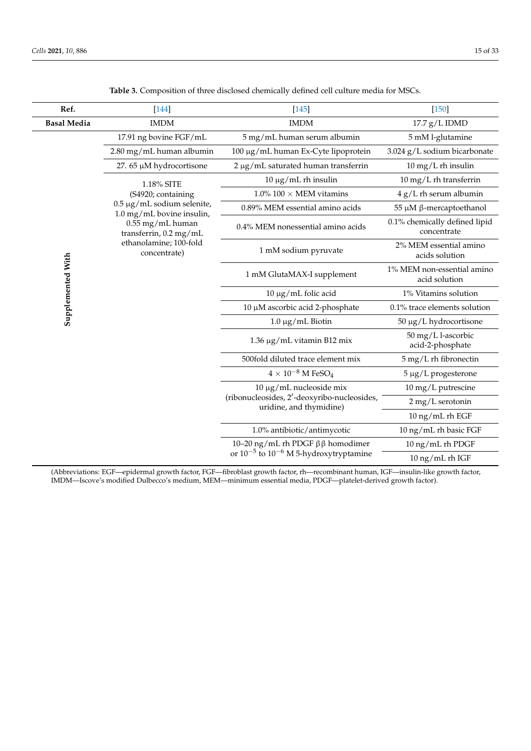<span id="page-14-0"></span>

| Ref.               | $[144]$                                                      | $[145]$                                                                | $[150]$                                      |
|--------------------|--------------------------------------------------------------|------------------------------------------------------------------------|----------------------------------------------|
| <b>Basal Media</b> | <b>IMDM</b>                                                  | <b>IMDM</b>                                                            | $17.7$ g/L IDMD                              |
|                    | 17.91 ng bovine FGF/mL                                       | 5 mg/mL human serum albumin                                            | 5 mM l-glutamine                             |
|                    | 2.80 mg/mL human albumin                                     | 100 μg/mL human Ex-Cyte lipoprotein                                    | 3.024 g/L sodium bicarbonate                 |
|                    | 27.65 µM hydrocortisone                                      | 2 µg/mL saturated human transferrin                                    | $10 \text{ mg/L}$ rh insulin                 |
|                    | 1.18% SITE                                                   | $10 \mu g/mL$ rh insulin                                               | 10 mg/L rh transferrin                       |
|                    | (S4920; containing                                           | $1.0\%$ 100 $\times$ MEM vitamins                                      | $4 g/L$ rh serum albumin                     |
|                    | $0.5 \mu g/mL$ sodium selenite,<br>1.0 mg/mL bovine insulin, | 0.89% MEM essential amino acids                                        | 55 μM β-mercaptoethanol                      |
|                    | 0.55 mg/mL human<br>transferrin, 0.2 mg/mL                   | 0.4% MEM nonessential amino acids                                      | 0.1% chemically defined lipid<br>concentrate |
| Supplemented With  | ethanolamine; 100-fold<br>concentrate)                       | 1 mM sodium pyruvate                                                   |                                              |
|                    |                                                              | 1 mM GlutaMAX-I supplement                                             | 1% MEM non-essential amino<br>acid solution  |
|                    |                                                              | 10 μg/mL folic acid                                                    | 1% Vitamins solution                         |
|                    |                                                              | 10 μM ascorbic acid 2-phosphate                                        | 0.1% trace elements solution                 |
|                    |                                                              | $1.0 \mu g/mL$ Biotin                                                  | 50 μg/L hydrocortisone                       |
|                    |                                                              | 1.36 μg/mL vitamin B12 mix                                             | 50 mg/L l-ascorbic<br>acid-2-phosphate       |
|                    |                                                              | 500fold diluted trace element mix                                      | 5 mg/L rh fibronectin                        |
|                    |                                                              | $4\times10^{-8}$ M FeSO <sub>4</sub>                                   | 5 µg/L progesterone                          |
|                    |                                                              | $10 \mu g/mL$ nucleoside mix                                           | 10 mg/L putrescine                           |
|                    |                                                              | (ribonucleosides, 2'-deoxyribo-nucleosides,<br>uridine, and thymidine) | 2 mg/L serotonin                             |
|                    |                                                              |                                                                        | 10 ng/mL rh EGF                              |
|                    |                                                              | 1.0% antibiotic/antimycotic                                            | 10 ng/mL rh basic FGF                        |
|                    |                                                              | 10-20 ng/mL rh PDGF ββ homodimer                                       | 10 ng/mL rh PDGF                             |
|                    |                                                              | or $10^{-5}$ to $10^{-6}$ M 5-hydroxytryptamine                        | 10 ng/mL rh IGF                              |

**Table 3.** Composition of three disclosed chemically defined cell culture media for MSCs.

(Abbreviations: EGF—epidermal growth factor, FGF—fibroblast growth factor, rh—recombinant human, IGF—insulin-like growth factor, IMDM—Iscove's modified Dulbecco's medium, MEM—minimum essential media, PDGF—platelet-derived growth factor).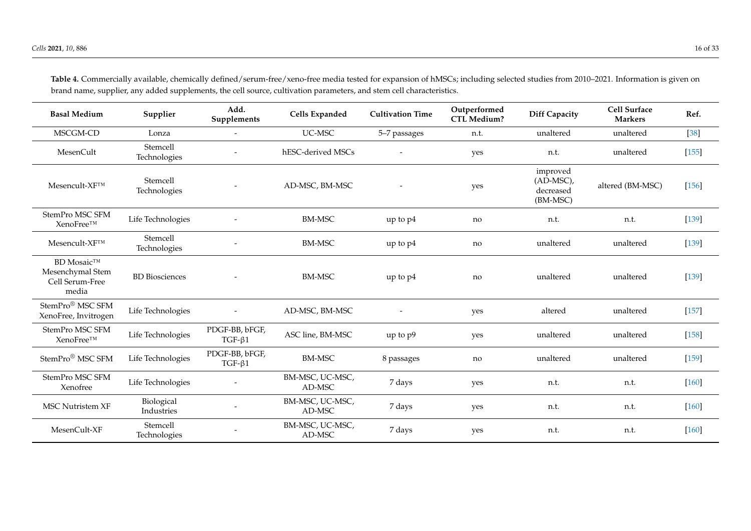|                                                                   |                          | Add.                           |                           |                         | Outperformed       |                                                 | <b>Cell Surface</b> |         |
|-------------------------------------------------------------------|--------------------------|--------------------------------|---------------------------|-------------------------|--------------------|-------------------------------------------------|---------------------|---------|
| <b>Basal Medium</b>                                               | Supplier                 | Supplements                    | Cells Expanded            | <b>Cultivation Time</b> | <b>CTL Medium?</b> | <b>Diff Capacity</b>                            | <b>Markers</b>      | Ref.    |
| MSCGM-CD                                                          | Lonza                    | $\overline{\phantom{0}}$       | UC-MSC                    | 5-7 passages            | n.t.               | unaltered                                       | unaltered           | $[38]$  |
| MesenCult                                                         | Stemcell<br>Technologies |                                | hESC-derived MSCs         |                         | yes                | n.t.                                            | unaltered           | $[155]$ |
| $Mesencult-XF^{TM}$                                               | Stemcell<br>Technologies |                                | AD-MSC, BM-MSC            |                         | yes                | improved<br>$(AD-MSC)$<br>decreased<br>(BM-MSC) | altered (BM-MSC)    | $[156]$ |
| StemPro MSC SFM<br>XenoFree™                                      | Life Technologies        |                                | <b>BM-MSC</b>             | up to p4                | no                 | n.t.                                            | n.t.                | $[139]$ |
| Mesencult-XF™                                                     | Stemcell<br>Technologies |                                | <b>BM-MSC</b>             | up to p4                | no                 | unaltered                                       | unaltered           | $[139]$ |
| <b>BD</b> Mosaic™<br>Mesenchymal Stem<br>Cell Serum-Free<br>media | <b>BD</b> Biosciences    |                                | <b>BM-MSC</b>             | up to p4                | no                 | unaltered                                       | unaltered           | $[139]$ |
| StemPro <sup>®</sup> MSC SFM<br>XenoFree, Invitrogen              | Life Technologies        | $\overline{\phantom{a}}$       | AD-MSC, BM-MSC            |                         | yes                | altered                                         | unaltered           | $[157]$ |
| StemPro MSC SFM<br>XenoFree™                                      | Life Technologies        | PDGF-BB, bFGF,<br>$TGF-61$     | ASC line, BM-MSC          | up to p9                | yes                | unaltered                                       | unaltered           | $[158]$ |
| StemPro <sup>®</sup> MSC SFM                                      | Life Technologies        | PDGF-BB, bFGF,<br>$TGF-\beta1$ | <b>BM-MSC</b>             | 8 passages              | no                 | unaltered                                       | unaltered           | $[159]$ |
| StemPro MSC SFM<br>Xenofree                                       | Life Technologies        |                                | BM-MSC, UC-MSC,<br>AD-MSC | 7 days                  | yes                | n.t.                                            | n.t.                | $[160]$ |
| <b>MSC Nutristem XF</b>                                           | Biological<br>Industries |                                | BM-MSC, UC-MSC,<br>AD-MSC | 7 days                  | yes                | n.t.                                            | n.t.                | $[160]$ |
| MesenCult-XF                                                      | Stemcell<br>Technologies |                                | BM-MSC, UC-MSC,<br>AD-MSC | 7 days                  | yes                | n.t.                                            | n.t.                | $[160]$ |

**Table 4.** Commercially available, chemically defined/serum-free/xeno-free media tested for expansion of hMSCs; including selected studies from 2010–2021. Information is given on brand name, supplier, any added supplements, the cell source, cultivation parameters, and stem cell characteristics.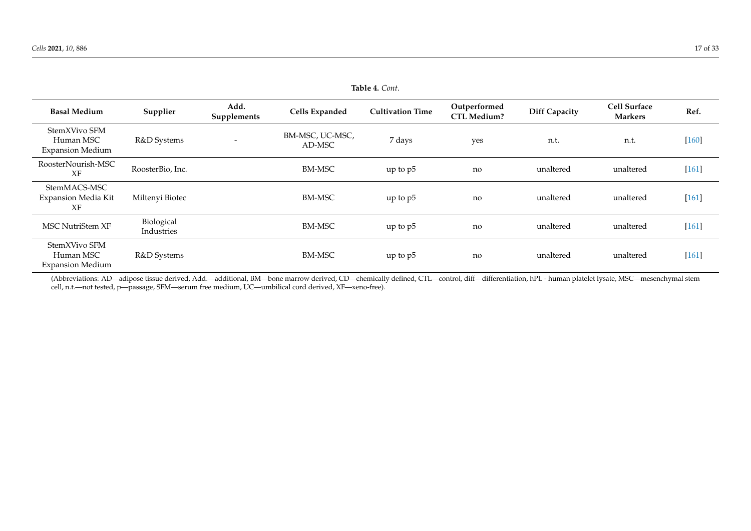|                                                       | Table 4. Cont.           |                     |                           |                         |                                    |                      |                                       |         |
|-------------------------------------------------------|--------------------------|---------------------|---------------------------|-------------------------|------------------------------------|----------------------|---------------------------------------|---------|
| <b>Basal Medium</b>                                   | Supplier                 | Add.<br>Supplements | Cells Expanded            | <b>Cultivation Time</b> | Outperformed<br><b>CTL Medium?</b> | <b>Diff Capacity</b> | <b>Cell Surface</b><br><b>Markers</b> | Ref.    |
| StemXVivo SFM<br>Human MSC<br><b>Expansion Medium</b> | R&D Systems              |                     | BM-MSC, UC-MSC,<br>AD-MSC | 7 days                  | yes                                | n.t.                 | n.t.                                  | $[160]$ |
| RoosterNourish-MSC<br>XF                              | RoosterBio, Inc.         |                     | BM-MSC                    | up to $p5$              | no                                 | unaltered            | unaltered                             | $[161]$ |
| StemMACS-MSC<br>Expansion Media Kit<br>XF             | Miltenyi Biotec          |                     | <b>BM-MSC</b>             | up to p5                | no                                 | unaltered            | unaltered                             | $[161]$ |
| MSC NutriStem XF                                      | Biological<br>Industries |                     | <b>BM-MSC</b>             | up to p5                | no                                 | unaltered            | unaltered                             | $[161]$ |
| StemXVivo SFM<br>Human MSC<br><b>Expansion Medium</b> | R&D Systems              |                     | <b>BM-MSC</b>             | up to $p5$              | no                                 | unaltered            | unaltered                             | $[161]$ |

<span id="page-16-0"></span>(Abbreviations: AD—adipose tissue derived, Add.—additional, BM—bone marrow derived, CD—chemically defined, CTL—control, diff—differentiation, hPL - human platelet lysate, MSC—mesenchymal stem cell, n.t.—not tested, p—passage, SFM—serum free medium, UC—umbilical cord derived, XF—xeno-free).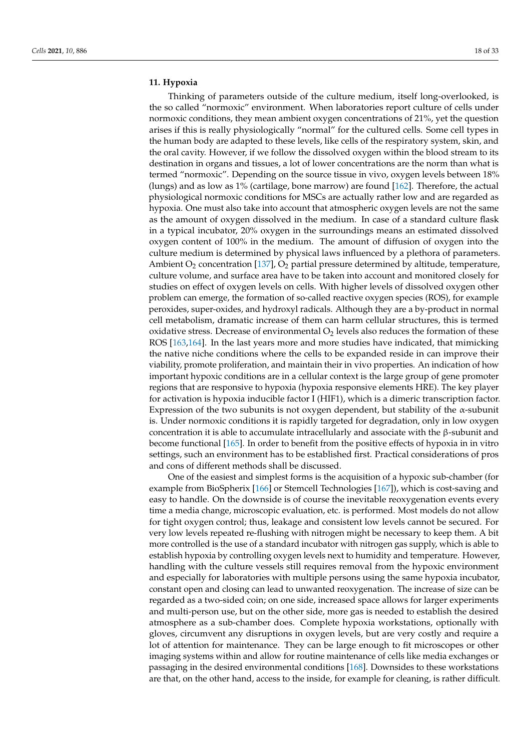# **11. Hypoxia**

Thinking of parameters outside of the culture medium, itself long-overlooked, is the so called "normoxic" environment. When laboratories report culture of cells under normoxic conditions, they mean ambient oxygen concentrations of 21%, yet the question arises if this is really physiologically "normal" for the cultured cells. Some cell types in the human body are adapted to these levels, like cells of the respiratory system, skin, and the oral cavity. However, if we follow the dissolved oxygen within the blood stream to its destination in organs and tissues, a lot of lower concentrations are the norm than what is termed "normoxic". Depending on the source tissue in vivo, oxygen levels between 18% (lungs) and as low as 1% (cartilage, bone marrow) are found [\[162\]](#page-29-26). Therefore, the actual physiological normoxic conditions for MSCs are actually rather low and are regarded as hypoxia. One must also take into account that atmospheric oxygen levels are not the same as the amount of oxygen dissolved in the medium. In case of a standard culture flask in a typical incubator, 20% oxygen in the surroundings means an estimated dissolved oxygen content of 100% in the medium. The amount of diffusion of oxygen into the culture medium is determined by physical laws influenced by a plethora of parameters. Ambient  $O_2$  concentration [\[137\]](#page-29-0),  $O_2$  partial pressure determined by altitude, temperature, culture volume, and surface area have to be taken into account and monitored closely for studies on effect of oxygen levels on cells. With higher levels of dissolved oxygen other problem can emerge, the formation of so-called reactive oxygen species (ROS), for example peroxides, super-oxides, and hydroxyl radicals. Although they are a by-product in normal cell metabolism, dramatic increase of them can harm cellular structures, this is termed oxidative stress. Decrease of environmental  $O<sub>2</sub>$  levels also reduces the formation of these ROS [\[163,](#page-29-27)[164\]](#page-30-0). In the last years more and more studies have indicated, that mimicking the native niche conditions where the cells to be expanded reside in can improve their viability, promote proliferation, and maintain their in vivo properties. An indication of how important hypoxic conditions are in a cellular context is the large group of gene promoter regions that are responsive to hypoxia (hypoxia responsive elements HRE). The key player for activation is hypoxia inducible factor I (HIF1), which is a dimeric transcription factor. Expression of the two subunits is not oxygen dependent, but stability of the  $\alpha$ -subunit is. Under normoxic conditions it is rapidly targeted for degradation, only in low oxygen concentration it is able to accumulate intracellularly and associate with the β-subunit and become functional [\[165\]](#page-30-1). In order to benefit from the positive effects of hypoxia in in vitro settings, such an environment has to be established first. Practical considerations of pros and cons of different methods shall be discussed.

One of the easiest and simplest forms is the acquisition of a hypoxic sub-chamber (for example from BioSpherix [\[166\]](#page-30-2) or Stemcell Technologies [\[167\]](#page-30-3)), which is cost-saving and easy to handle. On the downside is of course the inevitable reoxygenation events every time a media change, microscopic evaluation, etc. is performed. Most models do not allow for tight oxygen control; thus, leakage and consistent low levels cannot be secured. For very low levels repeated re-flushing with nitrogen might be necessary to keep them. A bit more controlled is the use of a standard incubator with nitrogen gas supply, which is able to establish hypoxia by controlling oxygen levels next to humidity and temperature. However, handling with the culture vessels still requires removal from the hypoxic environment and especially for laboratories with multiple persons using the same hypoxia incubator, constant open and closing can lead to unwanted reoxygenation. The increase of size can be regarded as a two-sided coin; on one side, increased space allows for larger experiments and multi-person use, but on the other side, more gas is needed to establish the desired atmosphere as a sub-chamber does. Complete hypoxia workstations, optionally with gloves, circumvent any disruptions in oxygen levels, but are very costly and require a lot of attention for maintenance. They can be large enough to fit microscopes or other imaging systems within and allow for routine maintenance of cells like media exchanges or passaging in the desired environmental conditions [\[168\]](#page-30-4). Downsides to these workstations are that, on the other hand, access to the inside, for example for cleaning, is rather difficult.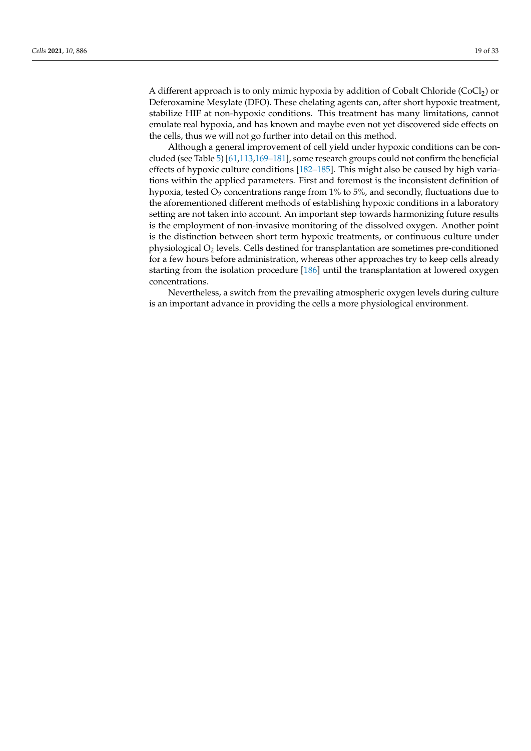A different approach is to only mimic hypoxia by addition of Cobalt Chloride  $(CoCl<sub>2</sub>)$  or Deferoxamine Mesylate (DFO). These chelating agents can, after short hypoxic treatment, stabilize HIF at non-hypoxic conditions. This treatment has many limitations, cannot emulate real hypoxia, and has known and maybe even not yet discovered side effects on

the cells, thus we will not go further into detail on this method. Although a general improvement of cell yield under hypoxic conditions can be concluded (see Table [5\)](#page-19-0) [\[61,](#page-25-25)[113,](#page-28-0)[169–](#page-30-5)[181\]](#page-30-6), some research groups could not confirm the beneficial effects of hypoxic culture conditions [\[182–](#page-30-7)[185\]](#page-30-8). This might also be caused by high variations within the applied parameters. First and foremost is the inconsistent definition of hypoxia, tested  $O<sub>2</sub>$  concentrations range from 1% to 5%, and secondly, fluctuations due to the aforementioned different methods of establishing hypoxic conditions in a laboratory setting are not taken into account. An important step towards harmonizing future results is the employment of non-invasive monitoring of the dissolved oxygen. Another point is the distinction between short term hypoxic treatments, or continuous culture under physiological  $O_2$  levels. Cells destined for transplantation are sometimes pre-conditioned for a few hours before administration, whereas other approaches try to keep cells already starting from the isolation procedure [\[186\]](#page-30-9) until the transplantation at lowered oxygen concentrations.

Nevertheless, a switch from the prevailing atmospheric oxygen levels during culture is an important advance in providing the cells a more physiological environment.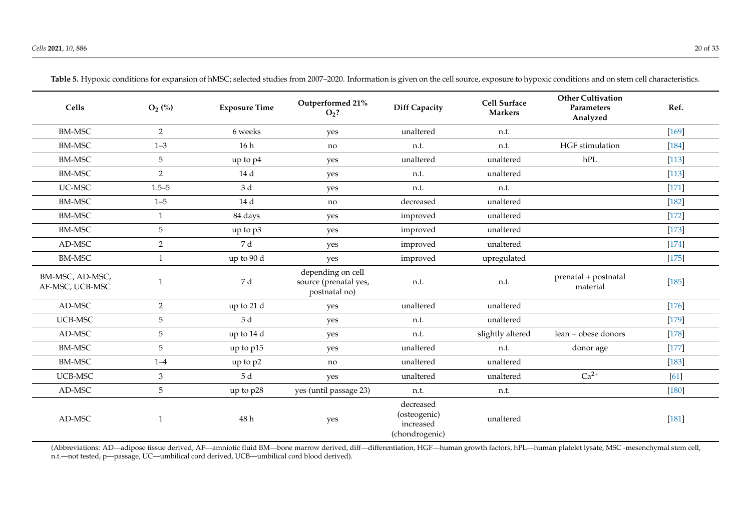| Cells                              | $O_2$ (%)      | <b>Exposure Time</b> | Outperformed 21%<br>$O2$ ?                                  | <b>Diff Capacity</b>                                     | <b>Cell Surface</b><br><b>Markers</b> | <b>Other Cultivation</b><br>Parameters<br>Analyzed | Ref.    |
|------------------------------------|----------------|----------------------|-------------------------------------------------------------|----------------------------------------------------------|---------------------------------------|----------------------------------------------------|---------|
| <b>BM-MSC</b>                      | $\overline{2}$ | 6 weeks              | yes                                                         | unaltered                                                | n.t.                                  |                                                    | $[169]$ |
| <b>BM-MSC</b>                      | $1 - 3$        | 16h                  | no                                                          | n.t.                                                     | n.t.                                  | HGF stimulation                                    | $[184]$ |
| <b>BM-MSC</b>                      | 5              | up to p4             | yes                                                         | unaltered                                                | unaltered                             | hPL                                                | $[113]$ |
| <b>BM-MSC</b>                      | $\overline{2}$ | 14 d                 | yes                                                         | n.t.                                                     | unaltered                             |                                                    | $[113]$ |
| UC-MSC                             | $1.5 - 5$      | 3d                   | yes                                                         | n.t.                                                     | n.t.                                  |                                                    | $[171]$ |
| <b>BM-MSC</b>                      | $1 - 5$        | 14 d                 | no                                                          | decreased                                                | unaltered                             |                                                    | $[182]$ |
| <b>BM-MSC</b>                      | 1              | 84 days              | yes                                                         | improved                                                 | unaltered                             |                                                    | $[172]$ |
| <b>BM-MSC</b>                      | 5              | up to p3             | yes                                                         | improved                                                 | unaltered                             |                                                    | $[173]$ |
| AD-MSC                             | $\overline{2}$ | 7 d                  | yes                                                         | improved                                                 | unaltered                             |                                                    | $[174]$ |
| <b>BM-MSC</b>                      | $\mathbf{1}$   | up to 90 d           | yes                                                         | improved                                                 | upregulated                           |                                                    | $[175]$ |
| BM-MSC, AD-MSC,<br>AF-MSC, UCB-MSC | 1              | 7 d                  | depending on cell<br>source (prenatal yes,<br>postnatal no) | n.t.                                                     | n.t.                                  | prenatal + postnatal<br>material                   | $[185]$ |
| AD-MSC                             | $\overline{2}$ | up to 21 d           | yes                                                         | unaltered                                                | unaltered                             |                                                    | $[176]$ |
| UCB-MSC                            | 5              | 5 d                  | yes                                                         | n.t.                                                     | unaltered                             |                                                    | $[179]$ |
| AD-MSC                             | $\sqrt{5}$     | up to 14 d           | yes                                                         | n.t.                                                     | slightly altered                      | lean + obese donors                                | $[178]$ |
| <b>BM-MSC</b>                      | 5              | up to p15            | yes                                                         | unaltered                                                | n.t.                                  | donor age                                          | $[177]$ |
| <b>BM-MSC</b>                      | $1 - 4$        | up to p2             | no                                                          | unaltered                                                | unaltered                             |                                                    | $[183]$ |
| UCB-MSC                            | $\mathfrak{Z}$ | 5d                   | yes                                                         | unaltered                                                | unaltered                             | $Ca2+$                                             | [61]    |
| AD-MSC                             | 5              | up to p28            | yes (until passage 23)                                      | n.t.                                                     | n.t.                                  |                                                    | $[180]$ |
| AD-MSC                             | 1              | 48 h                 | yes                                                         | decreased<br>(osteogenic)<br>increased<br>(chondrogenic) | unaltered                             |                                                    | $[181]$ |

Table 5. Hypoxic conditions for expansion of hMSC; selected studies from 2007-2020. Information is given on the cell source, exposure to hypoxic conditions and on stem cell characteristics.

<span id="page-19-0"></span>(Abbreviations: AD—adipose tissue derived, AF—amniotic fluid BM—bone marrow derived, diff—differentiation, HGF—human growth factors, hPL—human platelet lysate, MSC -mesenchymal stem cell, n.t.—not tested, p—passage, UC—umbilical cord derived, UCB—umbilical cord blood derived).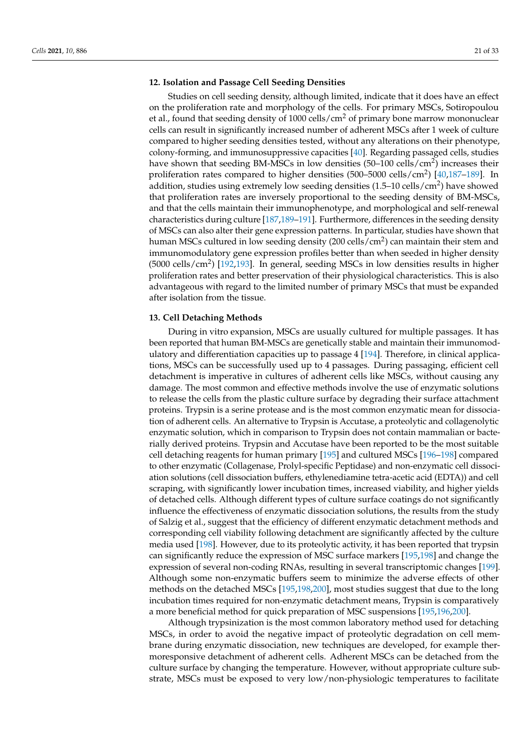#### **12. Isolation and Passage Cell Seeding Densities**

Studies on cell seeding density, although limited, indicate that it does have an effect on the proliferation rate and morphology of the cells. For primary MSCs, Sotiropoulou et al., found that seeding density of  $1000$  cells/cm<sup>2</sup> of primary bone marrow mononuclear cells can result in significantly increased number of adherent MSCs after 1 week of culture compared to higher seeding densities tested, without any alterations on their phenotype, colony-forming, and immunosuppressive capacities [\[40\]](#page-25-4). Regarding passaged cells, studies have shown that seeding BM-MSCs in low densities (50–100 cells/cm<sup>2</sup>) increases their proliferation rates compared to higher densities (500–5000 cells/cm<sup>2</sup>) [\[40](#page-25-4)[,187–](#page-30-26)[189\]](#page-31-0). In addition, studies using extremely low seeding densities (1.5–10 cells/cm<sup>2</sup>) have showed that proliferation rates are inversely proportional to the seeding density of BM-MSCs, and that the cells maintain their immunophenotype, and morphological and self-renewal characteristics during culture [\[187](#page-30-26)[,189–](#page-31-0)[191\]](#page-31-1). Furthermore, differences in the seeding density of MSCs can also alter their gene expression patterns. In particular, studies have shown that human MSCs cultured in low seeding density (200 cells/cm<sup>2</sup>) can maintain their stem and immunomodulatory gene expression profiles better than when seeded in higher density  $(5000 \text{ cells/cm}^2)$  [\[192](#page-31-2)[,193\]](#page-31-3). In general, seeding MSCs in low densities results in higher proliferation rates and better preservation of their physiological characteristics. This is also advantageous with regard to the limited number of primary MSCs that must be expanded after isolation from the tissue.

# **13. Cell Detaching Methods**

During in vitro expansion, MSCs are usually cultured for multiple passages. It has been reported that human BM-MSCs are genetically stable and maintain their immunomodulatory and differentiation capacities up to passage 4 [\[194\]](#page-31-4). Therefore, in clinical applications, MSCs can be successfully used up to 4 passages. During passaging, efficient cell detachment is imperative in cultures of adherent cells like MSCs, without causing any damage. The most common and effective methods involve the use of enzymatic solutions to release the cells from the plastic culture surface by degrading their surface attachment proteins. Trypsin is a serine protease and is the most common enzymatic mean for dissociation of adherent cells. An alternative to Trypsin is Accutase, a proteolytic and collagenolytic enzymatic solution, which in comparison to Trypsin does not contain mammalian or bacterially derived proteins. Trypsin and Accutase have been reported to be the most suitable cell detaching reagents for human primary [\[195\]](#page-31-5) and cultured MSCs [\[196](#page-31-6)[–198\]](#page-31-7) compared to other enzymatic (Collagenase, Prolyl-specific Peptidase) and non-enzymatic cell dissociation solutions (cell dissociation buffers, ethylenediamine tetra-acetic acid (EDTA)) and cell scraping, with significantly lower incubation times, increased viability, and higher yields of detached cells. Although different types of culture surface coatings do not significantly influence the effectiveness of enzymatic dissociation solutions, the results from the study of Salzig et al., suggest that the efficiency of different enzymatic detachment methods and corresponding cell viability following detachment are significantly affected by the culture media used [\[198\]](#page-31-7). However, due to its proteolytic activity, it has been reported that trypsin can significantly reduce the expression of MSC surface markers [\[195,](#page-31-5)[198\]](#page-31-7) and change the expression of several non-coding RNAs, resulting in several transcriptomic changes [\[199\]](#page-31-8). Although some non-enzymatic buffers seem to minimize the adverse effects of other methods on the detached MSCs [\[195](#page-31-5)[,198](#page-31-7)[,200\]](#page-31-9), most studies suggest that due to the long incubation times required for non-enzymatic detachment means, Trypsin is comparatively a more beneficial method for quick preparation of MSC suspensions [\[195](#page-31-5)[,196](#page-31-6)[,200\]](#page-31-9).

Although trypsinization is the most common laboratory method used for detaching MSCs, in order to avoid the negative impact of proteolytic degradation on cell membrane during enzymatic dissociation, new techniques are developed, for example thermoresponsive detachment of adherent cells. Adherent MSCs can be detached from the culture surface by changing the temperature. However, without appropriate culture substrate, MSCs must be exposed to very low/non-physiologic temperatures to facilitate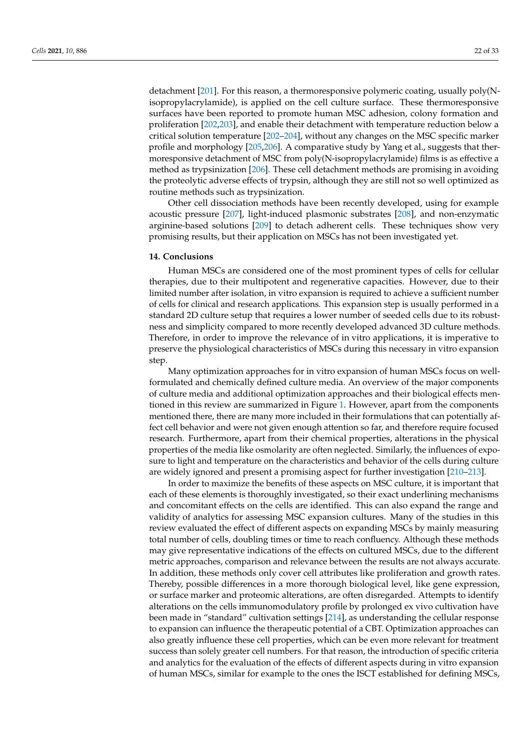detachment [\[201\]](#page-31-10). For this reason, a thermoresponsive polymeric coating, usually poly(Nisopropylacrylamide), is applied on the cell culture surface. These thermoresponsive surfaces have been reported to promote human MSC adhesion, colony formation and proliferation [\[202,](#page-31-11)[203\]](#page-31-12), and enable their detachment with temperature reduction below a critical solution temperature [\[202–](#page-31-11)[204\]](#page-31-13), without any changes on the MSC specific marker profile and morphology [\[205,](#page-31-14)[206\]](#page-31-15). A comparative study by Yang et al., suggests that thermoresponsive detachment of MSC from poly(N-isopropylacrylamide) films is as effective a method as trypsinization [\[206\]](#page-31-15). These cell detachment methods are promising in avoiding the proteolytic adverse effects of trypsin, although they are still not so well optimized as routine methods such as trypsinization.

Other cell dissociation methods have been recently developed, using for example acoustic pressure [\[207\]](#page-31-16), light-induced plasmonic substrates [\[208\]](#page-31-17), and non-enzymatic arginine-based solutions [\[209\]](#page-31-18) to detach adherent cells. These techniques show very promising results, but their application on MSCs has not been investigated yet.

#### **14. Conclusions**

Human MSCs are considered one of the most prominent types of cells for cellular therapies, due to their multipotent and regenerative capacities. However, due to their limited number after isolation, in vitro expansion is required to achieve a sufficient number of cells for clinical and research applications. This expansion step is usually performed in a standard 2D culture setup that requires a lower number of seeded cells due to its robustness and simplicity compared to more recently developed advanced 3D culture methods. Therefore, in order to improve the relevance of in vitro applications, it is imperative to preserve the physiological characteristics of MSCs during this necessary in vitro expansion step.

Many optimization approaches for in vitro expansion of human MSCs focus on wellformulated and chemically defined culture media. An overview of the major components of culture media and additional optimization approaches and their biological effects mentioned in this review are summarized in Figure [1.](#page-22-0) However, apart from the components mentioned there, there are many more included in their formulations that can potentially affect cell behavior and were not given enough attention so far, and therefore require focused research. Furthermore, apart from their chemical properties, alterations in the physical properties of the media like osmolarity are often neglected. Similarly, the influences of exposure to light and temperature on the characteristics and behavior of the cells during culture are widely ignored and present a promising aspect for further investigation [\[210–](#page-31-19)[213\]](#page-32-0).

In order to maximize the benefits of these aspects on MSC culture, it is important that each of these elements is thoroughly investigated, so their exact underlining mechanisms and concomitant effects on the cells are identified. This can also expand the range and validity of analytics for assessing MSC expansion cultures. Many of the studies in this review evaluated the effect of different aspects on expanding MSCs by mainly measuring total number of cells, doubling times or time to reach confluency. Although these methods may give representative indications of the effects on cultured MSCs, due to the different metric approaches, comparison and relevance between the results are not always accurate. In addition, these methods only cover cell attributes like proliferation and growth rates. Thereby, possible differences in a more thorough biological level, like gene expression, or surface marker and proteomic alterations, are often disregarded. Attempts to identify alterations on the cells immunomodulatory profile by prolonged ex vivo cultivation have been made in "standard" cultivation settings [\[214\]](#page-32-1), as understanding the cellular response to expansion can influence the therapeutic potential of a CBT. Optimization approaches can also greatly influence these cell properties, which can be even more relevant for treatment success than solely greater cell numbers. For that reason, the introduction of specific criteria and analytics for the evaluation of the effects of different aspects during in vitro expansion of human MSCs, similar for example to the ones the ISCT established for defining MSCs,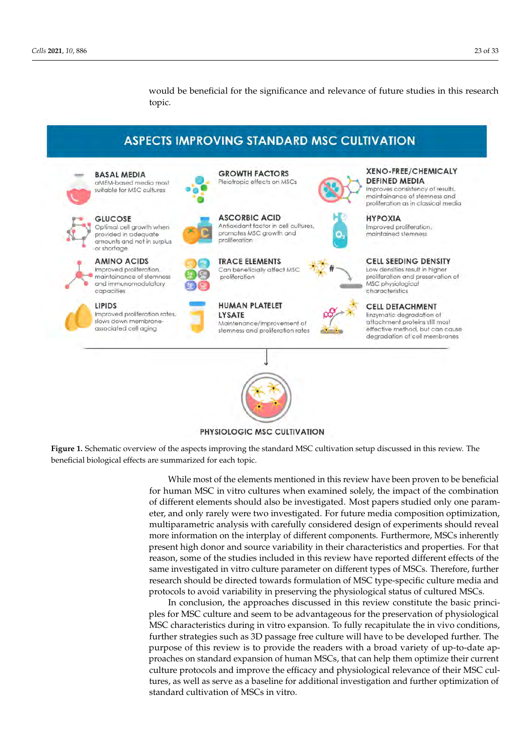would be beneficial for the significance and relevance of future studies in this research topic.

# **ASPECTS IMPROVING STANDARD MSC CULTIVATION**

<span id="page-22-0"></span>**GROWTH FACTORS BASAL MEDIA** aMEM-based media most Pleiotropic effects on MSCs suitable for MSC cultures **GLUCOSE ASCORBIC ACID** Optimal cell growth when provided in adequate amounts and not in surplus or shortage AMINO ACIDS Improved proliferation. maintainance of stemness and immunomodulatory

> LIPIDS Improved proliferation rates. slows down membraneassociated cell aging

capacities



**TRACE ELEMENTS** Can beneficially affect MSC





characteristics

#### proliferation and preservation of MSC physiological

**XENO-FREE/CHEMICALY** 

Improves consistency of results. maintainance of stemness and proliferation as in classical media

**DEFINED MEDIA** 

Improved proliferation.

maintained stemness

**HYPOXIA** 

**CELL DETACHMENT** Enzymatic degradation of attachment proteins still most effective method, but can cause degradation of cell membranes



PHYSIOLOGIC MSC CULTIVATION

**Figure 1.** Schematic overview of the aspects improving the standard MSC cultivation setup discussed in this review. The beneficial biological effects are summarized for each topic.

> While most of the elements mentioned in this review have been proven to be beneficial for human MSC in vitro cultures when examined solely, the impact of the combination of different elements should also be investigated. Most papers studied only one parameter, and only rarely were two investigated. For future media composition optimization, multiparametric analysis with carefully considered design of experiments should reveal more information on the interplay of different components. Furthermore, MSCs inherently present high donor and source variability in their characteristics and properties. For that reason, some of the studies included in this review have reported different effects of the same investigated in vitro culture parameter on different types of MSCs. Therefore, further research should be directed towards formulation of MSC type-specific culture media and protocols to avoid variability in preserving the physiological status of cultured MSCs.

> In conclusion, the approaches discussed in this review constitute the basic principles for MSC culture and seem to be advantageous for the preservation of physiological MSC characteristics during in vitro expansion. To fully recapitulate the in vivo conditions, further strategies such as 3D passage free culture will have to be developed further. The purpose of this review is to provide the readers with a broad variety of up-to-date approaches on standard expansion of human MSCs, that can help them optimize their current culture protocols and improve the efficacy and physiological relevance of their MSC cultures, as well as serve as a baseline for additional investigation and further optimization of standard cultivation of MSCs in vitro.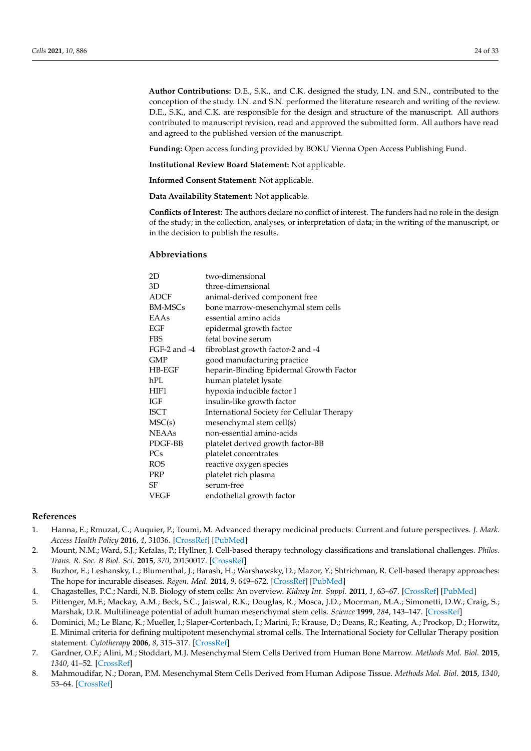**Author Contributions:** D.E., S.K., and C.K. designed the study, I.N. and S.N., contributed to the conception of the study. I.N. and S.N. performed the literature research and writing of the review. D.E., S.K., and C.K. are responsible for the design and structure of the manuscript. All authors contributed to manuscript revision, read and approved the submitted form. All authors have read and agreed to the published version of the manuscript.

**Funding:** Open access funding provided by BOKU Vienna Open Access Publishing Fund.

**Institutional Review Board Statement:** Not applicable.

**Informed Consent Statement:** Not applicable.

**Data Availability Statement:** Not applicable.

**Conflicts of Interest:** The authors declare no conflict of interest. The funders had no role in the design of the study; in the collection, analyses, or interpretation of data; in the writing of the manuscript, or in the decision to publish the results.

#### **Abbreviations**

| 2D             | two-dimensional                            |
|----------------|--------------------------------------------|
| 3D             | three-dimensional                          |
| <b>ADCF</b>    | animal-derived component free              |
| <b>BM-MSCs</b> | bone marrow-mesenchymal stem cells         |
| EAAs           | essential amino acids                      |
| EGF            | epidermal growth factor                    |
| <b>FBS</b>     | fetal bovine serum                         |
| FGF-2 and -4   | fibroblast growth factor-2 and -4          |
| <b>GMP</b>     | good manufacturing practice                |
| $H$ B-EGF      | heparin-Binding Epidermal Growth Factor    |
| hPL            | human platelet lysate                      |
| HIF1           | hypoxia inducible factor I                 |
| IGF            | insulin-like growth factor                 |
| <b>ISCT</b>    | International Society for Cellular Therapy |
| MSC(s)         | mesenchymal stem cell(s)                   |
| <b>NEAAs</b>   | non-essential amino-acids                  |
| PDGF-BB        | platelet derived growth factor-BB          |
| PCs            | platelet concentrates                      |
| <b>ROS</b>     | reactive oxygen species                    |
| PRP            | platelet rich plasma                       |
| SF             | serum-free                                 |
| VEGF           | endothelial growth factor                  |
|                |                                            |

#### **References**

- <span id="page-23-0"></span>1. Hanna, E.; Rmuzat, C.; Auquier, P.; Toumi, M. Advanced therapy medicinal products: Current and future perspectives. *J. Mark. Access Health Policy* **2016**, *4*, 31036. [\[CrossRef\]](http://doi.org/10.3402/jmahp.v4.31036) [\[PubMed\]](http://www.ncbi.nlm.nih.gov/pubmed/27123193)
- <span id="page-23-1"></span>2. Mount, N.M.; Ward, S.J.; Kefalas, P.; Hyllner, J. Cell-based therapy technology classifications and translational challenges. *Philos. Trans. R. Soc. B Biol. Sci.* **2015**, *370*, 20150017. [\[CrossRef\]](http://doi.org/10.1098/rstb.2015.0017)
- <span id="page-23-2"></span>3. Buzhor, E.; Leshansky, L.; Blumenthal, J.; Barash, H.; Warshawsky, D.; Mazor, Y.; Shtrichman, R. Cell-based therapy approaches: The hope for incurable diseases. *Regen. Med.* **2014**, *9*, 649–672. [\[CrossRef\]](http://doi.org/10.2217/rme.14.35) [\[PubMed\]](http://www.ncbi.nlm.nih.gov/pubmed/25372080)
- <span id="page-23-3"></span>4. Chagastelles, P.C.; Nardi, N.B. Biology of stem cells: An overview. *Kidney Int. Suppl.* **2011**, *1*, 63–67. [\[CrossRef\]](http://doi.org/10.1038/kisup.2011.15) [\[PubMed\]](http://www.ncbi.nlm.nih.gov/pubmed/25028627)
- <span id="page-23-4"></span>5. Pittenger, M.F.; Mackay, A.M.; Beck, S.C.; Jaiswal, R.K.; Douglas, R.; Mosca, J.D.; Moorman, M.A.; Simonetti, D.W.; Craig, S.; Marshak, D.R. Multilineage potential of adult human mesenchymal stem cells. *Science* **1999**, *284*, 143–147. [\[CrossRef\]](http://doi.org/10.1126/science.284.5411.143)
- <span id="page-23-5"></span>6. Dominici, M.; Le Blanc, K.; Mueller, I.; Slaper-Cortenbach, I.; Marini, F.; Krause, D.; Deans, R.; Keating, A.; Prockop, D.; Horwitz, E. Minimal criteria for defining multipotent mesenchymal stromal cells. The International Society for Cellular Therapy position statement. *Cytotherapy* **2006**, *8*, 315–317. [\[CrossRef\]](http://doi.org/10.1080/14653240600855905)
- <span id="page-23-6"></span>7. Gardner, O.F.; Alini, M.; Stoddart, M.J. Mesenchymal Stem Cells Derived from Human Bone Marrow. *Methods Mol. Biol.* **2015**, *1340*, 41–52. [\[CrossRef\]](http://doi.org/10.1007/978-1-4939-2938-2_3)
- <span id="page-23-7"></span>8. Mahmoudifar, N.; Doran, P.M. Mesenchymal Stem Cells Derived from Human Adipose Tissue. *Methods Mol. Biol.* **2015**, *1340*, 53–64. [\[CrossRef\]](http://doi.org/10.1007/978-1-4939-2938-2_4)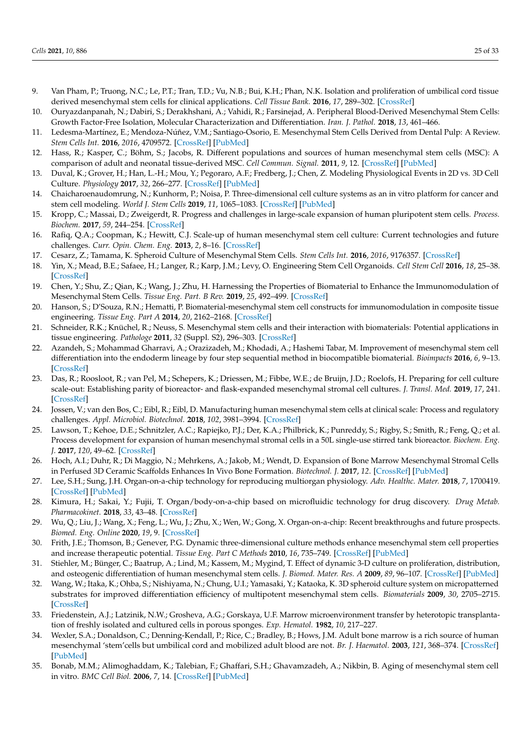- <span id="page-24-0"></span>9. Van Pham, P.; Truong, N.C.; Le, P.T.; Tran, T.D.; Vu, N.B.; Bui, K.H.; Phan, N.K. Isolation and proliferation of umbilical cord tissue derived mesenchymal stem cells for clinical applications. *Cell Tissue Bank.* **2016**, *17*, 289–302. [\[CrossRef\]](http://doi.org/10.1007/s10561-015-9541-6)
- <span id="page-24-1"></span>10. Ouryazdanpanah, N.; Dabiri, S.; Derakhshani, A.; Vahidi, R.; Farsinejad, A. Peripheral Blood-Derived Mesenchymal Stem Cells: Growth Factor-Free Isolation, Molecular Characterization and Differentiation. *Iran. J. Pathol.* **2018**, *13*, 461–466.
- <span id="page-24-2"></span>11. Ledesma-Martínez, E.; Mendoza-Núñez, V.M.; Santiago-Osorio, E. Mesenchymal Stem Cells Derived from Dental Pulp: A Review. *Stem Cells Int.* **2016**, *2016*, 4709572. [\[CrossRef\]](http://doi.org/10.1155/2016/4709572) [\[PubMed\]](http://www.ncbi.nlm.nih.gov/pubmed/26779263)
- <span id="page-24-3"></span>12. Hass, R.; Kasper, C.; Böhm, S.; Jacobs, R. Different populations and sources of human mesenchymal stem cells (MSC): A comparison of adult and neonatal tissue-derived MSC. *Cell Commun. Signal.* **2011**, *9*, 12. [\[CrossRef\]](http://doi.org/10.1186/1478-811X-9-12) [\[PubMed\]](http://www.ncbi.nlm.nih.gov/pubmed/21569606)
- <span id="page-24-4"></span>13. Duval, K.; Grover, H.; Han, L.-H.; Mou, Y.; Pegoraro, A.F.; Fredberg, J.; Chen, Z. Modeling Physiological Events in 2D vs. 3D Cell Culture. *Physiology* **2017**, *32*, 266–277. [\[CrossRef\]](http://doi.org/10.1152/physiol.00036.2016) [\[PubMed\]](http://www.ncbi.nlm.nih.gov/pubmed/28615311)
- <span id="page-24-5"></span>14. Chaicharoenaudomrung, N.; Kunhorm, P.; Noisa, P. Three-dimensional cell culture systems as an in vitro platform for cancer and stem cell modeling. *World J. Stem Cells* **2019**, *11*, 1065–1083. [\[CrossRef\]](http://doi.org/10.4252/wjsc.v11.i12.1065) [\[PubMed\]](http://www.ncbi.nlm.nih.gov/pubmed/31875869)
- <span id="page-24-6"></span>15. Kropp, C.; Massai, D.; Zweigerdt, R. Progress and challenges in large-scale expansion of human pluripotent stem cells. *Process. Biochem.* **2017**, *59*, 244–254. [\[CrossRef\]](http://doi.org/10.1016/j.procbio.2016.09.032)
- <span id="page-24-7"></span>16. Rafiq, Q.A.; Coopman, K.; Hewitt, C.J. Scale-up of human mesenchymal stem cell culture: Current technologies and future challenges. *Curr. Opin. Chem. Eng.* **2013**, *2*, 8–16. [\[CrossRef\]](http://doi.org/10.1016/j.coche.2013.01.005)
- <span id="page-24-8"></span>17. Cesarz, Z.; Tamama, K. Spheroid Culture of Mesenchymal Stem Cells. *Stem Cells Int.* **2016**, *2016*, 9176357. [\[CrossRef\]](http://doi.org/10.1155/2016/9176357)
- <span id="page-24-9"></span>18. Yin, X.; Mead, B.E.; Safaee, H.; Langer, R.; Karp, J.M.; Levy, O. Engineering Stem Cell Organoids. *Cell Stem Cell* **2016**, *18*, 25–38. [\[CrossRef\]](http://doi.org/10.1016/j.stem.2015.12.005)
- <span id="page-24-10"></span>19. Chen, Y.; Shu, Z.; Qian, K.; Wang, J.; Zhu, H. Harnessing the Properties of Biomaterial to Enhance the Immunomodulation of Mesenchymal Stem Cells. *Tissue Eng. Part. B Rev.* **2019**, *25*, 492–499. [\[CrossRef\]](http://doi.org/10.1089/ten.teb.2019.0131)
- 20. Hanson, S.; D'Souza, R.N.; Hematti, P. Biomaterial-mesenchymal stem cell constructs for immunomodulation in composite tissue engineering. *Tissue Eng. Part A* **2014**, *20*, 2162–2168. [\[CrossRef\]](http://doi.org/10.1089/ten.tea.2013.0359)
- 21. Schneider, R.K.; Knüchel, R.; Neuss, S. Mesenchymal stem cells and their interaction with biomaterials: Potential applications in tissue engineering. *Pathologe* **2011**, *32* (Suppl. S2), 296–303. [\[CrossRef\]](http://doi.org/10.1007/s00292-011-1485-4)
- <span id="page-24-11"></span>22. Azandeh, S.; Mohammad Gharravi, A.; Orazizadeh, M.; Khodadi, A.; Hashemi Tabar, M. Improvement of mesenchymal stem cell differentiation into the endoderm lineage by four step sequential method in biocompatible biomaterial. *Bioimpacts* **2016**, *6*, 9–13. [\[CrossRef\]](http://doi.org/10.15171/bi.2016.02)
- <span id="page-24-12"></span>23. Das, R.; Roosloot, R.; van Pel, M.; Schepers, K.; Driessen, M.; Fibbe, W.E.; de Bruijn, J.D.; Roelofs, H. Preparing for cell culture scale-out: Establishing parity of bioreactor- and flask-expanded mesenchymal stromal cell cultures. *J. Transl. Med.* **2019**, *17*, 241. [\[CrossRef\]](http://doi.org/10.1186/s12967-019-1989-x)
- 24. Jossen, V.; van den Bos, C.; Eibl, R.; Eibl, D. Manufacturing human mesenchymal stem cells at clinical scale: Process and regulatory challenges. *Appl. Microbiol. Biotechnol.* **2018**, *102*, 3981–3994. [\[CrossRef\]](http://doi.org/10.1007/s00253-018-8912-x)
- 25. Lawson, T.; Kehoe, D.E.; Schnitzler, A.C.; Rapiejko, P.J.; Der, K.A.; Philbrick, K.; Punreddy, S.; Rigby, S.; Smith, R.; Feng, Q.; et al. Process development for expansion of human mesenchymal stromal cells in a 50L single-use stirred tank bioreactor. *Biochem. Eng. J.* **2017**, *120*, 49–62. [\[CrossRef\]](http://doi.org/10.1016/j.bej.2016.11.020)
- <span id="page-24-13"></span>26. Hoch, A.I.; Duhr, R.; Di Maggio, N.; Mehrkens, A.; Jakob, M.; Wendt, D. Expansion of Bone Marrow Mesenchymal Stromal Cells in Perfused 3D Ceramic Scaffolds Enhances In Vivo Bone Formation. *Biotechnol. J.* **2017**, *12*. [\[CrossRef\]](http://doi.org/10.1002/biot.201700071) [\[PubMed\]](http://www.ncbi.nlm.nih.gov/pubmed/28881093)
- <span id="page-24-14"></span>27. Lee, S.H.; Sung, J.H. Organ-on-a-chip technology for reproducing multiorgan physiology. *Adv. Healthc. Mater.* **2018**, *7*, 1700419. [\[CrossRef\]](http://doi.org/10.1002/adhm.201700419) [\[PubMed\]](http://www.ncbi.nlm.nih.gov/pubmed/28945001)
- 28. Kimura, H.; Sakai, Y.; Fujii, T. Organ/body-on-a-chip based on microfluidic technology for drug discovery. *Drug Metab. Pharmacokinet.* **2018**, *33*, 43–48. [\[CrossRef\]](http://doi.org/10.1016/j.dmpk.2017.11.003)
- <span id="page-24-15"></span>29. Wu, Q.; Liu, J.; Wang, X.; Feng, L.; Wu, J.; Zhu, X.; Wen, W.; Gong, X. Organ-on-a-chip: Recent breakthroughs and future prospects. *Biomed. Eng. Online* **2020**, *19*, 9. [\[CrossRef\]](http://doi.org/10.1186/s12938-020-0752-0)
- <span id="page-24-16"></span>30. Frith, J.E.; Thomson, B.; Genever, P.G. Dynamic three-dimensional culture methods enhance mesenchymal stem cell properties and increase therapeutic potential. *Tissue Eng. Part C Methods* **2010**, *16*, 735–749. [\[CrossRef\]](http://doi.org/10.1089/ten.tec.2009.0432) [\[PubMed\]](http://www.ncbi.nlm.nih.gov/pubmed/19811095)
- 31. Stiehler, M.; Bünger, C.; Baatrup, A.; Lind, M.; Kassem, M.; Mygind, T. Effect of dynamic 3-D culture on proliferation, distribution, and osteogenic differentiation of human mesenchymal stem cells. *J. Biomed. Mater. Res. A* **2009**, *89*, 96–107. [\[CrossRef\]](http://doi.org/10.1002/jbm.a.31967) [\[PubMed\]](http://www.ncbi.nlm.nih.gov/pubmed/18431785)
- <span id="page-24-17"></span>32. Wang, W.; Itaka, K.; Ohba, S.; Nishiyama, N.; Chung, U.I.; Yamasaki, Y.; Kataoka, K. 3D spheroid culture system on micropatterned substrates for improved differentiation efficiency of multipotent mesenchymal stem cells. *Biomaterials* **2009**, *30*, 2705–2715. [\[CrossRef\]](http://doi.org/10.1016/j.biomaterials.2009.01.030)
- <span id="page-24-18"></span>33. Friedenstein, A.J.; Latzinik, N.W.; Grosheva, A.G.; Gorskaya, U.F. Marrow microenvironment transfer by heterotopic transplantation of freshly isolated and cultured cells in porous sponges. *Exp. Hematol.* **1982**, *10*, 217–227.
- <span id="page-24-19"></span>34. Wexler, S.A.; Donaldson, C.; Denning-Kendall, P.; Rice, C.; Bradley, B.; Hows, J.M. Adult bone marrow is a rich source of human mesenchymal 'stem'cells but umbilical cord and mobilized adult blood are not. *Br. J. Haematol.* **2003**, *121*, 368–374. [\[CrossRef\]](http://doi.org/10.1046/j.1365-2141.2003.04284.x) [\[PubMed\]](http://www.ncbi.nlm.nih.gov/pubmed/12694261)
- <span id="page-24-20"></span>35. Bonab, M.M.; Alimoghaddam, K.; Talebian, F.; Ghaffari, S.H.; Ghavamzadeh, A.; Nikbin, B. Aging of mesenchymal stem cell in vitro. *BMC Cell Biol.* **2006**, *7*, 14. [\[CrossRef\]](http://doi.org/10.1186/1471-2121-7-14) [\[PubMed\]](http://www.ncbi.nlm.nih.gov/pubmed/16529651)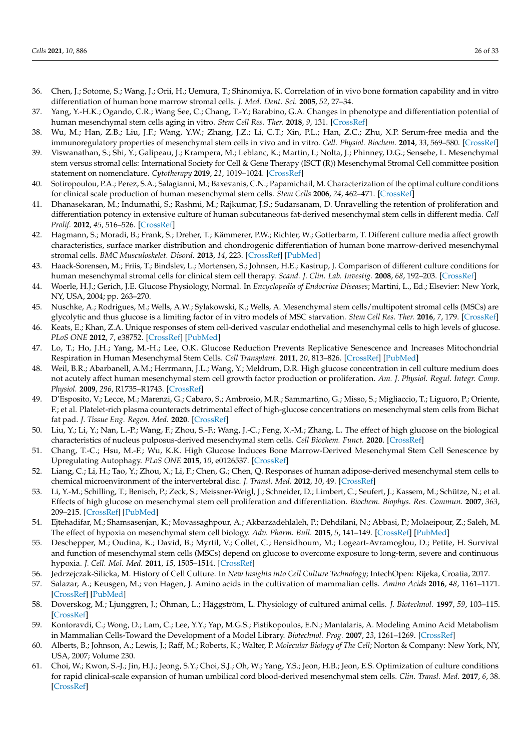- <span id="page-25-26"></span><span id="page-25-0"></span>36. Chen, J.; Sotome, S.; Wang, J.; Orii, H.; Uemura, T.; Shinomiya, K. Correlation of in vivo bone formation capability and in vitro differentiation of human bone marrow stromal cells. *J. Med. Dent. Sci.* **2005**, *52*, 27–34.
- <span id="page-25-1"></span>37. Yang, Y.-H.K.; Ogando, C.R.; Wang See, C.; Chang, T.-Y.; Barabino, G.A. Changes in phenotype and differentiation potential of human mesenchymal stem cells aging in vitro. *Stem Cell Res. Ther.* **2018**, *9*, 131. [\[CrossRef\]](http://doi.org/10.1186/s13287-018-0876-3)
- <span id="page-25-2"></span>38. Wu, M.; Han, Z.B.; Liu, J.F.; Wang, Y.W.; Zhang, J.Z.; Li, C.T.; Xin, P.L.; Han, Z.C.; Zhu, X.P. Serum-free media and the immunoregulatory properties of mesenchymal stem cells in vivo and in vitro. *Cell. Physiol. Biochem.* **2014**, *33*, 569–580. [\[CrossRef\]](http://doi.org/10.1159/000358635)
- <span id="page-25-3"></span>39. Viswanathan, S.; Shi, Y.; Galipeau, J.; Krampera, M.; Leblanc, K.; Martin, I.; Nolta, J.; Phinney, D.G.; Sensebe, L. Mesenchymal stem versus stromal cells: International Society for Cell & Gene Therapy (ISCT (R)) Mesenchymal Stromal Cell committee position statement on nomenclature. *Cytotherapy* **2019**, *21*, 1019–1024. [\[CrossRef\]](http://doi.org/10.1016/j.jcyt.2019.08.002)
- <span id="page-25-4"></span>40. Sotiropoulou, P.A.; Perez, S.A.; Salagianni, M.; Baxevanis, C.N.; Papamichail, M. Characterization of the optimal culture conditions for clinical scale production of human mesenchymal stem cells. *Stem Cells* **2006**, *24*, 462–471. [\[CrossRef\]](http://doi.org/10.1634/stemcells.2004-0331)
- <span id="page-25-5"></span>41. Dhanasekaran, M.; Indumathi, S.; Rashmi, M.; Rajkumar, J.S.; Sudarsanam, D. Unravelling the retention of proliferation and differentiation potency in extensive culture of human subcutaneous fat-derived mesenchymal stem cells in different media. *Cell Prolif.* **2012**, *45*, 516–526. [\[CrossRef\]](http://doi.org/10.1111/j.1365-2184.2012.00843.x)
- <span id="page-25-6"></span>42. Hagmann, S.; Moradi, B.; Frank, S.; Dreher, T.; Kämmerer, P.W.; Richter, W.; Gotterbarm, T. Different culture media affect growth characteristics, surface marker distribution and chondrogenic differentiation of human bone marrow-derived mesenchymal stromal cells. *BMC Musculoskelet. Disord.* **2013**, *14*, 223. [\[CrossRef\]](http://doi.org/10.1186/1471-2474-14-223) [\[PubMed\]](http://www.ncbi.nlm.nih.gov/pubmed/23898974)
- <span id="page-25-7"></span>43. Haack-Sorensen, M.; Friis, T.; Bindslev, L.; Mortensen, S.; Johnsen, H.E.; Kastrup, J. Comparison of different culture conditions for human mesenchymal stromal cells for clinical stem cell therapy. *Scand. J. Clin. Lab. Investig.* **2008**, *68*, 192–203. [\[CrossRef\]](http://doi.org/10.1080/00365510701601681)
- <span id="page-25-8"></span>44. Woerle, H.J.; Gerich, J.E. Glucose Physiology, Normal. In *Encyclopedia of Endocrine Diseases*; Martini, L., Ed.; Elsevier: New York, NY, USA, 2004; pp. 263–270.
- <span id="page-25-9"></span>45. Nuschke, A.; Rodrigues, M.; Wells, A.W.; Sylakowski, K.; Wells, A. Mesenchymal stem cells/multipotent stromal cells (MSCs) are glycolytic and thus glucose is a limiting factor of in vitro models of MSC starvation. *Stem Cell Res. Ther.* **2016**, *7*, 179. [\[CrossRef\]](http://doi.org/10.1186/s13287-016-0436-7)
- <span id="page-25-10"></span>46. Keats, E.; Khan, Z.A. Unique responses of stem cell-derived vascular endothelial and mesenchymal cells to high levels of glucose. *PLoS ONE* **2012**, *7*, e38752. [\[CrossRef\]](http://doi.org/10.1371/journal.pone.0038752) [\[PubMed\]](http://www.ncbi.nlm.nih.gov/pubmed/22701703)
- <span id="page-25-14"></span>47. Lo, T.; Ho, J.H.; Yang, M.-H.; Lee, O.K. Glucose Reduction Prevents Replicative Senescence and Increases Mitochondrial Respiration in Human Mesenchymal Stem Cells. *Cell Transplant.* **2011**, *20*, 813–826. [\[CrossRef\]](http://doi.org/10.3727/096368910X539100) [\[PubMed\]](http://www.ncbi.nlm.nih.gov/pubmed/21054932)
- <span id="page-25-11"></span>48. Weil, B.R.; Abarbanell, A.M.; Herrmann, J.L.; Wang, Y.; Meldrum, D.R. High glucose concentration in cell culture medium does not acutely affect human mesenchymal stem cell growth factor production or proliferation. *Am. J. Physiol. Regul. Integr. Comp. Physiol.* **2009**, *296*, R1735–R1743. [\[CrossRef\]](http://doi.org/10.1152/ajpregu.90876.2008)
- <span id="page-25-12"></span>49. D'Esposito, V.; Lecce, M.; Marenzi, G.; Cabaro, S.; Ambrosio, M.R.; Sammartino, G.; Misso, S.; Migliaccio, T.; Liguoro, P.; Oriente, F.; et al. Platelet-rich plasma counteracts detrimental effect of high-glucose concentrations on mesenchymal stem cells from Bichat fat pad. *J. Tissue Eng. Regen. Med.* **2020**. [\[CrossRef\]](http://doi.org/10.1002/term.3032)
- <span id="page-25-13"></span>50. Liu, Y.; Li, Y.; Nan, L.-P.; Wang, F.; Zhou, S.-F.; Wang, J.-C.; Feng, X.-M.; Zhang, L. The effect of high glucose on the biological characteristics of nucleus pulposus-derived mesenchymal stem cells. *Cell Biochem. Funct.* **2020**. [\[CrossRef\]](http://doi.org/10.1002/cbf.3441)
- <span id="page-25-27"></span><span id="page-25-15"></span>51. Chang, T.-C.; Hsu, M.-F.; Wu, K.K. High Glucose Induces Bone Marrow-Derived Mesenchymal Stem Cell Senescence by Upregulating Autophagy. *PLoS ONE* **2015**, *10*, e0126537. [\[CrossRef\]](http://doi.org/10.1371/journal.pone.0126537)
- <span id="page-25-16"></span>52. Liang, C.; Li, H.; Tao, Y.; Zhou, X.; Li, F.; Chen, G.; Chen, Q. Responses of human adipose-derived mesenchymal stem cells to chemical microenvironment of the intervertebral disc. *J. Transl. Med.* **2012**, *10*, 49. [\[CrossRef\]](http://doi.org/10.1186/1479-5876-10-49)
- <span id="page-25-17"></span>53. Li, Y.-M.; Schilling, T.; Benisch, P.; Zeck, S.; Meissner-Weigl, J.; Schneider, D.; Limbert, C.; Seufert, J.; Kassem, M.; Schütze, N.; et al. Effects of high glucose on mesenchymal stem cell proliferation and differentiation. *Biochem. Biophys. Res. Commun.* **2007**, *363*, 209–215. [\[CrossRef\]](http://doi.org/10.1016/j.bbrc.2007.08.161) [\[PubMed\]](http://www.ncbi.nlm.nih.gov/pubmed/17868648)
- <span id="page-25-18"></span>54. Ejtehadifar, M.; Shamsasenjan, K.; Movassaghpour, A.; Akbarzadehlaleh, P.; Dehdilani, N.; Abbasi, P.; Molaeipour, Z.; Saleh, M. The effect of hypoxia on mesenchymal stem cell biology. *Adv. Pharm. Bull.* **2015**, *5*, 141–149. [\[CrossRef\]](http://doi.org/10.15171/apb.2015.021) [\[PubMed\]](http://www.ncbi.nlm.nih.gov/pubmed/26236651)
- <span id="page-25-19"></span>55. Deschepper, M.; Oudina, K.; David, B.; Myrtil, V.; Collet, C.; Bensidhoum, M.; Logeart-Avramoglou, D.; Petite, H. Survival and function of mesenchymal stem cells (MSCs) depend on glucose to overcome exposure to long-term, severe and continuous hypoxia. *J. Cell. Mol. Med.* **2011**, *15*, 1505–1514. [\[CrossRef\]](http://doi.org/10.1111/j.1582-4934.2010.01138.x)
- <span id="page-25-20"></span>56. Jedrzejczak-Silicka, M. History of Cell Culture. In *New Insights into Cell Culture Technology*; IntechOpen: Rijeka, Croatia, 2017.
- <span id="page-25-21"></span>57. Salazar, A.; Keusgen, M.; von Hagen, J. Amino acids in the cultivation of mammalian cells. *Amino Acids* **2016**, *48*, 1161–1171. [\[CrossRef\]](http://doi.org/10.1007/s00726-016-2181-8) [\[PubMed\]](http://www.ncbi.nlm.nih.gov/pubmed/26832172)
- <span id="page-25-22"></span>58. Doverskog, M.; Ljunggren, J.; Öhman, L.; Häggström, L. Physiology of cultured animal cells. *J. Biotechnol.* **1997**, *59*, 103–115. [\[CrossRef\]](http://doi.org/10.1016/S0168-1656(97)00172-7)
- <span id="page-25-23"></span>59. Kontoravdi, C.; Wong, D.; Lam, C.; Lee, Y.Y.; Yap, M.G.S.; Pistikopoulos, E.N.; Mantalaris, A. Modeling Amino Acid Metabolism in Mammalian Cells-Toward the Development of a Model Library. *Biotechnol. Prog.* **2007**, *23*, 1261–1269. [\[CrossRef\]](http://doi.org/10.1021/bp070106z)
- <span id="page-25-24"></span>60. Alberts, B.; Johnson, A.; Lewis, J.; Raff, M.; Roberts, K.; Walter, P. *Molecular Biology of The Cell*; Norton & Company: New York, NY, USA, 2007; Volume 230.
- <span id="page-25-25"></span>61. Choi, W.; Kwon, S.-J.; Jin, H.J.; Jeong, S.Y.; Choi, S.J.; Oh, W.; Yang, Y.S.; Jeon, H.B.; Jeon, E.S. Optimization of culture conditions for rapid clinical-scale expansion of human umbilical cord blood-derived mesenchymal stem cells. *Clin. Transl. Med.* **2017**, *6*, 38. [\[CrossRef\]](http://doi.org/10.1186/s40169-017-0168-z)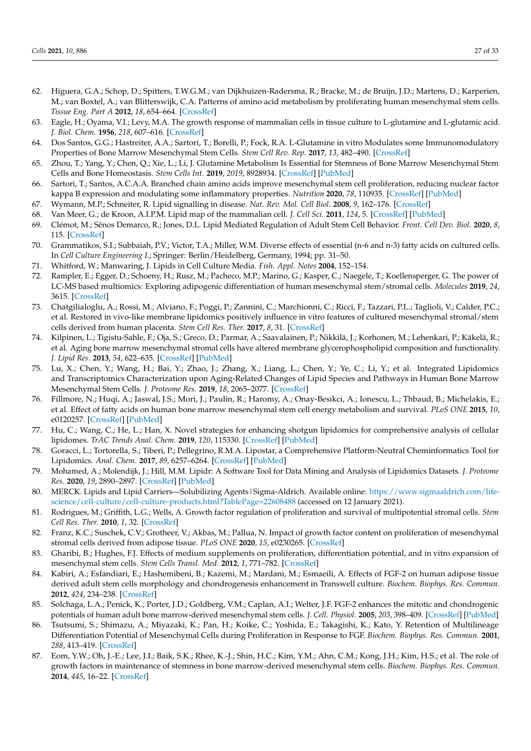- <span id="page-26-0"></span>62. Higuera, G.A.; Schop, D.; Spitters, T.W.G.M.; van Dijkhuizen-Radersma, R.; Bracke, M.; de Bruijn, J.D.; Martens, D.; Karperien, M.; van Boxtel, A.; van Blitterswijk, C.A. Patterns of amino acid metabolism by proliferating human mesenchymal stem cells. *Tissue Eng. Part A* **2012**, *18*, 654–664. [\[CrossRef\]](http://doi.org/10.1089/ten.tea.2011.0223)
- <span id="page-26-1"></span>63. Eagle, H.; Oyama, V.I.; Levy, M.A. The growth response of mammalian cells in tissue culture to L-glutamine and L-glutamic acid. *J. Biol. Chem.* **1956**, *218*, 607–616. [\[CrossRef\]](http://doi.org/10.1016/S0021-9258(18)65826-0)
- <span id="page-26-2"></span>64. Dos Santos, G.G.; Hastreiter, A.A.; Sartori, T.; Borelli, P.; Fock, R.A. L-Glutamine in vitro Modulates some Immunomodulatory Properties of Bone Marrow Mesenchymal Stem Cells. *Stem Cell Rev. Rep.* **2017**, *13*, 482–490. [\[CrossRef\]](http://doi.org/10.1007/s12015-017-9746-0)
- <span id="page-26-3"></span>65. Zhou, T.; Yang, Y.; Chen, Q.; Xie, L.; Li, J. Glutamine Metabolism Is Essential for Stemness of Bone Marrow Mesenchymal Stem Cells and Bone Homeostasis. *Stem Cells Int.* **2019**, *2019*, 8928934. [\[CrossRef\]](http://doi.org/10.1155/2019/8928934) [\[PubMed\]](http://www.ncbi.nlm.nih.gov/pubmed/31611919)
- <span id="page-26-4"></span>66. Sartori, T.; Santos, A.C.A.A. Branched chain amino acids improve mesenchymal stem cell proliferation, reducing nuclear factor kappa B expression and modulating some inflammatory properties. *Nutrition* **2020**, *78*, 110935. [\[CrossRef\]](http://doi.org/10.1016/j.nut.2020.110935) [\[PubMed\]](http://www.ncbi.nlm.nih.gov/pubmed/32799043)
- <span id="page-26-5"></span>67. Wymann, M.P.; Schneiter, R. Lipid signalling in disease. *Nat. Rev. Mol. Cell Biol.* **2008**, *9*, 162–176. [\[CrossRef\]](http://doi.org/10.1038/nrm2335)
- <span id="page-26-6"></span>68. Van Meer, G.; de Kroon, A.I.P.M. Lipid map of the mammalian cell. *J. Cell Sci.* **2011**, *124*, 5. [\[CrossRef\]](http://doi.org/10.1242/jcs.071233) [\[PubMed\]](http://www.ncbi.nlm.nih.gov/pubmed/21172818)
- <span id="page-26-7"></span>69. Clémot, M.; Sênos Demarco, R.; Jones, D.L. Lipid Mediated Regulation of Adult Stem Cell Behavior. *Front. Cell Dev. Biol.* **2020**, *8*, 115. [\[CrossRef\]](http://doi.org/10.3389/fcell.2020.00115)
- <span id="page-26-8"></span>70. Grammatikos, S.I.; Subbaiah, P.V.; Victor, T.A.; Miller, W.M. Diverse effects of essential (n-6 and n-3) fatty acids on cultured cells. In *Cell Culture Engineering I.*; Springer: Berlin/Heidelberg, Germany, 1994; pp. 31–50.
- <span id="page-26-9"></span>71. Whitford, W.; Manwaring, J. Lipids in Cell Culture Media. *Fish. Appl. Notes* **2004**, 152–154.
- <span id="page-26-10"></span>72. Rampler, E.; Egger, D.; Schoeny, H.; Rusz, M.; Pacheco, M.P.; Marino, G.; Kasper, C.; Naegele, T.; Koellensperger, G. The power of LC-MS based multiomics: Exploring adipogenic differentiation of human mesenchymal stem/stromal cells. *Molecules* **2019**, *24*, 3615. [\[CrossRef\]](http://doi.org/10.3390/molecules24193615)
- <span id="page-26-11"></span>73. Chatgilialoglu, A.; Rossi, M.; Alviano, F.; Poggi, P.; Zannini, C.; Marchionni, C.; Ricci, F.; Tazzari, P.L.; Taglioli, V.; Calder, P.C.; et al. Restored in vivo-like membrane lipidomics positively influence in vitro features of cultured mesenchymal stromal/stem cells derived from human placenta. *Stem Cell Res. Ther.* **2017**, *8*, 31. [\[CrossRef\]](http://doi.org/10.1186/s13287-017-0487-4)
- <span id="page-26-12"></span>74. Kilpinen, L.; Tigistu-Sahle, F.; Oja, S.; Greco, D.; Parmar, A.; Saavalainen, P.; Nikkilä, J.; Korhonen, M.; Lehenkari, P.; Käkelä, R.; et al. Aging bone marrow mesenchymal stromal cells have altered membrane glycerophospholipid composition and functionality. *J. Lipid Res.* **2013**, *54*, 622–635. [\[CrossRef\]](http://doi.org/10.1194/jlr.M030650) [\[PubMed\]](http://www.ncbi.nlm.nih.gov/pubmed/23271708)
- <span id="page-26-13"></span>75. Lu, X.; Chen, Y.; Wang, H.; Bai, Y.; Zhao, J.; Zhang, X.; Liang, L.; Chen, Y.; Ye, C.; Li, Y.; et al. Integrated Lipidomics and Transcriptomics Characterization upon Aging-Related Changes of Lipid Species and Pathways in Human Bone Marrow Mesenchymal Stem Cells. *J. Proteome Res.* **2019**, *18*, 2065–2077. [\[CrossRef\]](http://doi.org/10.1021/acs.jproteome.8b00936)
- <span id="page-26-14"></span>76. Fillmore, N.; Huqi, A.; Jaswal, J.S.; Mori, J.; Paulin, R.; Haromy, A.; Onay-Besikci, A.; Ionescu, L.; Thbaud, B.; Michelakis, E.; et al. Effect of fatty acids on human bone marrow mesenchymal stem cell energy metabolism and survival. *PLoS ONE* **2015**, *10*, e0120257. [\[CrossRef\]](http://doi.org/10.1371/journal.pone.0120257) [\[PubMed\]](http://www.ncbi.nlm.nih.gov/pubmed/25768019)
- <span id="page-26-15"></span>77. Hu, C.; Wang, C.; He, L.; Han, X. Novel strategies for enhancing shotgun lipidomics for comprehensive analysis of cellular lipidomes. *TrAC Trends Anal. Chem.* **2019**, *120*, 115330. [\[CrossRef\]](http://doi.org/10.1016/j.trac.2018.11.028) [\[PubMed\]](http://www.ncbi.nlm.nih.gov/pubmed/32647401)
- <span id="page-26-16"></span>78. Goracci, L.; Tortorella, S.; Tiberi, P.; Pellegrino, R.M.A. Lipostar, a Comprehensive Platform-Neutral Cheminformatics Tool for Lipidomics. *Anal. Chem.* **2017**, *89*, 6257–6264. [\[CrossRef\]](http://doi.org/10.1021/acs.analchem.7b01259) [\[PubMed\]](http://www.ncbi.nlm.nih.gov/pubmed/28471643)
- <span id="page-26-17"></span>79. Mohamed, A.; Molendijk, J.; Hill, M.M. Lipidr: A Software Tool for Data Mining and Analysis of Lipidomics Datasets. *J. Proteome Res.* **2020**, *19*, 2890–2897. [\[CrossRef\]](http://doi.org/10.1021/acs.jproteome.0c00082) [\[PubMed\]](http://www.ncbi.nlm.nih.gov/pubmed/32168452)
- <span id="page-26-18"></span>80. MERCK. Lipids and Lipid Carriers—Solubilizing Agents | Sigma-Aldrich. Available online: [https://www.sigmaaldrich.com/life](https://www.sigmaaldrich.com/life-science/cell-culture/cell-culture-products.html?TablePage=22608488)[science/cell-culture/cell-culture-products.html?TablePage=22608488](https://www.sigmaaldrich.com/life-science/cell-culture/cell-culture-products.html?TablePage=22608488) (accessed on 12 January 2021).
- <span id="page-26-19"></span>81. Rodrigues, M.; Griffith, L.G.; Wells, A. Growth factor regulation of proliferation and survival of multipotential stromal cells. *Stem Cell Res. Ther.* **2010**, *1*, 32. [\[CrossRef\]](http://doi.org/10.1186/scrt32)
- <span id="page-26-20"></span>82. Franz, K.C.; Suschek, C.V.; Grotheer, V.; Akbas, M.; Pallua, N. Impact of growth factor content on proliferation of mesenchymal stromal cells derived from adipose tissue. *PLoS ONE* **2020**, *15*, e0230265. [\[CrossRef\]](http://doi.org/10.1371/journal.pone.0230265)
- <span id="page-26-23"></span>83. Gharibi, B.; Hughes, F.J. Effects of medium supplements on proliferation, differentiation potential, and in vitro expansion of mesenchymal stem cells. *Stem Cells Transl. Med.* **2012**, *1*, 771–782. [\[CrossRef\]](http://doi.org/10.5966/sctm.2010-0031)
- <span id="page-26-22"></span>84. Kabiri, A.; Esfandiari, E.; Hashemibeni, B.; Kazemi, M.; Mardani, M.; Esmaeili, A. Effects of FGF-2 on human adipose tissue derived adult stem cells morphology and chondrogenesis enhancement in Transwell culture. *Biochem. Biophys. Res. Commun.* **2012**, *424*, 234–238. [\[CrossRef\]](http://doi.org/10.1016/j.bbrc.2012.06.082)
- 85. Solchaga, L.A.; Penick, K.; Porter, J.D.; Goldberg, V.M.; Caplan, A.I.; Welter, J.F. FGF-2 enhances the mitotic and chondrogenic potentials of human adult bone marrow-derived mesenchymal stem cells. *J. Cell. Physiol.* **2005**, *203*, 398–409. [\[CrossRef\]](http://doi.org/10.1002/jcp.20238) [\[PubMed\]](http://www.ncbi.nlm.nih.gov/pubmed/15521064)
- 86. Tsutsumi, S.; Shimazu, A.; Miyazaki, K.; Pan, H.; Koike, C.; Yoshida, E.; Takagishi, K.; Kato, Y. Retention of Multilineage Differentiation Potential of Mesenchymal Cells during Proliferation in Response to FGF. *Biochem. Biophys. Res. Commun.* **2001**, *288*, 413–419. [\[CrossRef\]](http://doi.org/10.1006/bbrc.2001.5777)
- <span id="page-26-21"></span>87. Eom, Y.W.; Oh, J.-E.; Lee, J.I.; Baik, S.K.; Rhee, K.-J.; Shin, H.C.; Kim, Y.M.; Ahn, C.M.; Kong, J.H.; Kim, H.S.; et al. The role of growth factors in maintenance of stemness in bone marrow-derived mesenchymal stem cells. *Biochem. Biophys. Res. Commun.* **2014**, *445*, 16–22. [\[CrossRef\]](http://doi.org/10.1016/j.bbrc.2014.01.084)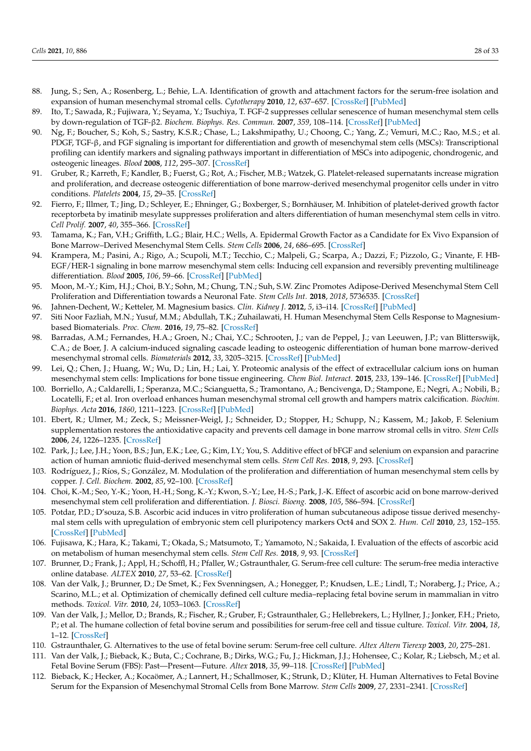- <span id="page-27-0"></span>88. Jung, S.; Sen, A.; Rosenberg, L.; Behie, L.A. Identification of growth and attachment factors for the serum-free isolation and expansion of human mesenchymal stromal cells. *Cytotherapy* **2010**, *12*, 637–657. [\[CrossRef\]](http://doi.org/10.3109/14653249.2010.495113) [\[PubMed\]](http://www.ncbi.nlm.nih.gov/pubmed/20608762)
- <span id="page-27-1"></span>89. Ito, T.; Sawada, R.; Fujiwara, Y.; Seyama, Y.; Tsuchiya, T. FGF-2 suppresses cellular senescence of human mesenchymal stem cells by down-regulation of TGF-β2. *Biochem. Biophys. Res. Commun.* **2007**, *359*, 108–114. [\[CrossRef\]](http://doi.org/10.1016/j.bbrc.2007.05.067) [\[PubMed\]](http://www.ncbi.nlm.nih.gov/pubmed/17532297)
- <span id="page-27-2"></span>90. Ng, F.; Boucher, S.; Koh, S.; Sastry, K.S.R.; Chase, L.; Lakshmipathy, U.; Choong, C.; Yang, Z.; Vemuri, M.C.; Rao, M.S.; et al. PDGF, TGF-β, and FGF signaling is important for differentiation and growth of mesenchymal stem cells (MSCs): Transcriptional profiling can identify markers and signaling pathways important in differentiation of MSCs into adipogenic, chondrogenic, and osteogenic lineages. *Blood* **2008**, *112*, 295–307. [\[CrossRef\]](http://doi.org/10.1182/blood-2007-07-103697)
- <span id="page-27-3"></span>91. Gruber, R.; Karreth, F.; Kandler, B.; Fuerst, G.; Rot, A.; Fischer, M.B.; Watzek, G. Platelet-released supernatants increase migration and proliferation, and decrease osteogenic differentiation of bone marrow-derived mesenchymal progenitor cells under in vitro conditions. *Platelets* **2004**, *15*, 29–35. [\[CrossRef\]](http://doi.org/10.1080/09537100310001643999)
- <span id="page-27-4"></span>92. Fierro, F.; Illmer, T.; Jing, D.; Schleyer, E.; Ehninger, G.; Boxberger, S.; Bornhäuser, M. Inhibition of platelet-derived growth factor receptorbeta by imatinib mesylate suppresses proliferation and alters differentiation of human mesenchymal stem cells in vitro. *Cell Prolif.* **2007**, *40*, 355–366. [\[CrossRef\]](http://doi.org/10.1111/j.1365-2184.2007.00438.x)
- <span id="page-27-5"></span>93. Tamama, K.; Fan, V.H.; Griffith, L.G.; Blair, H.C.; Wells, A. Epidermal Growth Factor as a Candidate for Ex Vivo Expansion of Bone Marrow–Derived Mesenchymal Stem Cells. *Stem Cells* **2006**, *24*, 686–695. [\[CrossRef\]](http://doi.org/10.1634/stemcells.2005-0176)
- <span id="page-27-6"></span>94. Krampera, M.; Pasini, A.; Rigo, A.; Scupoli, M.T.; Tecchio, C.; Malpeli, G.; Scarpa, A.; Dazzi, F.; Pizzolo, G.; Vinante, F. HB-EGF/HER-1 signaling in bone marrow mesenchymal stem cells: Inducing cell expansion and reversibly preventing multilineage differentiation. *Blood* **2005**, *106*, 59–66. [\[CrossRef\]](http://doi.org/10.1182/blood-2004-09-3645) [\[PubMed\]](http://www.ncbi.nlm.nih.gov/pubmed/15755902)
- <span id="page-27-7"></span>95. Moon, M.-Y.; Kim, H.J.; Choi, B.Y.; Sohn, M.; Chung, T.N.; Suh, S.W. Zinc Promotes Adipose-Derived Mesenchymal Stem Cell Proliferation and Differentiation towards a Neuronal Fate. *Stem Cells Int.* **2018**, *2018*, 5736535. [\[CrossRef\]](http://doi.org/10.1155/2018/5736535)
- <span id="page-27-8"></span>96. Jahnen-Dechent, W.; Ketteler, M. Magnesium basics. *Clin. Kidney J.* **2012**, *5*, i3–i14. [\[CrossRef\]](http://doi.org/10.1093/ndtplus/sfr163) [\[PubMed\]](http://www.ncbi.nlm.nih.gov/pubmed/26069819)
- <span id="page-27-9"></span>97. Siti Noor Fazliah, M.N.; Yusuf, M.M.; Abdullah, T.K.; Zuhailawati, H. Human Mesenchymal Stem Cells Response to Magnesiumbased Biomaterials. *Proc. Chem.* **2016**, *19*, 75–82. [\[CrossRef\]](http://doi.org/10.1016/j.proche.2016.03.118)
- <span id="page-27-10"></span>98. Barradas, A.M.; Fernandes, H.A.; Groen, N.; Chai, Y.C.; Schrooten, J.; van de Peppel, J.; van Leeuwen, J.P.; van Blitterswijk, C.A.; de Boer, J. A calcium-induced signaling cascade leading to osteogenic differentiation of human bone marrow-derived mesenchymal stromal cells. *Biomaterials* **2012**, *33*, 3205–3215. [\[CrossRef\]](http://doi.org/10.1016/j.biomaterials.2012.01.020) [\[PubMed\]](http://www.ncbi.nlm.nih.gov/pubmed/22285104)
- <span id="page-27-11"></span>99. Lei, Q.; Chen, J.; Huang, W.; Wu, D.; Lin, H.; Lai, Y. Proteomic analysis of the effect of extracellular calcium ions on human mesenchymal stem cells: Implications for bone tissue engineering. *Chem Biol. Interact.* **2015**, *233*, 139–146. [\[CrossRef\]](http://doi.org/10.1016/j.cbi.2015.03.021) [\[PubMed\]](http://www.ncbi.nlm.nih.gov/pubmed/25824407)
- <span id="page-27-12"></span>100. Borriello, A.; Caldarelli, I.; Speranza, M.C.; Scianguetta, S.; Tramontano, A.; Bencivenga, D.; Stampone, E.; Negri, A.; Nobili, B.; Locatelli, F.; et al. Iron overload enhances human mesenchymal stromal cell growth and hampers matrix calcification. *Biochim. Biophys. Acta* **2016**, *1860*, 1211–1223. [\[CrossRef\]](http://doi.org/10.1016/j.bbagen.2016.01.025) [\[PubMed\]](http://www.ncbi.nlm.nih.gov/pubmed/26850692)
- <span id="page-27-13"></span>101. Ebert, R.; Ulmer, M.; Zeck, S.; Meissner-Weigl, J.; Schneider, D.; Stopper, H.; Schupp, N.; Kassem, M.; Jakob, F. Selenium supplementation restores the antioxidative capacity and prevents cell damage in bone marrow stromal cells in vitro. *Stem Cells* **2006**, *24*, 1226–1235. [\[CrossRef\]](http://doi.org/10.1634/stemcells.2005-0117)
- <span id="page-27-14"></span>102. Park, J.; Lee, J.H.; Yoon, B.S.; Jun, E.K.; Lee, G.; Kim, I.Y.; You, S. Additive effect of bFGF and selenium on expansion and paracrine action of human amniotic fluid-derived mesenchymal stem cells. *Stem Cell Res.* **2018**, *9*, 293. [\[CrossRef\]](http://doi.org/10.1186/s13287-018-1058-z)
- <span id="page-27-15"></span>103. Rodríguez, J.; Ríos, S.; González, M. Modulation of the proliferation and differentiation of human mesenchymal stem cells by copper. *J. Cell. Biochem.* **2002**, *85*, 92–100. [\[CrossRef\]](http://doi.org/10.1002/jcb.10111)
- <span id="page-27-16"></span>104. Choi, K.-M.; Seo, Y.-K.; Yoon, H.-H.; Song, K.-Y.; Kwon, S.-Y.; Lee, H.-S.; Park, J.-K. Effect of ascorbic acid on bone marrow-derived mesenchymal stem cell proliferation and differentiation. *J. Biosci. Bioeng.* **2008**, *105*, 586–594. [\[CrossRef\]](http://doi.org/10.1263/jbb.105.586)
- <span id="page-27-17"></span>105. Potdar, P.D.; D'souza, S.B. Ascorbic acid induces in vitro proliferation of human subcutaneous adipose tissue derived mesenchymal stem cells with upregulation of embryonic stem cell pluripotency markers Oct4 and SOX 2. *Hum. Cell* **2010**, *23*, 152–155. [\[CrossRef\]](http://doi.org/10.1111/j.1749-0774.2010.00095.x) [\[PubMed\]](http://www.ncbi.nlm.nih.gov/pubmed/21166886)
- <span id="page-27-18"></span>106. Fujisawa, K.; Hara, K.; Takami, T.; Okada, S.; Matsumoto, T.; Yamamoto, N.; Sakaida, I. Evaluation of the effects of ascorbic acid on metabolism of human mesenchymal stem cells. *Stem Cell Res.* **2018**, *9*, 93. [\[CrossRef\]](http://doi.org/10.1186/s13287-018-0825-1)
- <span id="page-27-19"></span>107. Brunner, D.; Frank, J.; Appl, H.; Schoffl, H.; Pfaller, W.; Gstraunthaler, G. Serum-free cell culture: The serum-free media interactive online database. *ALTEX* **2010**, *27*, 53–62. [\[CrossRef\]](http://doi.org/10.14573/altex.2010.1.53)
- <span id="page-27-20"></span>108. Van der Valk, J.; Brunner, D.; De Smet, K.; Fex Svenningsen, A.; Honegger, P.; Knudsen, L.E.; Lindl, T.; Noraberg, J.; Price, A.; Scarino, M.L.; et al. Optimization of chemically defined cell culture media–replacing fetal bovine serum in mammalian in vitro methods. *Toxicol. Vitr.* **2010**, *24*, 1053–1063. [\[CrossRef\]](http://doi.org/10.1016/j.tiv.2010.03.016)
- <span id="page-27-21"></span>109. Van der Valk, J.; Mellor, D.; Brands, R.; Fischer, R.; Gruber, F.; Gstraunthaler, G.; Hellebrekers, L.; Hyllner, J.; Jonker, F.H.; Prieto, P.; et al. The humane collection of fetal bovine serum and possibilities for serum-free cell and tissue culture. *Toxicol. Vitr.* **2004**, *18*, 1–12. [\[CrossRef\]](http://doi.org/10.1016/j.tiv.2003.08.009)
- <span id="page-27-22"></span>110. Gstraunthaler, G. Alternatives to the use of fetal bovine serum: Serum-free cell culture. *Altex Altern Tierexp* **2003**, *20*, 275–281.
- <span id="page-27-23"></span>111. Van der Valk, J.; Bieback, K.; Buta, C.; Cochrane, B.; Dirks, W.G.; Fu, J.; Hickman, J.J.; Hohensee, C.; Kolar, R.; Liebsch, M.; et al. Fetal Bovine Serum (FBS): Past—Present—Future. *Altex* **2018**, *35*, 99–118. [\[CrossRef\]](http://doi.org/10.14573/altex.1705101) [\[PubMed\]](http://www.ncbi.nlm.nih.gov/pubmed/28800376)
- <span id="page-27-24"></span>112. Bieback, K.; Hecker, A.; Kocaömer, A.; Lannert, H.; Schallmoser, K.; Strunk, D.; Klüter, H. Human Alternatives to Fetal Bovine Serum for the Expansion of Mesenchymal Stromal Cells from Bone Marrow. *Stem Cells* **2009**, *27*, 2331–2341. [\[CrossRef\]](http://doi.org/10.1002/stem.139)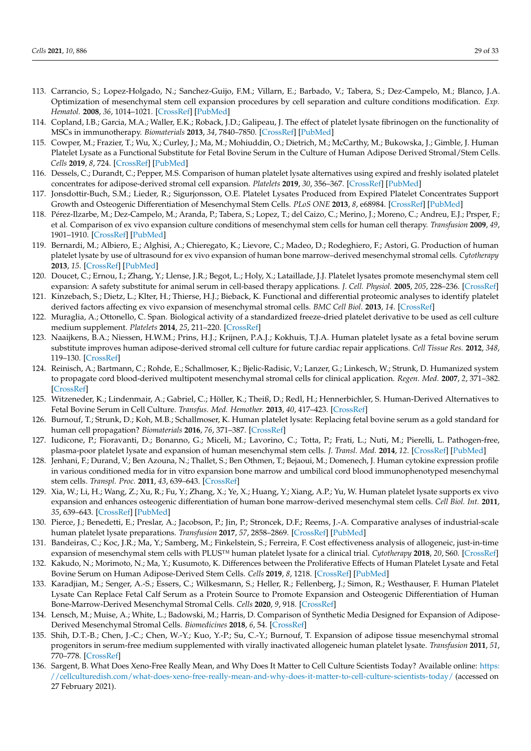- <span id="page-28-31"></span><span id="page-28-30"></span><span id="page-28-28"></span><span id="page-28-26"></span><span id="page-28-25"></span><span id="page-28-23"></span><span id="page-28-22"></span><span id="page-28-17"></span><span id="page-28-16"></span><span id="page-28-14"></span><span id="page-28-0"></span>113. Carrancio, S.; Lopez-Holgado, N.; Sanchez-Guijo, F.M.; Villarn, E.; Barbado, V.; Tabera, S.; Dez-Campelo, M.; Blanco, J.A. Optimization of mesenchymal stem cell expansion procedures by cell separation and culture conditions modification. *Exp. Hematol.* **2008**, *36*, 1014–1021. [\[CrossRef\]](http://doi.org/10.1016/j.exphem.2008.03.012) [\[PubMed\]](http://www.ncbi.nlm.nih.gov/pubmed/18468767)
- <span id="page-28-21"></span>114. Copland, I.B.; Garcia, M.A.; Waller, E.K.; Roback, J.D.; Galipeau, J. The effect of platelet lysate fibrinogen on the functionality of MSCs in immunotherapy. *Biomaterials* **2013**, *34*, 7840–7850. [\[CrossRef\]](http://doi.org/10.1016/j.biomaterials.2013.06.050) [\[PubMed\]](http://www.ncbi.nlm.nih.gov/pubmed/23891515)
- <span id="page-28-15"></span>115. Cowper, M.; Frazier, T.; Wu, X.; Curley, J.; Ma, M.; Mohiuddin, O.; Dietrich, M.; McCarthy, M.; Bukowska, J.; Gimble, J. Human Platelet Lysate as a Functional Substitute for Fetal Bovine Serum in the Culture of Human Adipose Derived Stromal/Stem Cells. *Cells* **2019**, *8*, 724. [\[CrossRef\]](http://doi.org/10.3390/cells8070724) [\[PubMed\]](http://www.ncbi.nlm.nih.gov/pubmed/31311198)
- <span id="page-28-24"></span><span id="page-28-6"></span>116. Dessels, C.; Durandt, C.; Pepper, M.S. Comparison of human platelet lysate alternatives using expired and freshly isolated platelet concentrates for adipose-derived stromal cell expansion. *Platelets* **2019**, *30*, 356–367. [\[CrossRef\]](http://doi.org/10.1080/09537104.2018.1445840) [\[PubMed\]](http://www.ncbi.nlm.nih.gov/pubmed/29553865)
- <span id="page-28-2"></span>117. Jonsdottir-Buch, S.M.; Lieder, R.; Sigurjonsson, O.E. Platelet Lysates Produced from Expired Platelet Concentrates Support Growth and Osteogenic Differentiation of Mesenchymal Stem Cells. *PLoS ONE* **2013**, *8*, e68984. [\[CrossRef\]](http://doi.org/10.1371/journal.pone.0068984) [\[PubMed\]](http://www.ncbi.nlm.nih.gov/pubmed/23874839)
- <span id="page-28-27"></span><span id="page-28-1"></span>118. Pérez-Ilzarbe, M.; Dez-Campelo, M.; Aranda, P.; Tabera, S.; Lopez, T.; del Caizo, C.; Merino, J.; Moreno, C.; Andreu, E.J.; Prsper, F.; et al. Comparison of ex vivo expansion culture conditions of mesenchymal stem cells for human cell therapy. *Transfusion* **2009**, *49*, 1901–1910. [\[CrossRef\]](http://doi.org/10.1111/j.1537-2995.2009.02226.x) [\[PubMed\]](http://www.ncbi.nlm.nih.gov/pubmed/19497059)
- <span id="page-28-20"></span><span id="page-28-3"></span>119. Bernardi, M.; Albiero, E.; Alghisi, A.; Chieregato, K.; Lievore, C.; Madeo, D.; Rodeghiero, F.; Astori, G. Production of human platelet lysate by use of ultrasound for ex vivo expansion of human bone marrow–derived mesenchymal stromal cells. *Cytotherapy* **2013**, *15*. [\[CrossRef\]](http://doi.org/10.1016/j.jcyt.2013.01.219) [\[PubMed\]](http://www.ncbi.nlm.nih.gov/pubmed/23623274)
- <span id="page-28-18"></span><span id="page-28-7"></span>120. Doucet, C.; Ernou, I.; Zhang, Y.; Llense, J.R.; Begot, L.; Holy, X.; Lataillade, J.J. Platelet lysates promote mesenchymal stem cell expansion: A safety substitute for animal serum in cell-based therapy applications. *J. Cell. Physiol.* **2005**, *205*, 228–236. [\[CrossRef\]](http://doi.org/10.1002/jcp.20391)
- <span id="page-28-29"></span>121. Kinzebach, S.; Dietz, L.; Klter, H.; Thierse, H.J.; Bieback, K. Functional and differential proteomic analyses to identify platelet derived factors affecting ex vivo expansion of mesenchymal stromal cells. *BMC Cell Biol.* **2013**, *14*. [\[CrossRef\]](http://doi.org/10.1186/1471-2121-14-48)
- <span id="page-28-33"></span>122. Muraglia, A.; Ottonello, C. Span. Biological activity of a standardized freeze-dried platelet derivative to be used as cell culture medium supplement. *Platelets* **2014**, *25*, 211–220. [\[CrossRef\]](http://doi.org/10.3109/09537104.2013.803529)
- <span id="page-28-34"></span><span id="page-28-8"></span>123. Naaijkens, B.A.; Niessen, H.W.M.; Prins, H.J.; Krijnen, P.A.J.; Kokhuis, T.J.A. Human platelet lysate as a fetal bovine serum substitute improves human adipose-derived stromal cell culture for future cardiac repair applications. *Cell Tissue Res.* **2012**, *348*, 119–130. [\[CrossRef\]](http://doi.org/10.1007/s00441-012-1360-5)
- <span id="page-28-35"></span>124. Reinisch, A.; Bartmann, C.; Rohde, E.; Schallmoser, K.; Bjelic-Radisic, V.; Lanzer, G.; Linkesch, W.; Strunk, D. Humanized system to propagate cord blood-derived multipotent mesenchymal stromal cells for clinical application. *Regen. Med.* **2007**, *2*, 371–382. [\[CrossRef\]](http://doi.org/10.2217/17460751.2.4.371)
- <span id="page-28-32"></span><span id="page-28-4"></span>125. Witzeneder, K.; Lindenmair, A.; Gabriel, C.; Höller, K.; Theiß, D.; Redl, H.; Hennerbichler, S. Human-Derived Alternatives to Fetal Bovine Serum in Cell Culture. *Transfus. Med. Hemother.* **2013**, *40*, 417–423. [\[CrossRef\]](http://doi.org/10.1159/000356236)
- <span id="page-28-19"></span><span id="page-28-5"></span>126. Burnouf, T.; Strunk, D.; Koh, M.B.; Schallmoser, K. Human platelet lysate: Replacing fetal bovine serum as a gold standard for human cell propagation? *Biomaterials* **2016**, *76*, 371–387. [\[CrossRef\]](http://doi.org/10.1016/j.biomaterials.2015.10.065)
- <span id="page-28-9"></span>127. Iudicone, P.; Fioravanti, D.; Bonanno, G.; Miceli, M.; Lavorino, C.; Totta, P.; Frati, L.; Nuti, M.; Pierelli, L. Pathogen-free, plasma-poor platelet lysate and expansion of human mesenchymal stem cells. *J. Transl. Med.* **2014**, *12*. [\[CrossRef\]](http://doi.org/10.1186/1479-5876-12-28) [\[PubMed\]](http://www.ncbi.nlm.nih.gov/pubmed/24467837)
- 128. Jenhani, F.; Durand, V.; Ben Azouna, N.; Thallet, S.; Ben Othmen, T.; Bejaoui, M.; Domenech, J. Human cytokine expression profile in various conditioned media for in vitro expansion bone marrow and umbilical cord blood immunophenotyped mesenchymal stem cells. *Transpl. Proc.* **2011**, *43*, 639–643. [\[CrossRef\]](http://doi.org/10.1016/j.transproceed.2011.01.021)
- <span id="page-28-10"></span>129. Xia, W.; Li, H.; Wang, Z.; Xu, R.; Fu, Y.; Zhang, X.; Ye, X.; Huang, Y.; Xiang, A.P.; Yu, W. Human platelet lysate supports ex vivo expansion and enhances osteogenic differentiation of human bone marrow-derived mesenchymal stem cells. *Cell Biol. Int.* **2011**, *35*, 639–643. [\[CrossRef\]](http://doi.org/10.1042/CBI20100361) [\[PubMed\]](http://www.ncbi.nlm.nih.gov/pubmed/21235529)
- <span id="page-28-11"></span>130. Pierce, J.; Benedetti, E.; Preslar, A.; Jacobson, P.; Jin, P.; Stroncek, D.F.; Reems, J.-A. Comparative analyses of industrial-scale human platelet lysate preparations. *Transfusion* **2017**, *57*, 2858–2869. [\[CrossRef\]](http://doi.org/10.1111/trf.14324) [\[PubMed\]](http://www.ncbi.nlm.nih.gov/pubmed/28990195)
- <span id="page-28-12"></span>131. Bandeiras, C.; Koc, J.R.; Ma, Y.; Samberg, M.; Finkelstein, S.; Ferreira, F. Cost effectiveness analysis of allogeneic, just-in-time expansion of mesenchymal stem cells with PLUS™ human platelet lysate for a clinical trial. *Cytotherapy* **2018**, *20*, S60. [\[CrossRef\]](http://doi.org/10.1016/j.jcyt.2018.02.166)
- 132. Kakudo, N.; Morimoto, N.; Ma, Y.; Kusumoto, K. Differences between the Proliferative Effects of Human Platelet Lysate and Fetal Bovine Serum on Human Adipose-Derived Stem Cells. *Cells* **2019**, *8*, 1218. [\[CrossRef\]](http://doi.org/10.3390/cells8101218) [\[PubMed\]](http://www.ncbi.nlm.nih.gov/pubmed/31597348)
- 133. Karadjian, M.; Senger, A.-S.; Essers, C.; Wilkesmann, S.; Heller, R.; Fellenberg, J.; Simon, R.; Westhauser, F. Human Platelet Lysate Can Replace Fetal Calf Serum as a Protein Source to Promote Expansion and Osteogenic Differentiation of Human Bone-Marrow-Derived Mesenchymal Stromal Cells. *Cells* **2020**, *9*, 918. [\[CrossRef\]](http://doi.org/10.3390/cells9040918)
- <span id="page-28-13"></span>134. Lensch, M.; Muise, A.; White, L.; Badowski, M.; Harris, D. Comparison of Synthetic Media Designed for Expansion of Adipose-Derived Mesenchymal Stromal Cells. *Biomedicines* **2018**, *6*, 54. [\[CrossRef\]](http://doi.org/10.3390/biomedicines6020054)
- 135. Shih, D.T.-B.; Chen, J.-C.; Chen, W.-Y.; Kuo, Y.-P.; Su, C.-Y.; Burnouf, T. Expansion of adipose tissue mesenchymal stromal progenitors in serum-free medium supplemented with virally inactivated allogeneic human platelet lysate. *Transfusion* **2011**, *51*, 770–778. [\[CrossRef\]](http://doi.org/10.1111/j.1537-2995.2010.02915.x)
- <span id="page-28-36"></span>136. Sargent, B. What Does Xeno-Free Really Mean, and Why Does It Matter to Cell Culture Scientists Today? Available online: [https:](https://cellculturedish.com/what-does-xeno-free-really-mean-and-why-does-it-matter-to-cell-culture-scientists-today/) [//cellculturedish.com/what-does-xeno-free-really-mean-and-why-does-it-matter-to-cell-culture-scientists-today/](https://cellculturedish.com/what-does-xeno-free-really-mean-and-why-does-it-matter-to-cell-culture-scientists-today/) (accessed on 27 February 2021).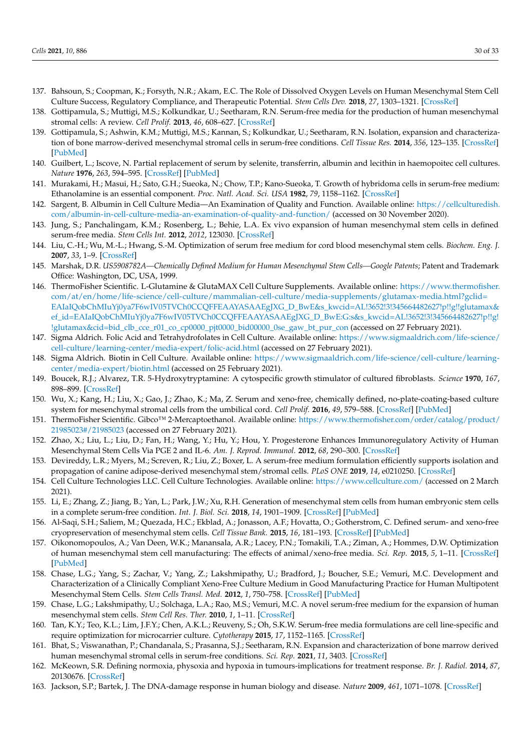- <span id="page-29-20"></span><span id="page-29-0"></span>137. Bahsoun, S.; Coopman, K.; Forsyth, N.R.; Akam, E.C. The Role of Dissolved Oxygen Levels on Human Mesenchymal Stem Cell Culture Success, Regulatory Compliance, and Therapeutic Potential. *Stem Cells Dev.* **2018**, *27*, 1303–1321. [\[CrossRef\]](http://doi.org/10.1089/scd.2017.0291)
- <span id="page-29-1"></span>138. Gottipamula, S.; Muttigi, M.S.; Kolkundkar, U.; Seetharam, R.N. Serum-free media for the production of human mesenchymal stromal cells: A review. *Cell Prolif.* **2013**, *46*, 608–627. [\[CrossRef\]](http://doi.org/10.1111/cpr.12063)
- <span id="page-29-2"></span>139. Gottipamula, S.; Ashwin, K.M.; Muttigi, M.S.; Kannan, S.; Kolkundkar, U.; Seetharam, R.N. Isolation, expansion and characterization of bone marrow-derived mesenchymal stromal cells in serum-free conditions. *Cell Tissue Res.* **2014**, *356*, 123–135. [\[CrossRef\]](http://doi.org/10.1007/s00441-013-1783-7) [\[PubMed\]](http://www.ncbi.nlm.nih.gov/pubmed/24448665)
- <span id="page-29-3"></span>140. Guilbert, L.; Iscove, N. Partial replacement of serum by selenite, transferrin, albumin and lecithin in haemopoitec cell cultures. *Nature* **1976**, *263*, 594–595. [\[CrossRef\]](http://doi.org/10.1038/263594a0) [\[PubMed\]](http://www.ncbi.nlm.nih.gov/pubmed/1086432)
- <span id="page-29-4"></span>141. Murakami, H.; Masui, H.; Sato, G.H.; Sueoka, N.; Chow, T.P.; Kano-Sueoka, T. Growth of hybridoma cells in serum-free medium: Ethanolamine is an essential component. *Proc. Natl. Acad. Sci. USA* **1982**, *79*, 1158–1162. [\[CrossRef\]](http://doi.org/10.1073/pnas.79.4.1158)
- <span id="page-29-5"></span>142. Sargent, B. Albumin in Cell Culture Media—An Examination of Quality and Function. Available online: [https://cellculturedish.](https://cellculturedish.com/albumin-in-cell-culture-media-an-examination-of-quality-and-function/) [com/albumin-in-cell-culture-media-an-examination-of-quality-and-function/](https://cellculturedish.com/albumin-in-cell-culture-media-an-examination-of-quality-and-function/) (accessed on 30 November 2020).
- <span id="page-29-6"></span>143. Jung, S.; Panchalingam, K.M.; Rosenberg, L.; Behie, L.A. Ex vivo expansion of human mesenchymal stem cells in defined serum-free media. *Stem Cells Int.* **2012**, *2012*, 123030. [\[CrossRef\]](http://doi.org/10.1155/2012/123030)
- <span id="page-29-7"></span>144. Liu, C.-H.; Wu, M.-L.; Hwang, S.-M. Optimization of serum free medium for cord blood mesenchymal stem cells. *Biochem. Eng. J.* **2007**, *33*, 1–9. [\[CrossRef\]](http://doi.org/10.1016/j.bej.2006.08.005)
- <span id="page-29-8"></span>145. Marshak, D.R. *US5908782A—Chemically Defined Medium for Human Mesenchymal Stem Cells—Google Patents*; Patent and Trademark Office: Washington, DC, USA, 1999.
- <span id="page-29-19"></span><span id="page-29-18"></span><span id="page-29-9"></span>146. ThermoFisher Scientific. L-Glutamine & GlutaMAX Cell Culture Supplements. Available online: [https://www.thermofisher.](https://www.thermofisher.com/at/en/home/life-science/cell-culture/mammalian-cell-culture/media-supplements/glutamax-media.html?gclid=EAIaIQobChMIuYj0ya7F6wIV05TVCh0CCQFFEAAYASAAEgJXG_D_BwE&s_kwcid=AL!3652!3!345664482627!p!!g!!glutamax&ef_id=EAIaIQobChMIuYj0ya7F6wIV05TVCh0CCQFFEAAYASAAEgJXG_D_BwE:G:s&s_kwcid=AL!3652!3!345664482627!p!!g!!glutamax&cid=bid_clb_cce_r01_co_cp0000_pjt0000_bid00000_0se_gaw_bt_pur_con) [com/at/en/home/life-science/cell-culture/mammalian-cell-culture/media-supplements/glutamax-media.html?gclid=](https://www.thermofisher.com/at/en/home/life-science/cell-culture/mammalian-cell-culture/media-supplements/glutamax-media.html?gclid=EAIaIQobChMIuYj0ya7F6wIV05TVCh0CCQFFEAAYASAAEgJXG_D_BwE&s_kwcid=AL!3652!3!345664482627!p!!g!!glutamax&ef_id=EAIaIQobChMIuYj0ya7F6wIV05TVCh0CCQFFEAAYASAAEgJXG_D_BwE:G:s&s_kwcid=AL!3652!3!345664482627!p!!g!!glutamax&cid=bid_clb_cce_r01_co_cp0000_pjt0000_bid00000_0se_gaw_bt_pur_con) [EAIaIQobChMIuYj0ya7F6wIV05TVCh0CCQFFEAAYASAAEgJXG\\_D\\_BwE&s\\_kwcid=AL!3652!3!345664482627!p!!g!!glutamax&](https://www.thermofisher.com/at/en/home/life-science/cell-culture/mammalian-cell-culture/media-supplements/glutamax-media.html?gclid=EAIaIQobChMIuYj0ya7F6wIV05TVCh0CCQFFEAAYASAAEgJXG_D_BwE&s_kwcid=AL!3652!3!345664482627!p!!g!!glutamax&ef_id=EAIaIQobChMIuYj0ya7F6wIV05TVCh0CCQFFEAAYASAAEgJXG_D_BwE:G:s&s_kwcid=AL!3652!3!345664482627!p!!g!!glutamax&cid=bid_clb_cce_r01_co_cp0000_pjt0000_bid00000_0se_gaw_bt_pur_con) [ef\\_id=EAIaIQobChMIuYj0ya7F6wIV05TVCh0CCQFFEAAYASAAEgJXG\\_D\\_BwE:G:s&s\\_kwcid=AL!3652!3!345664482627!p!!g!](https://www.thermofisher.com/at/en/home/life-science/cell-culture/mammalian-cell-culture/media-supplements/glutamax-media.html?gclid=EAIaIQobChMIuYj0ya7F6wIV05TVCh0CCQFFEAAYASAAEgJXG_D_BwE&s_kwcid=AL!3652!3!345664482627!p!!g!!glutamax&ef_id=EAIaIQobChMIuYj0ya7F6wIV05TVCh0CCQFFEAAYASAAEgJXG_D_BwE:G:s&s_kwcid=AL!3652!3!345664482627!p!!g!!glutamax&cid=bid_clb_cce_r01_co_cp0000_pjt0000_bid00000_0se_gaw_bt_pur_con) [!glutamax&cid=bid\\_clb\\_cce\\_r01\\_co\\_cp0000\\_pjt0000\\_bid00000\\_0se\\_gaw\\_bt\\_pur\\_con](https://www.thermofisher.com/at/en/home/life-science/cell-culture/mammalian-cell-culture/media-supplements/glutamax-media.html?gclid=EAIaIQobChMIuYj0ya7F6wIV05TVCh0CCQFFEAAYASAAEgJXG_D_BwE&s_kwcid=AL!3652!3!345664482627!p!!g!!glutamax&ef_id=EAIaIQobChMIuYj0ya7F6wIV05TVCh0CCQFFEAAYASAAEgJXG_D_BwE:G:s&s_kwcid=AL!3652!3!345664482627!p!!g!!glutamax&cid=bid_clb_cce_r01_co_cp0000_pjt0000_bid00000_0se_gaw_bt_pur_con) (accessed on 27 February 2021).
- <span id="page-29-21"></span><span id="page-29-10"></span>147. Sigma Aldrich. Folic Acid and Tetrahydrofolates in Cell Culture. Available online: [https://www.sigmaaldrich.com/life-science/](https://www.sigmaaldrich.com/life-science/cell-culture/learning-center/media-expert/folic-acid.html) [cell-culture/learning-center/media-expert/folic-acid.html](https://www.sigmaaldrich.com/life-science/cell-culture/learning-center/media-expert/folic-acid.html) (accessed on 27 February 2021).
- <span id="page-29-22"></span><span id="page-29-11"></span>148. Sigma Aldrich. Biotin in Cell Culture. Available online: [https://www.sigmaaldrich.com/life-science/cell-culture/learning](https://www.sigmaaldrich.com/life-science/cell-culture/learning-center/media-expert/biotin.html)[center/media-expert/biotin.html](https://www.sigmaaldrich.com/life-science/cell-culture/learning-center/media-expert/biotin.html) (accessed on 25 February 2021).
- <span id="page-29-23"></span><span id="page-29-12"></span>149. Boucek, R.J.; Alvarez, T.R. 5-Hydroxytryptamine: A cytospecific growth stimulator of cultured fibroblasts. *Science* **1970**, *167*, 898–899. [\[CrossRef\]](http://doi.org/10.1126/science.167.3919.898)
- <span id="page-29-24"></span><span id="page-29-13"></span>150. Wu, X.; Kang, H.; Liu, X.; Gao, J.; Zhao, K.; Ma, Z. Serum and xeno-free, chemically defined, no-plate-coating-based culture system for mesenchymal stromal cells from the umbilical cord. *Cell Prolif.* **2016**, *49*, 579–588. [\[CrossRef\]](http://doi.org/10.1111/cpr.12279) [\[PubMed\]](http://www.ncbi.nlm.nih.gov/pubmed/27492579)
- <span id="page-29-25"></span><span id="page-29-14"></span>151. ThermoFisher Scientific. Gibco™ 2-Mercaptoethanol. Available online: [https://www.thermofisher.com/order/catalog/product/](https://www.thermofisher.com/order/catalog/product/21985023#/21985023) [21985023#/21985023](https://www.thermofisher.com/order/catalog/product/21985023#/21985023) (accessed on 27 February 2021).
- <span id="page-29-15"></span>152. Zhao, X.; Liu, L.; Liu, D.; Fan, H.; Wang, Y.; Hu, Y.; Hou, Y. Progesterone Enhances Immunoregulatory Activity of Human Mesenchymal Stem Cells Via PGE 2 and IL-6. *Am. J. Reprod. Immunol.* **2012**, *68*, 290–300. [\[CrossRef\]](http://doi.org/10.1111/j.1600-0897.2012.01163.x)
- <span id="page-29-16"></span>153. Devireddy, L.R.; Myers, M.; Screven, R.; Liu, Z.; Boxer, L. A serum-free medium formulation efficiently supports isolation and propagation of canine adipose-derived mesenchymal stem/stromal cells. *PLoS ONE* **2019**, *14*, e0210250. [\[CrossRef\]](http://doi.org/10.1371/journal.pone.0210250)
- <span id="page-29-17"></span>154. Cell Culture Technologies LLC. Cell Culture Technologies. Available online: <https://www.cellculture.com/> (accessed on 2 March 2021).
- 155. Li, E.; Zhang, Z.; Jiang, B.; Yan, L.; Park, J.W.; Xu, R.H. Generation of mesenchymal stem cells from human embryonic stem cells in a complete serum-free condition. *Int. J. Biol. Sci.* **2018**, *14*, 1901–1909. [\[CrossRef\]](http://doi.org/10.7150/ijbs.25306) [\[PubMed\]](http://www.ncbi.nlm.nih.gov/pubmed/30443193)
- 156. Al-Saqi, S.H.; Saliem, M.; Quezada, H.C.; Ekblad, A.; Jonasson, A.F.; Hovatta, O.; Gotherstrom, C. Defined serum- and xeno-free cryopreservation of mesenchymal stem cells. *Cell Tissue Bank.* **2015**, *16*, 181–193. [\[CrossRef\]](http://doi.org/10.1007/s10561-014-9463-8) [\[PubMed\]](http://www.ncbi.nlm.nih.gov/pubmed/25117730)
- 157. Oikonomopoulos, A.; Van Deen, W.K.; Manansala, A.R.; Lacey, P.N.; Tomakili, T.A.; Ziman, A.; Hommes, D.W. Optimization of human mesenchymal stem cell manufacturing: The effects of animal/xeno-free media. *Sci. Rep.* **2015**, *5*, 1–11. [\[CrossRef\]](http://doi.org/10.1038/srep16570) [\[PubMed\]](http://www.ncbi.nlm.nih.gov/pubmed/26564250)
- 158. Chase, L.G.; Yang, S.; Zachar, V.; Yang, Z.; Lakshmipathy, U.; Bradford, J.; Boucher, S.E.; Vemuri, M.C. Development and Characterization of a Clinically Compliant Xeno-Free Culture Medium in Good Manufacturing Practice for Human Multipotent Mesenchymal Stem Cells. *Stem Cells Transl. Med.* **2012**, *1*, 750–758. [\[CrossRef\]](http://doi.org/10.5966/sctm.2012-0072) [\[PubMed\]](http://www.ncbi.nlm.nih.gov/pubmed/23197667)
- 159. Chase, L.G.; Lakshmipathy, U.; Solchaga, L.A.; Rao, M.S.; Vemuri, M.C. A novel serum-free medium for the expansion of human mesenchymal stem cells. *Stem Cell Res. Ther.* **2010**, *1*, 1–11. [\[CrossRef\]](http://doi.org/10.1186/scrt8)
- 160. Tan, K.Y.; Teo, K.L.; Lim, J.F.Y.; Chen, A.K.L.; Reuveny, S.; Oh, S.K.W. Serum-free media formulations are cell line-specific and require optimization for microcarrier culture. *Cytotherapy* **2015**, *17*, 1152–1165. [\[CrossRef\]](http://doi.org/10.1016/j.jcyt.2015.05.001)
- 161. Bhat, S.; Viswanathan, P.; Chandanala, S.; Prasanna, S.J.; Seetharam, R.N. Expansion and characterization of bone marrow derived human mesenchymal stromal cells in serum-free conditions. *Sci. Rep.* **2021**, *11*, 3403. [\[CrossRef\]](http://doi.org/10.1038/s41598-021-83088-1)
- <span id="page-29-26"></span>162. McKeown, S.R. Defining normoxia, physoxia and hypoxia in tumours-implications for treatment response. *Br. J. Radiol.* **2014**, *87*, 20130676. [\[CrossRef\]](http://doi.org/10.1259/bjr.20130676)
- <span id="page-29-27"></span>163. Jackson, S.P.; Bartek, J. The DNA-damage response in human biology and disease. *Nature* **2009**, *461*, 1071–1078. [\[CrossRef\]](http://doi.org/10.1038/nature08467)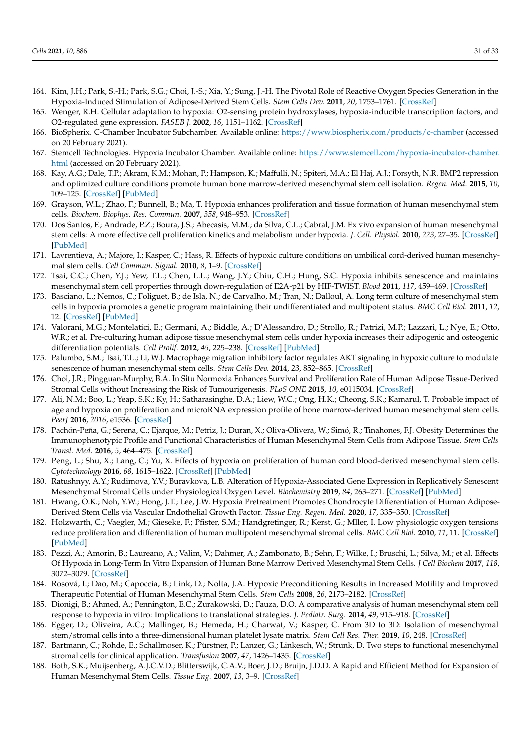- <span id="page-30-15"></span><span id="page-30-14"></span><span id="page-30-12"></span><span id="page-30-10"></span><span id="page-30-0"></span>164. Kim, J.H.; Park, S.-H.; Park, S.G.; Choi, J.-S.; Xia, Y.; Sung, J.-H. The Pivotal Role of Reactive Oxygen Species Generation in the Hypoxia-Induced Stimulation of Adipose-Derived Stem Cells. *Stem Cells Dev.* **2011**, *20*, 1753–1761. [\[CrossRef\]](http://doi.org/10.1089/scd.2010.0469)
- <span id="page-30-16"></span><span id="page-30-1"></span>165. Wenger, R.H. Cellular adaptation to hypoxia: O2-sensing protein hydroxylases, hypoxia-inducible transcription factors, and O2-regulated gene expression. *FASEB J.* **2002**, *16*, 1151–1162. [\[CrossRef\]](http://doi.org/10.1096/fj.01-0944rev)
- <span id="page-30-17"></span><span id="page-30-2"></span>166. BioSpherix. C-Chamber Incubator Subchamber. Available online: <https://www.biospherix.com/products/c-chamber> (accessed on 20 February 2021).
- <span id="page-30-19"></span><span id="page-30-3"></span>167. Stemcell Technologies. Hypoxia Incubator Chamber. Available online: [https://www.stemcell.com/hypoxia-incubator-chamber.](https://www.stemcell.com/hypoxia-incubator-chamber.html) [html](https://www.stemcell.com/hypoxia-incubator-chamber.html) (accessed on 20 February 2021).
- <span id="page-30-22"></span><span id="page-30-4"></span>168. Kay, A.G.; Dale, T.P.; Akram, K.M.; Mohan, P.; Hampson, K.; Maffulli, N.; Spiteri, M.A.; El Haj, A.J.; Forsyth, N.R. BMP2 repression and optimized culture conditions promote human bone marrow-derived mesenchymal stem cell isolation. *Regen. Med.* **2015**, *10*, 109–125. [\[CrossRef\]](http://doi.org/10.2217/rme.14.67) [\[PubMed\]](http://www.ncbi.nlm.nih.gov/pubmed/25835477)
- <span id="page-30-21"></span><span id="page-30-5"></span>169. Grayson, W.L.; Zhao, F.; Bunnell, B.; Ma, T. Hypoxia enhances proliferation and tissue formation of human mesenchymal stem cells. *Biochem. Biophys. Res. Commun.* **2007**, *358*, 948–953. [\[CrossRef\]](http://doi.org/10.1016/j.bbrc.2007.05.054)
- <span id="page-30-20"></span>170. Dos Santos, F.; Andrade, P.Z.; Boura, J.S.; Abecasis, M.M.; da Silva, C.L.; Cabral, J.M. Ex vivo expansion of human mesenchymal stem cells: A more effective cell proliferation kinetics and metabolism under hypoxia. *J. Cell. Physiol.* **2010**, *223*, 27–35. [\[CrossRef\]](http://doi.org/10.1002/jcp.21987) [\[PubMed\]](http://www.ncbi.nlm.nih.gov/pubmed/20020504)
- <span id="page-30-24"></span>171. Lavrentieva, A.; Majore, I.; Kasper, C.; Hass, R. Effects of hypoxic culture conditions on umbilical cord-derived human mesenchymal stem cells. *Cell Commun. Signal.* **2010**, *8*, 1–9. [\[CrossRef\]](http://doi.org/10.1186/1478-811X-8-18)
- <span id="page-30-25"></span>172. Tsai, C.C.; Chen, Y.J.; Yew, T.L.; Chen, L.L.; Wang, J.Y.; Chiu, C.H.; Hung, S.C. Hypoxia inhibits senescence and maintains mesenchymal stem cell properties through down-regulation of E2A-p21 by HIF-TWIST. *Blood* **2011**, *117*, 459–469. [\[CrossRef\]](http://doi.org/10.1182/blood-2010-05-287508)
- <span id="page-30-13"></span>173. Basciano, L.; Nemos, C.; Foliguet, B.; de Isla, N.; de Carvalho, M.; Tran, N.; Dalloul, A. Long term culture of mesenchymal stem cells in hypoxia promotes a genetic program maintaining their undifferentiated and multipotent status. *BMC Cell Biol.* **2011**, *12*, 12. [\[CrossRef\]](http://doi.org/10.1186/1471-2121-12-12) [\[PubMed\]](http://www.ncbi.nlm.nih.gov/pubmed/21450070)
- <span id="page-30-23"></span>174. Valorani, M.G.; Montelatici, E.; Germani, A.; Biddle, A.; D'Alessandro, D.; Strollo, R.; Patrizi, M.P.; Lazzari, L.; Nye, E.; Otto, W.R.; et al. Pre-culturing human adipose tissue mesenchymal stem cells under hypoxia increases their adipogenic and osteogenic differentiation potentials. *Cell Prolif.* **2012**, *45*, 225–238. [\[CrossRef\]](http://doi.org/10.1111/j.1365-2184.2012.00817.x) [\[PubMed\]](http://www.ncbi.nlm.nih.gov/pubmed/22507457)
- <span id="page-30-11"></span>175. Palumbo, S.M.; Tsai, T.L.; Li, W.J. Macrophage migration inhibitory factor regulates AKT signaling in hypoxic culture to modulate senescence of human mesenchymal stem cells. *Stem Cells Dev.* **2014**, *23*, 852–865. [\[CrossRef\]](http://doi.org/10.1089/scd.2013.0294)
- <span id="page-30-18"></span>176. Choi, J.R.; Pingguan-Murphy, B.A. In Situ Normoxia Enhances Survival and Proliferation Rate of Human Adipose Tissue-Derived Stromal Cells without Increasing the Risk of Tumourigenesis. *PLoS ONE* **2015**, *10*, e0115034. [\[CrossRef\]](http://doi.org/10.1371/journal.pone.0115034)
- 177. Ali, N.M.; Boo, L.; Yeap, S.K.; Ky, H.; Satharasinghe, D.A.; Liew, W.C.; Ong, H.K.; Cheong, S.K.; Kamarul, T. Probable impact of age and hypoxia on proliferation and microRNA expression profile of bone marrow-derived human mesenchymal stem cells. *PeerJ* **2016**, *2016*, e1536. [\[CrossRef\]](http://doi.org/10.7717/peerj.1536)
- 178. Pachón-Peña, G.; Serena, C.; Ejarque, M.; Petriz, J.; Duran, X.; Oliva-Olivera, W.; Simó, R.; Tinahones, F.J. Obesity Determines the Immunophenotypic Profile and Functional Characteristics of Human Mesenchymal Stem Cells from Adipose Tissue. *Stem Cells Transl. Med.* **2016**, *5*, 464–475. [\[CrossRef\]](http://doi.org/10.5966/sctm.2015-0161)
- 179. Peng, L.; Shu, X.; Lang, C.; Yu, X. Effects of hypoxia on proliferation of human cord blood-derived mesenchymal stem cells. *Cytotechnology* **2016**, *68*, 1615–1622. [\[CrossRef\]](http://doi.org/10.1007/s10616-014-9818-9) [\[PubMed\]](http://www.ncbi.nlm.nih.gov/pubmed/25742732)
- 180. Ratushnyy, A.Y.; Rudimova, Y.V.; Buravkova, L.B. Alteration of Hypoxia-Associated Gene Expression in Replicatively Senescent Mesenchymal Stromal Cells under Physiological Oxygen Level. *Biochemistry* **2019**, *84*, 263–271. [\[CrossRef\]](http://doi.org/10.1134/S0006297919030088) [\[PubMed\]](http://www.ncbi.nlm.nih.gov/pubmed/31221064)
- <span id="page-30-6"></span>181. Hwang, O.K.; Noh, Y.W.; Hong, J.T.; Lee, J.W. Hypoxia Pretreatment Promotes Chondrocyte Differentiation of Human Adipose-Derived Stem Cells via Vascular Endothelial Growth Factor. *Tissue Eng. Regen. Med.* **2020**, *17*, 335–350. [\[CrossRef\]](http://doi.org/10.1007/s13770-020-00265-5)
- <span id="page-30-7"></span>182. Holzwarth, C.; Vaegler, M.; Gieseke, F.; Pfister, S.M.; Handgretinger, R.; Kerst, G.; Mller, I. Low physiologic oxygen tensions reduce proliferation and differentiation of human multipotent mesenchymal stromal cells. *BMC Cell Biol.* **2010**, *11*, 11. [\[CrossRef\]](http://doi.org/10.1186/1471-2121-11-11) [\[PubMed\]](http://www.ncbi.nlm.nih.gov/pubmed/20109207)
- 183. Pezzi, A.; Amorin, B.; Laureano, A.; Valim, V.; Dahmer, A.; Zambonato, B.; Sehn, F.; Wilke, I.; Bruschi, L.; Silva, M.; et al. Effects Of Hypoxia in Long-Term In Vitro Expansion of Human Bone Marrow Derived Mesenchymal Stem Cells. *J Cell Biochem* **2017**, *118*, 3072–3079. [\[CrossRef\]](http://doi.org/10.1002/jcb.25953)
- 184. Rosová, I.; Dao, M.; Capoccia, B.; Link, D.; Nolta, J.A. Hypoxic Preconditioning Results in Increased Motility and Improved Therapeutic Potential of Human Mesenchymal Stem Cells. *Stem Cells* **2008**, *26*, 2173–2182. [\[CrossRef\]](http://doi.org/10.1634/stemcells.2007-1104)
- <span id="page-30-8"></span>185. Dionigi, B.; Ahmed, A.; Pennington, E.C.; Zurakowski, D.; Fauza, D.O. A comparative analysis of human mesenchymal stem cell response to hypoxia in vitro: Implications to translational strategies. *J. Pediatr. Surg.* **2014**, *49*, 915–918. [\[CrossRef\]](http://doi.org/10.1016/j.jpedsurg.2014.01.023)
- <span id="page-30-9"></span>186. Egger, D.; Oliveira, A.C.; Mallinger, B.; Hemeda, H.; Charwat, V.; Kasper, C. From 3D to 3D: Isolation of mesenchymal stem/stromal cells into a three-dimensional human platelet lysate matrix. *Stem Cell Res. Ther.* **2019**, *10*, 248. [\[CrossRef\]](http://doi.org/10.1186/s13287-019-1346-2)
- <span id="page-30-26"></span>187. Bartmann, C.; Rohde, E.; Schallmoser, K.; Pürstner, P.; Lanzer, G.; Linkesch, W.; Strunk, D. Two steps to functional mesenchymal stromal cells for clinical application. *Transfusion* **2007**, *47*, 1426–1435. [\[CrossRef\]](http://doi.org/10.1111/j.1537-2995.2007.01219.x)
- 188. Both, S.K.; Muijsenberg, A.J.C.V.D.; Blitterswijk, C.A.V.; Boer, J.D.; Bruijn, J.D.D. A Rapid and Efficient Method for Expansion of Human Mesenchymal Stem Cells. *Tissue Eng.* **2007**, *13*, 3–9. [\[CrossRef\]](http://doi.org/10.1089/ten.2005.0513)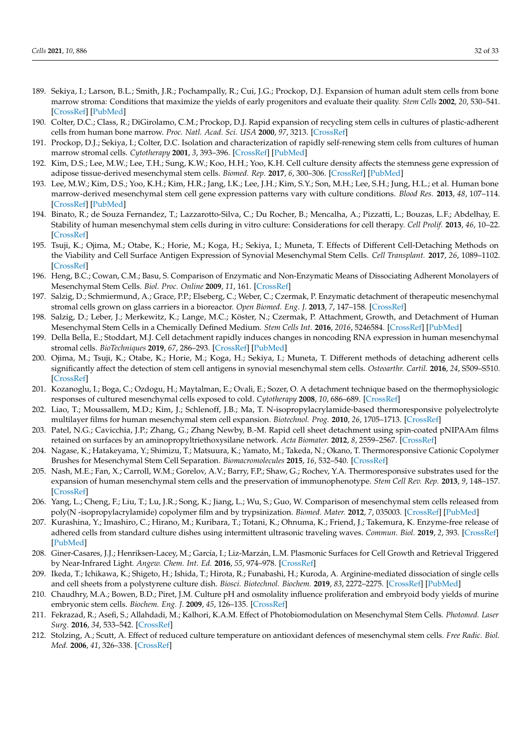- <span id="page-31-0"></span>189. Sekiya, I.; Larson, B.L.; Smith, J.R.; Pochampally, R.; Cui, J.G.; Prockop, D.J. Expansion of human adult stem cells from bone marrow stroma: Conditions that maximize the yields of early progenitors and evaluate their quality. *Stem Cells* **2002**, *20*, 530–541. [\[CrossRef\]](http://doi.org/10.1634/stemcells.20-6-530) [\[PubMed\]](http://www.ncbi.nlm.nih.gov/pubmed/12456961)
- 190. Colter, D.C.; Class, R.; DiGirolamo, C.M.; Prockop, D.J. Rapid expansion of recycling stem cells in cultures of plastic-adherent cells from human bone marrow. *Proc. Natl. Acad. Sci. USA* **2000**, *97*, 3213. [\[CrossRef\]](http://doi.org/10.1073/pnas.97.7.3213)
- <span id="page-31-1"></span>191. Prockop, D.J.; Sekiya, I.; Colter, D.C. Isolation and characterization of rapidly self-renewing stem cells from cultures of human marrow stromal cells. *Cytotherapy* **2001**, *3*, 393–396. [\[CrossRef\]](http://doi.org/10.1080/146532401753277229) [\[PubMed\]](http://www.ncbi.nlm.nih.gov/pubmed/11953019)
- <span id="page-31-2"></span>192. Kim, D.S.; Lee, M.W.; Lee, T.H.; Sung, K.W.; Koo, H.H.; Yoo, K.H. Cell culture density affects the stemness gene expression of adipose tissue-derived mesenchymal stem cells. *Biomed. Rep.* **2017**, *6*, 300–306. [\[CrossRef\]](http://doi.org/10.3892/br.2017.845) [\[PubMed\]](http://www.ncbi.nlm.nih.gov/pubmed/28451390)
- <span id="page-31-3"></span>193. Lee, M.W.; Kim, D.S.; Yoo, K.H.; Kim, H.R.; Jang, I.K.; Lee, J.H.; Kim, S.Y.; Son, M.H.; Lee, S.H.; Jung, H.L.; et al. Human bone marrow-derived mesenchymal stem cell gene expression patterns vary with culture conditions. *Blood Res.* **2013**, *48*, 107–114. [\[CrossRef\]](http://doi.org/10.5045/br.2013.48.2.107) [\[PubMed\]](http://www.ncbi.nlm.nih.gov/pubmed/23826579)
- <span id="page-31-4"></span>194. Binato, R.; de Souza Fernandez, T.; Lazzarotto-Silva, C.; Du Rocher, B.; Mencalha, A.; Pizzatti, L.; Bouzas, L.F.; Abdelhay, E. Stability of human mesenchymal stem cells during in vitro culture: Considerations for cell therapy. *Cell Prolif.* **2013**, *46*, 10–22. [\[CrossRef\]](http://doi.org/10.1111/cpr.12002)
- <span id="page-31-5"></span>195. Tsuji, K.; Ojima, M.; Otabe, K.; Horie, M.; Koga, H.; Sekiya, I.; Muneta, T. Effects of Different Cell-Detaching Methods on the Viability and Cell Surface Antigen Expression of Synovial Mesenchymal Stem Cells. *Cell Transplant.* **2017**, *26*, 1089–1102. [\[CrossRef\]](http://doi.org/10.3727/096368917X694831)
- <span id="page-31-6"></span>196. Heng, B.C.; Cowan, C.M.; Basu, S. Comparison of Enzymatic and Non-Enzymatic Means of Dissociating Adherent Monolayers of Mesenchymal Stem Cells. *Biol. Proc. Online* **2009**, *11*, 161. [\[CrossRef\]](http://doi.org/10.1007/s12575-009-9001-4)
- 197. Salzig, D.; Schmiermund, A.; Grace, P.P.; Elseberg, C.; Weber, C.; Czermak, P. Enzymatic detachment of therapeutic mesenchymal stromal cells grown on glass carriers in a bioreactor. *Open Biomed. Eng. J.* **2013**, *7*, 147–158. [\[CrossRef\]](http://doi.org/10.2174/1874120701307010147)
- <span id="page-31-7"></span>198. Salzig, D.; Leber, J.; Merkewitz, K.; Lange, M.C.; Köster, N.; Czermak, P. Attachment, Growth, and Detachment of Human Mesenchymal Stem Cells in a Chemically Defined Medium. *Stem Cells Int.* **2016**, *2016*, 5246584. [\[CrossRef\]](http://doi.org/10.1155/2016/5246584) [\[PubMed\]](http://www.ncbi.nlm.nih.gov/pubmed/27006663)
- <span id="page-31-8"></span>199. Della Bella, E.; Stoddart, M.J. Cell detachment rapidly induces changes in noncoding RNA expression in human mesenchymal stromal cells. *BioTechniques* **2019**, *67*, 286–293. [\[CrossRef\]](http://doi.org/10.2144/btn-2019-0038) [\[PubMed\]](http://www.ncbi.nlm.nih.gov/pubmed/31621398)
- <span id="page-31-9"></span>200. Ojima, M.; Tsuji, K.; Otabe, K.; Horie, M.; Koga, H.; Sekiya, I.; Muneta, T. Different methods of detaching adherent cells significantly affect the detection of stem cell antigens in synovial mesenchymal stem cells. *Osteoarthr. Cartil.* **2016**, *24*, S509–S510. [\[CrossRef\]](http://doi.org/10.1016/j.joca.2016.01.931)
- <span id="page-31-10"></span>201. Kozanoglu, I.; Boga, C.; Ozdogu, H.; Maytalman, E.; Ovali, E.; Sozer, O. A detachment technique based on the thermophysiologic responses of cultured mesenchymal cells exposed to cold. *Cytotherapy* **2008**, *10*, 686–689. [\[CrossRef\]](http://doi.org/10.1080/14653240802419294)
- <span id="page-31-11"></span>202. Liao, T.; Moussallem, M.D.; Kim, J.; Schlenoff, J.B.; Ma, T. N-isopropylacrylamide-based thermoresponsive polyelectrolyte multilayer films for human mesenchymal stem cell expansion. *Biotechnol. Prog.* **2010**, *26*, 1705–1713. [\[CrossRef\]](http://doi.org/10.1002/btpr.471)
- <span id="page-31-12"></span>203. Patel, N.G.; Cavicchia, J.P.; Zhang, G.; Zhang Newby, B.-M. Rapid cell sheet detachment using spin-coated pNIPAAm films retained on surfaces by an aminopropyltriethoxysilane network. *Acta Biomater.* **2012**, *8*, 2559–2567. [\[CrossRef\]](http://doi.org/10.1016/j.actbio.2012.03.031)
- <span id="page-31-13"></span>204. Nagase, K.; Hatakeyama, Y.; Shimizu, T.; Matsuura, K.; Yamato, M.; Takeda, N.; Okano, T. Thermoresponsive Cationic Copolymer Brushes for Mesenchymal Stem Cell Separation. *Biomacromolecules* **2015**, *16*, 532–540. [\[CrossRef\]](http://doi.org/10.1021/bm501591s)
- <span id="page-31-14"></span>205. Nash, M.E.; Fan, X.; Carroll, W.M.; Gorelov, A.V.; Barry, F.P.; Shaw, G.; Rochev, Y.A. Thermoresponsive substrates used for the expansion of human mesenchymal stem cells and the preservation of immunophenotype. *Stem Cell Rev. Rep.* **2013**, *9*, 148–157. [\[CrossRef\]](http://doi.org/10.1007/s12015-013-9428-5)
- <span id="page-31-15"></span>206. Yang, L.; Cheng, F.; Liu, T.; Lu, J.R.; Song, K.; Jiang, L.; Wu, S.; Guo, W. Comparison of mesenchymal stem cells released from poly(N -isopropylacrylamide) copolymer film and by trypsinization. *Biomed. Mater.* **2012**, *7*, 035003. [\[CrossRef\]](http://doi.org/10.1088/1748-6041/7/3/035003) [\[PubMed\]](http://www.ncbi.nlm.nih.gov/pubmed/22356745)
- <span id="page-31-16"></span>207. Kurashina, Y.; Imashiro, C.; Hirano, M.; Kuribara, T.; Totani, K.; Ohnuma, K.; Friend, J.; Takemura, K. Enzyme-free release of adhered cells from standard culture dishes using intermittent ultrasonic traveling waves. *Commun. Biol.* **2019**, *2*, 393. [\[CrossRef\]](http://doi.org/10.1038/s42003-019-0638-5) [\[PubMed\]](http://www.ncbi.nlm.nih.gov/pubmed/31701022)
- <span id="page-31-17"></span>208. Giner-Casares, J.J.; Henriksen-Lacey, M.; García, I.; Liz-Marzán, L.M. Plasmonic Surfaces for Cell Growth and Retrieval Triggered by Near-Infrared Light. *Angew. Chem. Int. Ed.* **2016**, *55*, 974–978. [\[CrossRef\]](http://doi.org/10.1002/anie.201509025)
- <span id="page-31-18"></span>209. Ikeda, T.; Ichikawa, K.; Shigeto, H.; Ishida, T.; Hirota, R.; Funabashi, H.; Kuroda, A. Arginine-mediated dissociation of single cells and cell sheets from a polystyrene culture dish. *Biosci. Biotechnol. Biochem.* **2019**, *83*, 2272–2275. [\[CrossRef\]](http://doi.org/10.1080/09168451.2019.1659716) [\[PubMed\]](http://www.ncbi.nlm.nih.gov/pubmed/31482750)
- <span id="page-31-19"></span>210. Chaudhry, M.A.; Bowen, B.D.; Piret, J.M. Culture pH and osmolality influence proliferation and embryoid body yields of murine embryonic stem cells. *Biochem. Eng. J.* **2009**, *45*, 126–135. [\[CrossRef\]](http://doi.org/10.1016/j.bej.2009.03.005)
- 211. Fekrazad, R.; Asefi, S.; Allahdadi, M.; Kalhori, K.A.M. Effect of Photobiomodulation on Mesenchymal Stem Cells. *Photomed. Laser Surg.* **2016**, *34*, 533–542. [\[CrossRef\]](http://doi.org/10.1089/pho.2015.4029)
- 212. Stolzing, A.; Scutt, A. Effect of reduced culture temperature on antioxidant defences of mesenchymal stem cells. *Free Radic. Biol. Med.* **2006**, *41*, 326–338. [\[CrossRef\]](http://doi.org/10.1016/j.freeradbiomed.2006.04.018)